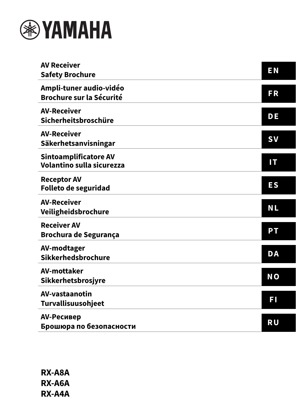

| <b>AV Receiver</b><br><b>Safety Brochure</b>               | <b>EN</b>      |
|------------------------------------------------------------|----------------|
| Ampli-tuner audio-vidéo<br><b>Brochure sur la Sécurité</b> | <b>FR</b>      |
| <b>AV-Receiver</b><br>Sicherheitsbroschüre                 | DE             |
| <b>AV-Receiver</b><br>Säkerhetsanvisningar                 | <b>SV</b>      |
| Sintoamplificatore AV<br>Volantino sulla sicurezza         | IT             |
| <b>Receptor AV</b><br><b>Folleto de seguridad</b>          | <b>ES</b>      |
| <b>AV-Receiver</b><br>Veiligheidsbrochure                  | <b>NL</b>      |
| <b>Receiver AV</b><br><b>Brochura de Segurança</b>         | PT             |
| AV-modtager<br>Sikkerhedsbrochure                          | <b>DA</b>      |
| <b>AV-mottaker</b><br>Sikkerhetsbrosjyre                   | N <sub>O</sub> |
| AV-vastaanotin<br><b>Turvallisuusohjeet</b>                | FI             |
| AV-Ресивер<br>Брошюра по безопасности                      | <b>RU</b>      |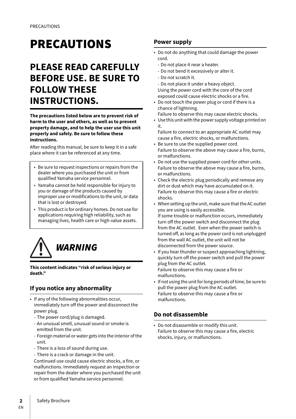# **PRECAUTIONS**

# **PLEASE READ CAREFULLY BEFORE USE. BE SURE TO FOLLOW THESE INSTRUCTIONS.**

**The precautions listed below are to prevent risk of harm to the user and others, as well as to prevent property damage, and to help the user use this unit properly and safely. Be sure to follow these instructions.**

After reading this manual, be sure to keep it in a safe place where it can be referenced at any time.

- Be sure to request inspections or repairs from the dealer where you purchased the unit or from qualified Yamaha service personnel.
- Yamaha cannot be held responsible for injury to you or damage of the products caused by improper use or modifications to the unit, or data that is lost or destroyed.
- This product is for ordinary homes. Do not use for applications requiring high reliability, such as managing lives, health care or high-value assets.



**This content indicates "risk of serious injury or death."**

# **If you notice any abnormality**

- If any of the following abnormalities occur, immediately turn off the power and disconnect the power plug.
	- The power cord/plug is damaged.
	- An unusual smell, unusual sound or smoke is emitted from the unit.
	- Foreign material or water gets into the interior of the unit.
	- There is a loss of sound during use.
	- There is a crack or damage in the unit.

Continued use could cause electric shocks, a fire, or malfunctions. Immediately request an inspection or repair from the dealer where you purchased the unit or from qualified Yamaha service personnel.

## **Power supply**

- Do not do anything that could damage the power cord.
	- Do not place it near a heater.
	- Do not bend it excessively or alter it.
	- Do not scratch it.
- Do not place it under a heavy object. Using the power cord with the core of the cord exposed could cause electric shocks or a fire.
- Do not touch the power plug or cord if there is a chance of lightning.
- Failure to observe this may cause electric shocks.
- Use this unit with the power supply voltage printed on it.

Failure to connect to an appropriate AC outlet may cause a fire, electric shocks, or malfunctions.

- Be sure to use the supplied power cord. Failure to observe the above may cause a fire, burns, or malfunctions.
- Do not use the supplied power cord for other units. Failure to observe the above may cause a fire, burns, or malfunctions.
- Check the electric plug periodically and remove any dirt or dust which may have accumulated on it. Failure to observe this may cause a fire or electric shocks.
- When setting up the unit, make sure that the AC outlet you are using is easily accessible. If some trouble or malfunction occurs, immediately turn off the power switch and disconnect the plug from the AC outlet. Even when the power switch is turned off, as long as the power cord is not unplugged from the wall AC outlet, the unit will not be disconnected from the power source.
- If you hear thunder or suspect approaching lightning, quickly turn off the power switch and pull the power plug from the AC outlet. Failure to observe this may cause a fire or malfunctions.
- If not using the unit for long periods of time, be sure to pull the power plug from the AC outlet. Failure to observe this may cause a fire or malfunctions.

# **Do not disassemble**

• Do not disassemble or modify this unit. Failure to observe this may cause a fire, electric shocks, injury, or malfunctions.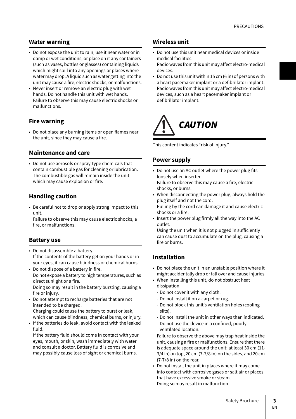### **Water warning**

- Do not expose the unit to rain, use it near water or in damp or wet conditions, or place on it any containers (such as vases, bottles or glasses) containing liquids which might spill into any openings or places where water may drop. A liquid such as water getting into the unit may cause a fire, electric shocks, or malfunctions.
- Never insert or remove an electric plug with wet hands. Do not handle this unit with wet hands. Failure to observe this may cause electric shocks or malfunctions.

### **Fire warning**

• Do not place any burning items or open flames near the unit, since they may cause a fire.

### **Maintenance and care**

• Do not use aerosols or spray-type chemicals that contain combustible gas for cleaning or lubrication. The combustible gas will remain inside the unit, which may cause explosion or fire.

### **Handling caution**

• Be careful not to drop or apply strong impact to this unit.

Failure to observe this may cause electric shocks, a fire, or malfunctions.

### **Battery use**

- Do not disassemble a battery. If the contents of the battery get on your hands or in your eyes, it can cause blindness or chemical burns.
- Do not dispose of a battery in fire. Do not expose a battery to high temperatures, such as direct sunlight or a fire. Doing so may result in the battery bursting, causing a

fire or injury.

• Do not attempt to recharge batteries that are not intended to be charged. Charging could cause the battery to burst or leak,

which can cause blindness, chemical burns, or injury. • If the batteries do leak, avoid contact with the leaked

fluid.

If the battery fluid should come in contact with your eyes, mouth, or skin, wash immediately with water and consult a doctor. Battery fluid is corrosive and may possibly cause loss of sight or chemical burns.

### **Wireless unit**

- Do not use this unit near medical devices or inside medical facilities. Radio waves from this unit may affect electro-medical
- devices.
- Do not use this unit within 15 cm (6 in) of persons with a heart pacemaker implant or a defibrillator implant. Radio waves from this unit may affect electro-medical devices, such as a heart pacemaker implant or defibrillator implant.



This content indicates "risk of injury."

### **Power supply**

- Do not use an AC outlet where the power plug fits loosely when inserted. Failure to observe this may cause a fire, electric shocks, or burns.
- When disconnecting the power plug, always hold the plug itself and not the cord. Pulling by the cord can damage it and cause electric shocks or a fire.
- Insert the power plug firmly all the way into the AC outlet.

Using the unit when it is not plugged in sufficiently can cause dust to accumulate on the plug, causing a fire or burns.

### **Installation**

- Do not place the unit in an unstable position where it might accidentally drop or fall over and cause injuries.
- When installing this unit, do not obstruct heat dissipation.
	- Do not cover it with any cloth.
	- Do not install it on a carpet or rug.
	- Do not block this unit's ventilation holes (cooling slits).
	- Do not install the unit in other ways than indicated.
	- Do not use the device in a confined, poorlyventilated location.

Failure to observe the above may trap heat inside the unit, causing a fire or malfunctions. Ensure that there is adequate space around the unit: at least 30 cm (11- 3/4 in) on top, 20 cm (7-7/8 in) on the sides, and 20 cm (7-7/8 in) on the rear.

• Do not install the unit in places where it may come into contact with corrosive gases or salt air or places that have excessive smoke or steam. Doing so may result in malfunction.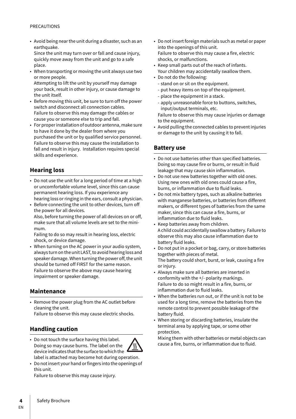#### PRECAUTIONS

• Avoid being near the unit during a disaster, such as an earthquake.

Since the unit may turn over or fall and cause injury, quickly move away from the unit and go to a safe place.

- When transporting or moving the unit always use two or more people. Attempting to lift the unit by yourself may damage your back, result in other injury, or cause damage to the unit itself.
- Before moving this unit, be sure to turn off the power switch and disconnect all connection cables. Failure to observe this may damage the cables or cause you or someone else to trip and fall.
- For proper installation of outdoor antenna, make sure to have it done by the dealer from where you purchased the unit or by qualified service personnel. Failure to observe this may cause the installation to fall and result in injury. Installation requires special skills and experience.

# **Hearing loss**

- Do not use the unit for a long period of time at a high or uncomfortable volume level, since this can cause permanent hearing loss. If you experience any hearing loss or ringing in the ears, consult a physician.
- Before connecting the unit to other devices, turn off the power for all devices. Also, before turning the power of all devices on or off, make sure that all volume levels are set to the minimum.

Failing to do so may result in hearing loss, electric shock, or device damage.

• When turning on the AC power in your audio system, always turn on the unit LAST, to avoid hearing loss and speaker damage. When turning the power off, the unit should be turned off FIRST for the same reason. Failure to observe the above may cause hearing impairment or speaker damage.

### **Maintenance**

• Remove the power plug from the AC outlet before cleaning the unit.

Failure to observe this may cause electric shocks.

### **Handling caution**

• Do not touch the surface having this label. Doing so may cause burns. The label on the Ш device indicates that the surface to which the label is attached may become hot during operation.



Failure to observe this may cause injury.

- Do not insert foreign materials such as metal or paper into the openings of this unit. Failure to observe this may cause a fire, electric shocks, or malfunctions.
- Keep small parts out of the reach of infants. Your children may accidentally swallow them.
- Do not do the following:
	- stand on or sit on the equipment.
	- put heavy items on top of the equipment.
	- place the equipment in a stack.
	- apply unreasonable force to buttons, switches, input/output terminals, etc.

Failure to observe this may cause injuries or damage to the equipment.

• Avoid pulling the connected cables to prevent injuries or damage to the unit by causing it to fall.

### **Battery use**

- Do not use batteries other than specified batteries. Doing so may cause fire or burns, or result in fluid leakage that may cause skin inflammation.
- Do not use new batteries together with old ones. Using new ones with old ones could cause a fire, burns, or inflammation due to fluid leaks.
- Do not mix battery types, such as alkaline batteries with manganese batteries, or batteries from different makers, or different types of batteries from the same maker, since this can cause a fire, burns, or inflammation due to fluid leaks.
- Keep batteries away from children. A child could accidentally swallow a battery. Failure to observe this may also cause inflammation due to battery fluid leaks.
- Do not put in a pocket or bag, carry, or store batteries together with pieces of metal. The battery could short, burst, or leak, causing a fire or injury.
- Always make sure all batteries are inserted in conformity with the +/- polarity markings. Failure to do so might result in a fire, burns, or inflammation due to fluid leaks.
- When the batteries run out, or if the unit is not to be used for a long time, remove the batteries from the remote control to prevent possible leakage of the battery fluid.
- When storing or discarding batteries, insulate the terminal area by applying tape, or some other protection.

Mixing them with other batteries or metal objects can cause a fire, burns, or inflammation due to fluid.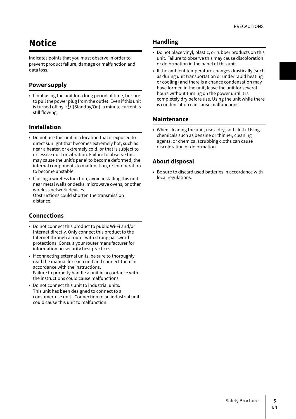# **Notice**

Indicates points that you must observe in order to prevent product failure, damage or malfunction and data loss.

### **Power supply**

• If not using the unit for a long period of time, be sure to pull the power plug from the outlet. Even if this unit is turned off by  $[\bigcirc$  )(Standby/On), a minute current is still flowing.

### **Installation**

- Do not use this unit in a location that is exposed to direct sunlight that becomes extremely hot, such as near a heater, or extremely cold, or that is subject to excessive dust or vibration. Failure to observe this may cause the unit's panel to become deformed, the internal components to malfunction, or for operation to become unstable.
- If using a wireless function, avoid installing this unit near metal walls or desks, microwave ovens, or other wireless network devices. Obstructions could shorten the transmission distance.

### **Connections**

- Do not connect this product to public Wi-Fi and/or Internet directly. Only connect this product to the Internet through a router with strong passwordprotections. Consult your router manufacturer for information on security best practices.
- If connecting external units, be sure to thoroughly read the manual for each unit and connect them in accordance with the instructions. Failure to properly handle a unit in accordance with the instructions could cause malfunctions.
- Do not connect this unit to industrial units. This unit has been designed to connect to a consumer-use unit. Connection to an industrial unit could cause this unit to malfunction.

### **Handling**

- Do not place vinyl, plastic, or rubber products on this unit. Failure to observe this may cause discoloration or deformation in the panel of this unit.
- If the ambient temperature changes drastically (such as during unit transportation or under rapid heating or cooling) and there is a chance condensation may have formed in the unit, leave the unit for several hours without turning on the power until it is completely dry before use. Using the unit while there is condensation can cause malfunctions.

### **Maintenance**

• When cleaning the unit, use a dry, soft cloth. Using chemicals such as benzine or thinner, cleaning agents, or chemical scrubbing cloths can cause discoloration or deformation.

### **About disposal**

• Be sure to discard used batteries in accordance with local regulations.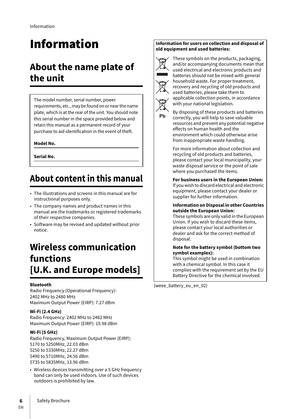# Information

# **About the name plate of the unit**

The model number, serial number, power requirements, etc., may be found on or near the name plate, which is at the rear of the unit. You should note this serial number in the space provided below and retain this manual as a permanent record of your purchase to aid identification in the event of theft.

### **Model No.**

**Serial No.**

# **About content in this manual**

- The illustrations and screens in this manual are for instructional purposes only.
- The company names and product names in this manual are the trademarks or registered trademarks of their respective companies.
- Software may be revised and updated without prior notice.

# **Wireless communication functions [U.K. and Europe models]**

### **Bluetooth**

Radio Frequency (Operational Frequency): 2402 MHz to 2480 MHz Maximum Output Power (EIRP): 7.27 dBm

### **Wi-Fi (2.4 GHz)**

Radio Frequency: 2402 MHz to 2482 MHz Maximum Output Power (EIRP): 19.98 dBm

### **Wi-Fi (5 GHz)**

Radio Frequency, Maximum Output Power (EIRP): 5170 to 5250MHz, 22.03 dBm 5250 to 5330MHz, 22.27 dBm 5490 to 5710MHz, 24.56 dBm 5735 to 5835MHz, 13.96 dBm

• Wireless devices transmitting over a 5 GHz frequency band can only be used indoors. Use of such devices outdoors is prohibited by law.

#### **Information for users on collection and disposal of old equipment and used batteries:**



These symbols on the products, packaging, and/or accompanying documents mean that used electrical and electronic products and batteries should not be mixed with general household waste. For proper treatment, recovery and recycling of old products and used batteries, please take them to applicable collection points, in accordance with your national legislation.

Ph

By disposing of these products and batteries correctly, you will help to save valuable resources and prevent any potential negative effects on human health and the environment which could otherwise arise from inappropriate waste handling.

For more information about collection and recycling of old products and batteries, please contact your local municipality, your waste disposal service or the point of sale where you purchased the items.

**For business users in the European Union:** If you wish to discard electrical and electronic equipment, please contact your dealer or supplier for further information.

#### **Information on Disposal in other Countries outside the European Union:**

These symbols are only valid in the European Union. If you wish to discard these items, please contact your local authorities or dealer and ask for the correct method of disposal.

#### **Note for the battery symbol (bottom two symbol examples):**

This symbol might be used in combination with a chemical symbol. In this case it complies with the requirement set by the EU Battery Directive for the chemical involved.

(weee\_battery\_eu\_en\_02)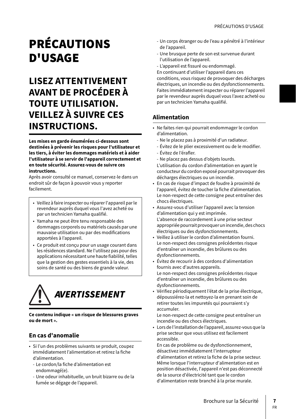# **BRÉCAUTIONS** D'USAGE

# **LISEZ ATTENTIVEMENT AVANT DE PROCÉDER À TOUTE UTILISATION. VEILLEZ À SUIVRE CES INSTRUCTIONS.**

**Les mises en garde énumérées ci-dessous sont destinées à prévenir les risques pour l'utilisateur et les tiers, à éviter les dommages matériels et à aider l'utilisateur à se servir de l'appareil correctement et en toute sécurité. Assurez-vous de suivre ces instructions.**

Après avoir consulté ce manuel, conservez-le dans un endroit sûr de façon à pouvoir vous y reporter facilement.

- Veillez à faire inspecter ou réparer l'appareil par le revendeur auprès duquel vous l'avez acheté ou par un technicien Yamaha qualifié.
- Yamaha ne peut être tenu responsable des dommages corporels ou matériels causés par une mauvaise utilisation ou par des modifications apportées à l'appareil.
- Ce produit est conçu pour un usage courant dans les résidences standard. Ne l'utilisez pas pour des applications nécessitant une haute fiabilité, telles que la gestion des gestes essentiels à la vie, des soins de santé ou des biens de grande valeur.



**Ce contenu indique « un risque de blessures graves ou de mort ».**

# **En cas d'anomalie**

- Si l'un des problèmes suivants se produit, coupez immédiatement l'alimentation et retirez la fiche d'alimentation.
	- Le cordon/la fiche d'alimentation est endommagé(e).
	- Une odeur inhabituelle, un bruit bizarre ou de la fumée se dégage de l'appareil.
- Un corps étranger ou de l'eau a pénétré à l'intérieur de l'appareil.
- Une brusque perte de son est survenue durant l'utilisation de l'appareil.
- L'appareil est fissuré ou endommagé.

En continuant d'utiliser l'appareil dans ces conditions, vous risquez de provoquer des décharges électriques, un incendie ou des dysfonctionnements. Faites immédiatement inspecter ou réparer l'appareil par le revendeur auprès duquel vous l'avez acheté ou par un technicien Yamaha qualifié.

# **Alimentation**

- Ne faites rien qui pourrait endommager le cordon d'alimentation.
	- Ne le placez pas à proximité d'un radiateur.
	- Évitez de le plier excessivement ou de le modifier.
	- Évitez de l'érafler.
	- Ne placez pas dessus d'objets lourds.

L'utilisation du cordon d'alimentation en ayant le conducteur du cordon exposé pourrait provoquer des décharges électriques ou un incendie.

- En cas de risque d'impact de foudre à proximité de l'appareil, évitez de toucher la fiche d'alimentation. Le non-respect de cette consigne peut entraîner des chocs électriques.
- Assurez-vous d'utiliser l'appareil avec la tension d'alimentation qui y est imprimée. L'absence de raccordement à une prise secteur appropriée pourrait provoquer un incendie, des chocs électriques ou des dysfonctionnements.
- Veillez à utiliser le cordon d'alimentation fourni. Le non-respect des consignes précédentes risque d'entraîner un incendie, des brûlures ou des dysfonctionnements.
- Évitez de recourir à des cordons d'alimentation fournis avec d'autres appareils. Le non-respect des consignes précédentes risque d'entraîner un incendie, des brûlures ou des dysfonctionnements.
- Vérifiez périodiquement l'état de la prise électrique, dépoussiérez-la et nettoyez-la en prenant soin de retirer toutes les impuretés qui pourraient s'y accumuler.

Le non-respect de cette consigne peut entraîner un incendie ou des chocs électriques.

• Lors de l'installation de l'appareil, assurez-vous que la prise secteur que vous utilisez est facilement accessible.

En cas de problème ou de dysfonctionnement, désactivez immédiatement l'interrupteur d'alimentation et retirez la fiche de la prise secteur. Même lorsque l'interrupteur d'alimentation est en position désactivée, l'appareil n'est pas déconnecté de la source d'électricité tant que le cordon d'alimentation reste branché à la prise murale.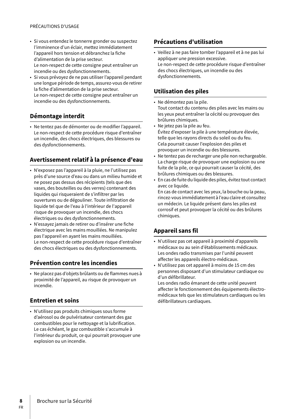- Si vous entendez le tonnerre gronder ou suspectez l'imminence d'un éclair, mettez immédiatement l'appareil hors tension et débranchez la fiche d'alimentation de la prise secteur. Le non-respect de cette consigne peut entraîner un incendie ou des dysfonctionnements.
- Si vous prévoyez de ne pas utiliser l'appareil pendant une longue période de temps, assurez-vous de retirer la fiche d'alimentation de la prise secteur. Le non-respect de cette consigne peut entraîner un incendie ou des dysfonctionnements.

### **Démontage interdit**

• Ne tentez pas de démonter ou de modifier l'appareil. Le non-respect de cette procédure risque d'entraîner un incendie, des chocs électriques, des blessures ou des dysfonctionnements.

### **Avertissement relatif à la présence d'eau**

- N'exposez pas l'appareil à la pluie, ne l'utilisez pas près d'une source d'eau ou dans un milieu humide et ne posez pas dessus des récipients (tels que des vases, des bouteilles ou des verres) contenant des liquides qui risqueraient de s'infiltrer par les ouvertures ou de dégouliner. Toute infiltration de liquide tel que de l'eau à l'intérieur de l'appareil risque de provoquer un incendie, des chocs électriques ou des dysfonctionnements.
- N'essayez jamais de retirer ou d'insérer une fiche électrique avec les mains mouillées. Ne manipulez pas l'appareil en ayant les mains mouillées. Le non-respect de cette procédure risque d'entraîner des chocs électriques ou des dysfonctionnements.

## **Prévention contre les incendies**

• Ne placez pas d'objets brûlants ou de flammes nues à proximité de l'appareil, au risque de provoquer un incendie.

### **Entretien et soins**

• N'utilisez pas produits chimiques sous forme d'aérosol ou de pulvérisateur contenant des gaz combustibles pour le nettoyage et la lubrification. Le cas échéant, le gaz combustible s'accumule à l'intérieur du produit, ce qui pourrait provoquer une explosion ou un incendie.

# **Précautions d'utilisation**

• Veillez à ne pas faire tomber l'appareil et à ne pas lui appliquer une pression excessive. Le non-respect de cette procédure risque d'entraîner des chocs électriques, un incendie ou des dysfonctionnements.

### **Utilisation des piles**

- Ne démontez pas la pile. Tout contact du contenu des piles avec les mains ou les yeux peut entraîner la cécité ou provoquer des brûlures chimiques.
- Ne jetez pas la pile au feu. Évitez d'exposer la pile à une température élevée, telle que les rayons directs du soleil ou du feu. Cela pourrait causer l'explosion des piles et provoquer un incendie ou des blessures.
- Ne tentez pas de recharger une pile non rechargeable. La charge risque de provoquer une explosion ou une fuite de la pile, ce qui pourrait causer la cécité, des brûlures chimiques ou des blessures.
- En cas de fuite du liquide des piles, évitez tout contact avec ce liquide.

En cas de contact avec les yeux, la bouche ou la peau, rincez-vous immédiatement à l'eau claire et consultez un médecin. Le liquide présent dans les piles est corrosif et peut provoquer la cécité ou des brûlures chimiques.

## **Appareil sans fil**

- N'utilisez pas cet appareil à proximité d'appareils médicaux ou au sein d'établissements médicaux. Les ondes radio transmises par l'unité peuvent affecter les appareils électro-médicaux.
- N'utilisez pas cet appareil à moins de 15 cm des personnes disposant d'un stimulateur cardiaque ou d'un défibrillateur.

Les ondes radio émanant de cette unité peuvent affecter le fonctionnement des équipements électromédicaux tels que les stimulateurs cardiaques ou les défibrillateurs cardiaques.

FR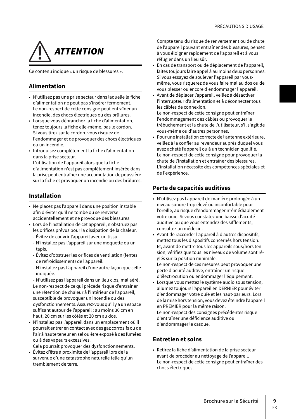# **ATTENTION**

Ce contenu indique « un risque de blessures ».

# **Alimentation**

- N'utilisez pas une prise secteur dans laquelle la fiche d'alimentation ne peut pas s'insérer fermement. Le non-respect de cette consigne peut entraîner un incendie, des chocs électriques ou des brûlures.
- Lorsque vous débranchez la fiche d'alimentation, tenez toujours la fiche elle-même, pas le cordon. Si vous tirez sur le cordon, vous risquez de l'endommager et de provoquer des chocs électriques ou un incendie.
- Introduisez complètement la fiche d'alimentation dans la prise secteur.

L'utilisation de l'appareil alors que la fiche d'alimentation n'est pas complètement insérée dans la prise peut entraîner une accumulation de poussière sur la fiche et provoquer un incendie ou des brûlures.

# **Installation**

- Ne placez pas l'appareil dans une position instable afin d'éviter qu'il ne tombe ou se renverse accidentellement et ne provoque des blessures.
- ????? Lors de l'installation de cet appareil, n'obstruez pas les orifices prévus pour la dissipation de la chaleur.
	- Évitez de couvrir l'appareil avec un tissu.
	- N'installez pas l'appareil sur une moquette ou un tapis.
	- Évitez d'obstruer les orifices de ventilation (fentes de refroidissement) de l'appareil.
	- N'installez pas l'appareil d'une autre façon que celle indiquée.

- N'utilisez pas l'appareil dans un lieu clos, mal aéré. Le non-respect de ce qui précède risque d'entraîner une rétention de chaleur à l'intérieur de l'appareil, susceptible de provoquer un incendie ou des dysfonctionnements. Assurez-vous qu'il y a un espace suffisant autour de l'appareil : au moins 30 cm en haut, 20 cm sur les côtés et 20 cm au dos.

• N'installez pas l'appareil dans un emplacement où il pourrait entrer en contact avec des gaz corrosifs ou de l'air à haute teneur en sel ou être exposé à des fumées ou à des vapeurs excessives.

Cela pourrait provoquer des dysfonctionnements.

• Évitez d'être à proximité de l'appareil lors de la survenue d'une catastrophe naturelle telle qu'un tremblement de terre.

Compte tenu du risque de renversement ou de chute de l'appareil pouvant entraîner des blessures, pensez à vous éloigner rapidement de l'appareil et à vous réfugier dans un lieu sûr.

- En cas de transport ou de déplacement de l'appareil, faites toujours faire appel à au moins deux personnes. Si vous essayez de soulever l'appareil par vousmême, vous risquerez de vous faire mal au dos ou de vous blesser ou encore d'endommager l'appareil.
- Avant de déplacer l'appareil, veillez à désactiver l'interrupteur d'alimentation et à déconnecter tous les câbles de connexion.

Le non-respect de cette consigne peut entraîner l'endommagement des câbles ou provoquer le trébuchement et la chute de l'utilisateur, s'il s'agit de vous-même ou d'autres personnes.

• Pour une installation correcte de l'antenne extérieure, veillez à la confier au revendeur auprès duquel vous avez acheté l'appareil ou à un technicien qualifié. Le non-respect de cette consigne pour provoquer la chute de l'installation et entraîner des blessures. L'installation nécessite des compétences spéciales et de l'expérience.

# **Perte de capacités auditives**

- N'utilisez pas l'appareil de manière prolongée à un niveau sonore trop élevé ou inconfortable pour l'oreille, au risque d'endommager irrémédiablement votre ouïe. Si vous constatez une baisse d'acuité auditive ou que vous entendez des sifflements, consultez un médecin.
- Avant de raccorder l'appareil à d'autres dispositifs, mettez tous les dispositifs concernés hors tension. Et, avant de mettre tous les appareils sous/hors tension, vérifiez que tous les niveaux de volume sont réglés sur la position minimale. Le non-respect de ces mesures peut provoquer une perte d'acuité auditive, entraîner un risque
- d'électrocution ou endommager l'équipement. • Lorsque vous mettez le système audio sous tension, allumez toujours l'appareil en DERNIER pour éviter d'endommager votre ouïe et les haut-parleurs. Lors de la mise hors tension, vous devez éteindre l'appareil en PREMIER pour la même raison. Le non-respect des consignes précédentes risque d'entraîner une déficience auditive ou d'endommager le casque.

## **Entretien et soins**

• Retirez la fiche d'alimentation de la prise secteur avant de procéder au nettoyage de l'appareil. Le non-respect de cette consigne peut entraîner des chocs électriques.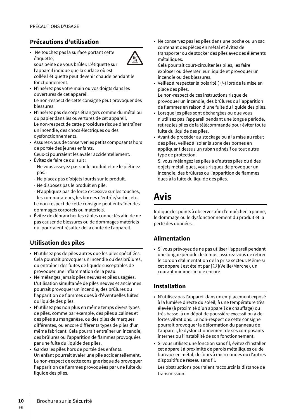# **Précautions d'utilisation**

• Ne touchez pas la surface portant cette étiquette, sous peine de vous brûler. L'étiquette sur



l'appareil indique que la surface où est collée l'étiquette peut devenir chaude pendant le fonctionnement.

- N'insérez pas votre main ou vos doigts dans les ouvertures de cet appareil. Le non-respect de cette consigne peut provoquer des blessures.
- N'insérez pas de corps étrangers comme du métal ou du papier dans les ouvertures de cet appareil. Le non-respect de cette procédure risque d'entraîner un incendie, des chocs électriques ou des dysfonctionnements.
- ????? Assurez-vous de conserver les petits composants hors de portée des jeunes enfants.

Ceux-ci pourraient les avaler accidentellement.

- Évitez de faire ce qui suit :
	- Ne vous asseyez pas sur le produit et ne le piétinez pas.
	- Ne placez pas d'objets lourds sur le produit.
	- Ne disposez pas le produit en pile.
- N'appliquez pas de force excessive sur les touches, les commutateurs, les bornes d'entrée/sortie, etc. Le non-respect de cette consigne peut entraîner des dommages corporels ou matériels.
- Évitez de débrancher les câbles connectés afin de ne pas causer de blessures ou de dommages matériels qui pourraient résulter de la chute de l'appareil.

### **Utilisation des piles**

- N'utilisez pas de piles autres que les piles spécifiées. Cela pourrait provoquer un incendie ou des brûlures, ou entraîner des fuites de liquide susceptibles de provoquer une inflammation de la peau.
- Ne mélangez jamais piles neuves et piles usagées. L'utilisation simultanée de piles neuves et anciennes pourrait provoquer un incendie, des brûlures ou l'apparition de flammes dues à d'éventuelles fuites du liquide des piles.
- N'utilisez pas non plus en même temps divers types de piles, comme par exemple, des piles alcalines et des piles au manganèse, ou des piles de marques différentes, ou encore différents types de piles d'un même fabricant. Cela pourrait entraîner un incendie, des brûlures ou l'apparition de flammes provoquées par une fuite du liquide des piles.
- Gardez les piles hors de portée des enfants. Un enfant pourrait avaler une pile accidentellement. Le non-respect de cette consigne risque de provoquer l'apparition de flammes provoquées par une fuite du liquide des piles.

• Ne conservez pas les piles dans une poche ou un sac contenant des pièces en métal et évitez de transporter ou de stocker des piles avec des éléments métalliques.

Cela pourrait court-circuiter les piles, les faire exploser ou déverser leur liquide et provoquer un incendie ou des blessures.

• Veillez à respecter la polarité (+/-) lors de la mise en place des piles.

Le non-respect de ces instructions risque de provoquer un incendie, des brûlures ou l'apparition de flammes en raison d'une fuite du liquide des piles.

- Lorsque les piles sont déchargées ou que vous n'utilisez pas l'appareil pendant une longue période, retirez les piles de la télécommande pour éviter toute fuite du liquide des piles.
- Avant de procéder au stockage ou à la mise au rebut des piles, veillez à isoler la zone des bornes en appliquant dessus un ruban adhésif ou tout autre type de protection.

Si vous mélangez les piles à d'autres piles ou à des objets métalliques, vous risquez de provoquer un incendie, des brûlures ou l'apparition de flammes dues à la fuite du liquide des piles.

# **Avis**

Indique des points à observer afin d'empêcher la panne, le dommage ou le dysfonctionnement du produit et la perte des données.

## **Alimentation**

• Si vous prévoyez de ne pas utiliser l'appareil pendant une longue période de temps, assurez-vous de retirer le cordon d'alimentation de la prise secteur. Même si cet appareil est éteint par  $\Box$ [/Veille/Marche), un courant minime circule encore.

## **Installation**

- N'utilisez pas l'appareil dans un emplacement exposé à la lumière directe du soleil, à une température très élevée (à proximité d'un appareil de chauffage) ou très basse, à un dépôt de poussière excessif ou à de fortes vibrations. Le non-respect de cette consigne pourrait provoquer la déformation du panneau de l'appareil, le dysfonctionnement de ses composants internes ou l'instabilité de son fonctionnement.
- Si vous utilisez une fonction sans fil, évitez d'installer cet appareil à proximité de parois métalliques ou de bureaux en métal, de fours à micro-ondes ou d'autres dispositifs de réseau sans fil.

Les obstructions pourraient raccourcir la distance de transmission.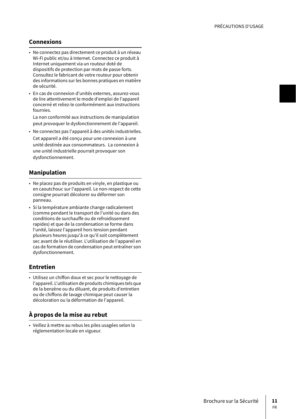### **Connexions**

- Ne connectez pas directement ce produit à un réseau Wi-Fi public et/ou à Internet. Connectez ce produit à Internet uniquement via un routeur doté de dispositifs de protection par mots de passe forts. Consultez le fabricant de votre routeur pour obtenir des informations sur les bonnes pratiques en matière de sécurité.
- En cas de connexion d'unités externes, assurez-vous de lire attentivement le mode d'emploi de l'appareil concerné et reliez-le conformément aux instructions fournies.

La non conformité aux instructions de manipulation peut provoquer le dysfonctionnement de l'appareil.

• Ne connectez pas l'appareil à des unités industrielles. Cet appareil a été conçu pour une connexion à une unité destinée aux consommateurs. La connexion à une unité industrielle pourrait provoquer son dysfonctionnement.

### **Manipulation**

- Ne placez pas de produits en vinyle, en plastique ou en caoutchouc sur l'appareil. Le non-respect de cette consigne pourrait décolorer ou déformer son panneau.
- Si la température ambiante change radicalement (comme pendant le transport de l'unité ou dans des conditions de surchauffe ou de refroidissement rapides) et que de la condensation se forme dans l'unité, laissez l'appareil hors tension pendant plusieurs heures jusqu'à ce qu'il soit complètement sec avant de le réutiliser. L'utilisation de l'appareil en cas de formation de condensation peut entraîner son dysfonctionnement.

### **Entretien**

• Utilisez un chiffon doux et sec pour le nettoyage de l'appareil. L'utilisation de produits chimiques tels que de la benzène ou du diluant, de produits d'entretien ou de chiffons de lavage chimique peut causer la décoloration ou la déformation de l'appareil.

## **À propos de la mise au rebut**

• Veillez à mettre au rebus les piles usagées selon la réglementation locale en vigueur.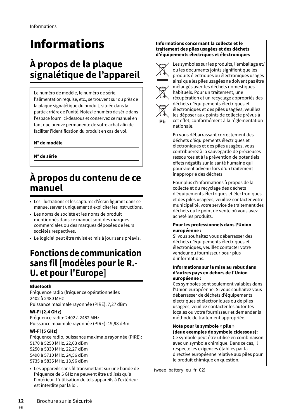# Informations

# **À propos de la plaque signalétique de l'appareil**

# Le numéro de modèle, le numéro de série,

l'alimentation requise, etc., se trouvent sur ou près de la plaque signalétique du produit, située dans la partie arrière de l'unité. Notez le numéro de série dans l'espace fourni ci-dessous et conservez ce manuel en tant que preuve permanente de votre achat afin de faciliter l'identification du produit en cas de vol.

### **N° de modèle**

**N° de série**

# **À propos du contenu de ce manuel**

- Les illustrations et les captures d'écran figurant dans ce manuel servent uniquement à expliciter les instructions.
- Les noms de société et les noms de produit mentionnés dans ce manuel sont des marques commerciales ou des marques déposées de leurs sociétés respectives.
- Le logiciel peut être révisé et mis à jour sans préavis.

# **Fonctions de communication sans fil [modèles pour le R.- U. et pour l'Europe]**

### **Bluetooth**

Fréquence radio (fréquence opérationnelle): 2402 à 2480 MHz Puissance maximale rayonnée (PIRE): 7,27 dBm

### **Wi-Fi (2,4 GHz)**

Fréquence radio: 2402 à 2482 MHz Puissance maximale rayonnée (PIRE): 19,98 dBm

### **Wi-Fi (5 GHz)**

Fréquence radio, puissance maximale rayonnée (PIRE): 5170 à 5250 MHz, 22,03 dBm 5250 à 5330 MHz, 22,27 dBm 5490 à 5710 MHz, 24,56 dBm 5735 à 5835 MHz, 13,96 dBm

• Les appareils sans fil transmettant sur une bande de fréquence de 5 GHz ne peuvent être utilisés qu'à l'intérieur. L'utilisation de tels appareils à l'extérieur est interdite par la loi.

### **Informations concernant la collecte et le traitement des piles usagées et des déchets d'équipements électriques et électroniques**



Les symboles sur les produits, l'emballage et/ ou les documents joints signifient que les produits électriques ou électroniques usagés ainsi que les piles usagées ne doivent pas être mélangés avec les déchets domestiques habituels. Pour un traitement, une récupération et un recyclage appropriés des déchets d'équipements électriques et électroniques et des piles usagées, veuillez les déposer aux points de collecte prévus à cet effet, conformément à la réglementation nationale.

En vous débarrassant correctement des déchets d'équipements électriques et électroniques et des piles usagées, vous contribuerez à la sauvegarde de précieuses ressources et à la prévention de potentiels effets négatifs sur la santé humaine qui pourraient advenir lors d'un traitement inapproprié des déchets.

Pour plus d'informations à propos de la collecte et du recyclage des déchets d'équipements électriques et électroniques et des piles usagées, veuillez contacter votre municipalité, votre service de traitement des déchets ou le point de vente où vous avez acheté les produits.

#### **Pour les professionnels dans l'Union européenne :**

Si vous souhaitez vous débarrasser des déchets d'équipements électriques et électroniques, veuillez contacter votre vendeur ou fournisseur pour plus d'informations.

#### **Informations sur la mise au rebut dans d'autres pays en dehors de l'Union européenne :**

Ces symboles sont seulement valables dans l'Union européenne. Si vous souhaitez vous débarrasser de déchets d'équipements électriques et électroniques ou de piles usagées, veuillez contacter les autorités locales ou votre fournisseur et demander la méthode de traitement appropriée.

**Note pour le symbole « pile » (deux exemples de symbole cidessous):** Ce symbole peut être utilisé en combinaison

avec un symbole chimique. Dans ce cas, il respecte les exigences établies par la directive européenne relative aux piles pour le produit chimique en question.

(weee battery eu fr\_02)

FR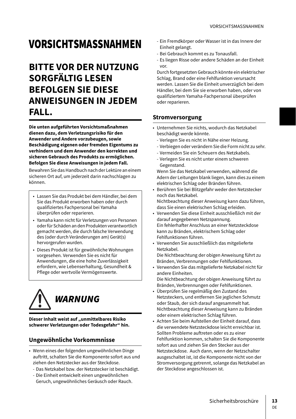# VORSICHTSMASSNAHMEN

# **BITTE VOR DER NUTZUNG SORGFÄLTIG LESEN BEFOLGEN SIE DIESE ANWEISUNGEN IN JEDEM FALL.**

**Die unten aufgeführten Vorsichtsmaßnahmen dienen dazu, dem Verletzungsrisiko für den Anwender und Andere vorzubeugen, sowie Beschädigung eigenen oder fremden Eigentums zu verhindern und dem Anwender den korrekten und sicheren Gebrauch des Produkts zu ermöglichen. Befolgen Sie diese Anweisungen in jedem Fall.**

Bewahren Sie das Handbuch nach der Lektüre an einem sicheren Ort auf, um jederzeit darin nachschlagen zu können.

- Lassen Sie das Produkt bei dem Händler, bei dem Sie das Produkt erworben haben oder durch qualifiziertes Fachpersonal bei Yamaha überprüfen oder reparieren.
- Yamaha kann nicht für Verletzungen von Personen oder für Schäden an den Produkten verantwortlich gemacht werden, die durch falsche Verwendung des (oder durch Veränderungen am) Gerät(s) hervorgerufen wurden.
- Dieses Produkt ist für gewöhnliche Wohnungen vorgesehen. Verwenden Sie es nicht für Anwendungen, die eine hohe Zuverlässigkeit erfordern, wie Lebenserhaltung, Gesundheit & Pflege oder wertvolle Vermögenswerte.



**Dieser Inhalt weist auf "unmittelbares Risiko schwerer Verletzungen oder Todesgefahr" hin.**

## **Ungewöhnliche Vorkommnisse**

- Wenn eines der folgenden ungewöhnlichen Dinge auftritt, schalten Sie die Komponente sofort aus und ziehen den Netzstecker aus der Steckdose.
	- Das Netzkabel bzw. der Netzstecker ist beschädigt.
	- Die Einheit entwickelt einen ungewöhnlichen Geruch, ungewöhnliches Geräusch oder Rauch.
- Ein Fremdkörper oder Wasser ist in das Innere der Einheit gelangt.
- Bei Gebrauch kommt es zu Tonausfall.
- Es liegen Risse oder andere Schäden an der Einheit vor.

Durch fortgesetzten Gebrauch könnte ein elektrischer Schlag, Brand oder eine Fehlfunktion verursacht werden. Lassen Sie die Einheit unverzüglich bei dem Händler, bei dem Sie sie erworben haben, oder von qualifiziertem Yamaha-Fachpersonal überprüfen oder reparieren.

### **Stromversorgung**

- Unternehmen Sie nichts, wodurch das Netzkabel beschädigt werde könnte.
	- Verlegen Sie es nicht in Nähe einer Heizung.
	- Verbiegen oder verändern Sie die Form nicht zu sehr.
	- Vermeiden Sie ein Scheuern des Netzkabels.
	- Verlegen Sie es nicht unter einem schweren Gegenstand.

Wenn Sie das Netzkabel verwenden, während die Adern der Leitungen blank liegen, kann dies zu einem elektrischen Schlag oder Bränden führen.

- Berühren Sie bei Blitzgefahr weder den Netzstecker noch das Netzkabel. Nichtbeachtung dieser Anweisung kann dazu führen, dass Sie einen elektrischen Schlag erleiden.
- Verwenden Sie diese Einheit ausschließlich mit der darauf angegebenen Netzspannung. Ein fehlerhafter Anschluss an einer Netzsteckdose kann zu Bränden, elektrischem Schlag oder Fehlfunktionen führen.
- Verwenden Sie ausschließlich das mitgelieferte Netzkabel.

Die Nichtbeachtung der obigen Anweisung führt zu Bränden, Verbrennungen oder Fehlfunktionen.

- Verwenden Sie das mitgelieferte Netzkabel nicht für andere Einheiten.
- Die Nichtbeachtung der obigen Anweisung führt zu Bränden, Verbrennungen oder Fehlfunktionen.
- Überprüfen Sie regelmäßig den Zustand des Netzsteckers, und entfernen Sie jeglichen Schmutz oder Staub, der sich darauf angesammelt hat. Nichtbeachtung dieser Anweisung kann zu Bränden oder einem elektrischen Schlag führen.
- Achten Sie beim Aufstellen der Einheit darauf, dass die verwendete Netzsteckdose leicht erreichbar ist. Sollten Probleme auftreten oder es zu einer Fehlfunktion kommen, schalten Sie die Komponente sofort aus und ziehen Sie den Stecker aus der Netzsteckdose. Auch dann, wenn der Netzschalter ausgeschaltet ist, ist die Komponente nicht von der Stromversorgung getrennt, solange das Netzkabel an der Steckdose angeschlossen ist.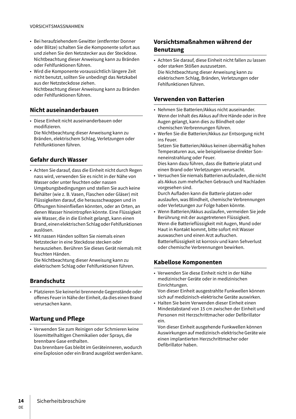- Bei heraufziehendem Gewitter (entfernter Donner oder Blitze) schalten Sie die Komponente sofort aus und ziehen Sie den Netzstecker aus der Steckdose. Nichtbeachtung dieser Anweisung kann zu Bränden oder Fehlfunktionen führen.
- Wird die Komponente voraussichtlich längere Zeit nicht benutzt, sollten Sie unbedingt das Netzkabel aus der Netzsteckdose ziehen. Nichtbeachtung dieser Anweisung kann zu Bränden oder Fehlfunktionen führen.

## **Nicht auseinanderbauen**

• Diese Einheit nicht auseinanderbauen oder modifizieren.

Die Nichtbeachtung dieser Anweisung kann zu Bränden, elektrischem Schlag, Verletzungen oder Fehlfunktionen führen.

## **Gefahr durch Wasser**

- Achten Sie darauf, dass die Einheit nicht durch Regen nass wird, verwenden Sie es nicht in der Nähe von Wasser oder unter feuchten oder nassen Umgebungsbedingungen und stellen Sie auch keine Behälter (wie z. B. Vasen, Flaschen oder Gläser) mit Flüssigkeiten darauf, die herausschwappen und in Öffnungen hineinfließen könnten, oder an Orten, an denen Wasser hineintropfen könnte. Eine Flüssigkeit wie Wasser, die in die Einheit gelangt, kann einen Brand, einen elektrischen Schlag oder Fehlfunktionen auslösen.
- Mit nassen Händen sollten Sie niemals einen Netzstecker in eine Steckdose stecken oder herausziehen. Berühren Sie dieses Gerät niemals mit feuchten Händen.

Die Nichtbeachtung dieser Anweisung kann zu elektrischem Schlag oder Fehlfunktionen führen.

## **Brandschutz**

• Platzieren Sie keinerlei brennende Gegenstände oder offenes Feuer in Nähe der Einheit, da dies einen Brand verursachen kann.

## **Wartung und Pflege**

• Verwenden Sie zum Reinigen oder Schmieren keine lösemittelhaltigen Chemikalien oder Sprays, die brennbare Gase enthalten.

Das brennbare Gas bleibt im Geräteinneren, wodurch eine Explosion oder ein Brand ausgelöst werden kann.

## **Vorsichtsmaßnahmen während der Benutzung**

• Achten Sie darauf, diese Einheit nicht fallen zu lassen oder starken Stößen auszusetzen. Die Nichtbeachtung dieser Anweisung kann zu elektrischem Schlag, Bränden, Verletzungen oder Fehlfunktionen führen.

### **Verwenden von Batterien**

- Nehmen Sie Batterien/Akkus nicht auseinander. Wenn der Inhalt des Akkus auf Ihre Hände oder in Ihre Augen gelangt, kann dies zu Blindheit oder chemischen Verbrennungen führen.
- Werfen Sie die Batterien/Akkus zur Entsorgung nicht ins Feuer.

Setzen Sie Batterien/Akkus keinen übermäßig hohen Temperaturen aus, wie beispielsweise direkter Sonneneinstrahlung oder Feuer.

Dies kann dazu führen, dass die Batterie platzt und einen Brand oder Verletzungen verursacht.

• Versuchen Sie niemals Batterien aufzuladen, die nicht als Akkus zum mehrfachen Gebrauch und Nachladen vorgesehen sind.

Durch Aufladen kann die Batterie platzen oder auslaufen, was Blindheit, chemische Verbrennungen oder Verletzungen zur Folge haben könnte.

• Wenn Batterien/Akkus auslaufen, vermeiden Sie jede Berührung mit der ausgetretenen Flüssigkeit. Wenn die Batterieflüssigkeit mit Augen, Mund oder Haut in Kontakt kommt, bitte sofort mit Wasser auswaschen und einen Arzt aufsuchen. Batterieflüssigkeit ist korrosiv und kann Sehverlust oder chemische Verbrennungen bewirken.

## **Kabellose Komponenten**

• Verwenden Sie diese Einheit nicht in der Nähe medizinischer Geräte oder in medizinischen Einrichtungen.

Von dieser Einheit ausgestrahlte Funkwellen können sich auf medizinisch-elektrische Geräte auswirken.

• Halten Sie beim Verwenden dieser Einheit einen Mindestabstand von 15 cm zwischen der Einheit und Personen mit Herzschrittmacher oder Defibrillator ein.

Von dieser Einheit ausgehende Funkwellen können Auswirkungen auf medizinisch-elektrische Geräte wie einen implantierten Herzschrittmacher oder Defibrillator haben.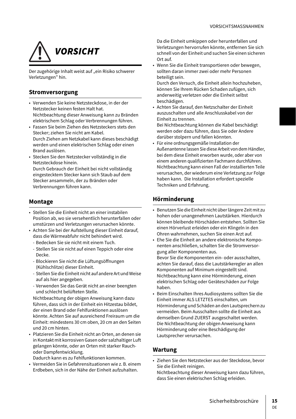

Der zugehörige Inhalt weist auf "ein Risiko schwerer Verletzungen" hin.

### **Stromversorgung**

- Verwenden Sie keine Netzsteckdose, in der der Netzstecker keinen festen Halt hat. Nichtbeachtung dieser Anweisung kann zu Bränden elektrischem Schlag oder Verbrennungen führen.
- Fassen Sie beim Ziehen des Netzsteckers stets den Stecker; ziehen Sie nicht am Kabel. Durch Ziehen am Netzkabel kann dieses beschädigt werden und einen elektrischen Schlag oder einen Brand auslösen.
- Stecken Sie den Netzstecker vollständig in die Netzsteckdose hinein. Durch Gebrauch der Einheit bei nicht vollständig eingestecktem Stecker kann sich Staub auf dem Stecker ansammeln, der zu Bränden oder Verbrennungen führen kann.

### **Montage**

- Stellen Sie die Einheit nicht an einer instabilen Position ab, wo sie versehentlich herunterfallen oder umstürzen und Verletzungen verursachen könnte.
- Achten Sie bei der Aufstellung dieser Einheit darauf, dass die Wärmeabfuhr nicht behindert wird.
	- Bedecken Sie sie nicht mit einem Tuch.
	- Stellen Sie sie nicht auf einen Teppich oder eine Decke.
	- Blockieren Sie nicht die Lüftungsöffnungen (Kühlschlitze) dieser Einheit.
	- Stellen Sie die Einheit nicht auf andere Art und Weise auf als hier angegeben.
	- Verwenden Sie das Gerät nicht an einer beengten und schlecht belüfteten Stelle.

Nichtbeachtung der obigen Anweisung kann dazu führen, dass sich in der Einheit ein Hitzestau bildet, der einen Brand oder Fehlfunktionen auslösen könnte. Achten Sie auf ausreichend Freiraum um die Einheit: mindestens 30 cm oben, 20 cm an den Seiten und 20 cm hinten.

• Platzieren Sie die Einheit nicht an Orten, an denen sie in Kontakt mit korrosiven Gasen oder salzhaltiger Luft gelangen könnte, oder an Orten mit starker Rauchoder Dampfentwicklung.

Dadurch kann es zu Fehlfunktionen kommen.

• Vermeiden Sie in Gefahrensituationen wie z. B. einem Erdbeben, sich in der Nähe der Einheit aufzuhalten.

Da die Einheit umkippen oder herunterfallen und Verletzungen hervorrufen könnte, entfernen Sie sich schnell von der Einheit und suchen Sie einen sicheren  $Q_{\text{tot}}$  and

• Wenn Sie die Einheit transportieren oder bewegen, sollten daran immer zwei oder mehr Personen beteiligt sein.

Durch den Versuch, die Einheit allein hochzuheben, können Sie Ihrem Rücken Schaden zufügen, sich anderweitig verletzen oder die Einheit selbst beschädigen.

• Achten Sie darauf, den Netzschalter der Einheit auszuschalten und alle Anschlusskabel von der Einheit zu trennen.

Bei Nichtbeachtung können die Kabel beschädigt werden oder dazu führen, dass Sie oder Andere darüber stolpern und fallen könnten.

• Für eine ordnungsgemäße Installation der Außenantenne lassen Sie diese Arbeit von dem Händler, bei dem diese Einheit erworben wurde, oder aber von einem anderen qualifizierten Fachmann durchführen. Nichtbeachtung kann einen Fall der installierten Teile verursachen, der wiederum eine Verletzung zur Folge haben kann. Die Installation erfordert spezielle Techniken und Erfahrung.

### **Hörminderung**

- Benutzen Sie die Einheit nicht über längere Zeit mit zu hohen oder unangenehmen Lautstärken. Hierdurch können bleibende Hörschäden entstehen. Sollten Sie einen Hörverlust erleiden oder ein Klingeln in den Ohren wahrnehmen, suchen Sie einen Arzt auf.
- Ehe Sie die Einheit an andere elektronische Komponenten anschließen, schalten Sie die Stromversorgung aller Komponenten aus. Bevor Sie die Komponenten ein- oder ausschalten, achten Sie darauf, dass die Lautstärkeregler an allen

Komponenten auf Minimum eingestellt sind. Nichtbeachtung kann eine Hörminderung, einen elektrischen Schlag oder Geräteschäden zur Folge haben.

• Beim Einschalten Ihres Audiosystems sollten Sie die Einheit immer ALS LETZTES einschalten, um Hörminderung und Schäden an den Lautsprechern zu vermeiden. Beim Ausschalten sollte die Einheit aus demselben Grund ZUERST ausgeschaltet werden. Die Nichtbeachtung der obigen Anweisung kann Hörminderung oder eine Beschädigung der Lautsprecher verursachen.

### **Wartung**

• Ziehen Sie den Netzstecker aus der Steckdose, bevor Sie die Einheit reinigen.

Nichtbeachtung dieser Anweisung kann dazu führen, dass Sie einen elektrischen Schlag erleiden.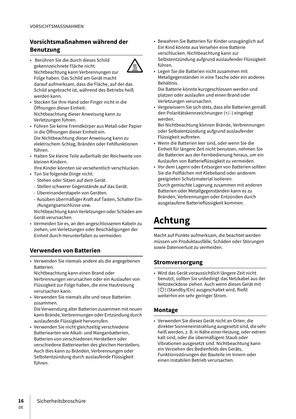# **Vorsichtsmaßnahmen während der Benutzung**

- Berühren Sie die durch dieses Schild gekennzeichnete Fläche nicht. Nichtbeachtung kann Verbrennungen zur Folge haben. Das Schild am Gerät macht darauf aufmerksam, dass die Fläche, auf der das Schild angebracht ist, während des Betriebs heiß werden kann.
- Stecken Sie Ihre Hand oder Finger nicht in die Öffnungen dieser Einheit. Nichtbeachtung dieser Anweisung kann zu Verletzungen führen.
- Führen Sie keine Fremdkörper aus Metall oder Papier in die Öffnungen dieser Einheit ein. Die Nichtbeachtung dieser Anweisung kann zu
- elektrischem Schlag, Bränden oder Fehlfunktionen führen.
- Halten Sie kleine Teile außerhalb der Reichweite von kleinen Kindern.

Ihre Kinder könnten sie versehentlich verschlucken.

- Tun Sie folgende Dinge nicht:
- Stehen oder Sitzen auf dem Gerät.
- Stellen schwerer Gegenstände auf das Gerät.
- Übereinanderstapeln von Geräten.
- Ausüben übermäßiger Kraft auf Tasten, Schalter Ein- /Ausgangsanschlüsse usw.

Nichtbeachtung kann Verletzungen oder Schäden am Gerät verursachen.

• Vermeiden Sie es, an den angeschlossenen Kabeln zu ziehen, um Verletzungen oder Beschädigungen der Einheit durch Herunterfallen zu vermeiden.

### **Verwenden von Batterien**

• Verwenden Sie niemals andere als die angegebenen Batterien.

Nichtbeachtung kann einen Brand oder Verbrennungen verursachen oder ein Auslaufen von Flüssigkeit zur Folge haben, die eine Hautreizung verursachen kann.

• Verwenden Sie niemals alte und neue Batterien zusammen.

Die Verwendung alter Batterien zusammen mit neuen kann Brände, Verbrennungen oder Entzündung durch auslaufende Flüssigkeit hervorrufen.

• Verwenden Sie nicht gleichzeitig verschiedene Batteriearten wie Alkali- und Manganbatterien, Batterien von verschiedenen Herstellern oder verschiedene Batteriearten des gleichen Herstellers. Auch dies kann zu Bränden, Verbrennungen oder Selbstentzündung durch auslaufende Flüssigkeit führen.

- Bewahren Sie Batterien für Kinder unzugänglich auf. Ein Kind könnte aus Versehen eine Batterie verschlucken. Nichtbeachtung kann zur Selbstentzündung aufgrund auslaufender Flüssigkeit führen.
- Legen Sie die Batterien nicht zusammen mit Metallgegenständen in eine Tasche oder ein anderes Behältnis.

Die Batterie könnte kurzgeschlossen werden und platzen oder auslaufen und einen Brand oder Verletzungen verursachen.

• Vergewissern Sie sich stets, dass alle Batterien gemäß den Polaritätskennzeichnungen (+/–) eingelegt werden.

Bei Nichtbeachtung können Brände, Verbrennungen oder Selbstentzündung aufgrund auslaufender Flüssigkeit auftreten.

- Wenn die Batterien leer sind, oder wenn Sie die Einheit für längere Zeit nicht benutzen, nehmen Sie die Batterien aus der Fernbedienung heraus, um ein Auslaufen von Batterieflüssigkeit zu vermeiden.
- Vor dem Lagern oder Entsorgen von Batterien sollten Sie die Polflächen mit Klebeband oder anderem geeigneten Schutzmaterial isolieren. Durch gemischte Lagerung zusammen mit anderen Batterien oder Metallgegenständen kann es zu Bränden, Verbrennungen oder Entzünden durch ausgelaufene Batterieflüssigkeit kommen.

# **Achtung**

Macht auf Punkte aufmerksam, die beachtet werden müssen um Produktausfälle, Schäden oder Störungen sowie Datenverlust zu vermeiden.

### **Stromversorgung**

• Wird das Gerät voraussichtlich längere Zeit nicht benutzt, sollten Sie unbedingt das Netzkabel aus der Netzsteckdose ziehen. Auch wenn dieses Gerät mit [U] (Standby/Ein) ausgeschaltet wird, fließt weiterhin ein sehr geringer Strom.

### **Montage**

• Verwenden Sie dieses Gerät nicht an Orten, die direkter Sonneneinstrahlung ausgesetzt sind, die sehr heiß werden, z. B. in Nähe einer Heizung, oder extrem kalt sind, oder die übermäßigem Staub oder Vibrationen ausgesetzt sind. Nichtbeachtung kann ein Verziehen des Bedienfelds des Geräts, Funktionsstörungen der Bauteile im Innern oder einen instabilen Betrieb verursachen.

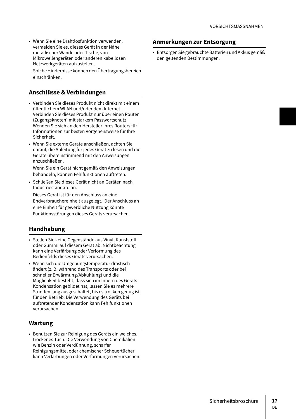• Wenn Sie eine Drahtlosfunktion verwenden, vermeiden Sie es, dieses Gerät in der Nähe metallischer Wände oder Tische, von Mikrowellengeräten oder anderen kabellosen Netzwerkgeräten aufzustellen.

Solche Hindernisse können den Übertragungsbereich einschränken.

### **Anschlüsse & Verbindungen**

- Verbinden Sie dieses Produkt nicht direkt mit einem öffentlichem WLAN und/oder dem Internet. Verbinden Sie dieses Produkt nur über einen Router (Zugangsknoten) mit starkem Passwortschutz. Wenden Sie sich an den Hersteller Ihres Routers für Informationen zur besten Vorgehensweise für Ihre Sicherheit.
- Wenn Sie externe Geräte anschließen, achten Sie darauf, die Anleitung für jedes Gerät zu lesen und die Geräte übereinstimmend mit den Anweisungen anzuschließen.

Wenn Sie ein Gerät nicht gemäß den Anweisungen behandeln, können Fehlfunktionen auftreten.

• Schließen Sie dieses Gerät nicht an Geräten nach Industriestandard an.

Dieses Gerät ist für den Anschluss an eine Endverbrauchereinheit ausgelegt. Der Anschluss an eine Einheit für gewerbliche Nutzung könnte Funktionsstörungen dieses Geräts verursachen.

### **Handhabung**

- Stellen Sie keine Gegenstände aus Vinyl, Kunststoff oder Gummi auf diesem Gerät ab. Nichtbeachtung kann eine Verfärbung oder Verformung des Bedienfelds dieses Geräts verursachen.
- Wenn sich die Umgebungstemperatur drastisch ändert (z. B. während des Transports oder bei schneller Erwärmung/Abkühlung) und die Möglichkeit besteht, dass sich im Innern des Geräts Kondensation gebildet hat, lassen Sie es mehrere Stunden lang ausgeschaltet, bis es trocken genug ist für den Betrieb. Die Verwendung des Geräts bei auftretender Kondensation kann Fehlfunktionen verursachen.

### **Wartung**

• Benutzen Sie zur Reinigung des Geräts ein weiches, trockenes Tuch. Die Verwendung von Chemikalien wie Benzin oder Verdünnung, scharfer Reinigungsmittel oder chemischer Scheuertücher kann Verfärbungen oder Verformungen verursachen.

### **Anmerkungen zur Entsorgung**

• Entsorgen Sie gebrauchte Batterien und Akkus gemäß den geltenden Bestimmungen.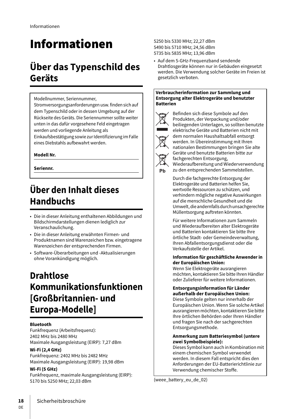# Informationen

# **Über das Typenschild des Geräts**

Modellnummer, Seriennummer,

Stromversorgungsanforderungen usw. finden sich auf dem Typenschild oder in dessen Umgebung auf der Rückseite des Geräts. Die Seriennummer sollte weiter unten in das dafür vorgesehene Feld eingetragen werden und vorliegende Anleitung als Einkaufsbestätigung sowie zur Identifizierung im Falle eines Diebstahls aufbewahrt werden.

### **Modell Nr.**

**Seriennr.**

# **Über den Inhalt dieses Handbuchs**

- Die in dieser Anleitung enthaltenen Abbildungen und Bildschirmdarstellungen dienen lediglich zur Veranschaulichung.
- Die in dieser Anleitung erwähnten Firmen- und Produktnamen sind Warenzeichen bzw. eingetragene Warenzeichen der entsprechenden Firmen.
- Software-Überarbeitungen und -Aktualisierungen ohne Vorankündigung möglich.

# **Drahtlose Kommunikationsfunktionen [Großbritannien- und Europa-Modelle]**

### **Bluetooth**

Funkfrequenz (Arbeitsfrequenz): 2402 MHz bis 2480 MHz Maximale Ausgangsleistung (EIRP): 7,27 dBm

### **Wi-Fi (2,4 GHz)**

Funkfrequenz: 2402 MHz bis 2482 MHz Maximale Ausgangsleistung (EIRP): 19,98 dBm

### **Wi-Fi (5 GHz)**

DE

Funkfrequenz, maximale Ausgangsleistung (EIRP): 5170 bis 5250 MHz; 22,03 dBm

5250 bis 5330 MHz; 22,27 dBm 5490 bis 5710 MHz; 24,56 dBm 5735 bis 5835 MHz; 13,96 dBm

• Auf dem 5-GHz-Frequenzband sendende Drahtlosgeräte können nur in Gebäuden eingesetzt werden. Die Verwendung solcher Geräte im Freien ist gesetzlich verboten.

#### **Verbraucherinformation zur Sammlung und Entsorgung alter Elektrogeräte und benutzter Batterien**



Ph

Befinden sich diese Symbole auf den Produkten, der Verpackung und/oder beiliegenden Unterlagen, so sollten benutzte elektrische Geräte und Batterien nicht mit dem normalen Haushaltsabfall entsorgt werden. In Übereinstimmung mit Ihren nationalen Bestimmungen bringen Sie alte Geräte und benutzte Batterien bitte zur fachgerechten Entsorgung, Wiederaufbereitung und Wiederverwendung zu den entsprechenden Sammelstellen.

Durch die fachgerechte Entsorgung der Elektrogeräte und Batterien helfen Sie, wertvolle Ressourcen zu schützen, und verhindern mögliche negative Auswirkungen auf die menschliche Gesundheit und die Umwelt, die andernfalls durch unsachgerechte Müllentsorgung auftreten könnten.

Für weitere Informationen zum Sammeln und Wiederaufbereiten alter Elektrogeräte und Batterien kontaktieren Sie bitte Ihre örtliche Stadt- oder Gemeindeverwaltung, Ihren Abfallentsorgungsdienst oder die Verkaufsstelle der Artikel.

#### **Information für geschäftliche Anwender in der Europäischen Union:**

Wenn Sie Elektrogeräte ausrangieren möchten, kontaktieren Sie bitte Ihren Händler oder Zulieferer für weitere Informationen.

### **Entsorgungsinformation für Länder außerhalb der Europäischen Union:**

Diese Symbole gelten nur innerhalb der Europäischen Union. Wenn Sie solche Artikel ausrangieren möchten, kontaktieren Sie bitte Ihre örtlichen Behörden oder Ihren Händler und fragen Sie nach der sachgerechten Entsorgungsmethode.

#### **Anmerkung zum Batteriesymbol (untere zwei Symbolbeispiele):**

Dieses Symbol kann auch in Kombination mit einem chemischen Symbol verwendet werden. In diesem Fall entspricht dies den Anforderungen der EU-Batterierichtlinie zur Verwendung chemischer Stoffe.

(weee\_battery\_eu\_de\_02)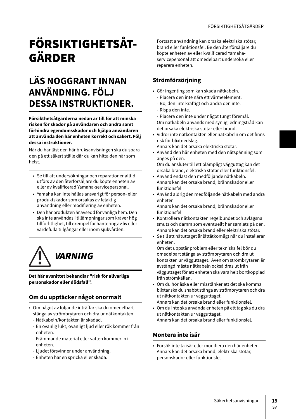# FÖRSIKTIGHETSÅT-GÄRDER

# **LÄS NOGGRANT INNAN ANVÄNDNING. FÖLJ DESSA INSTRUKTIONER.**

**Försikthetsåtgärderna nedan är till för att minska risken för skador på användaren och andra samt förhindra egendomsskador och hjälpa användaren att använda den här enheten korrekt och säkert. Följ dessa instruktioner.**

När du har läst den här bruksanvisningen ska du spara den på ett säkert ställe där du kan hitta den när som helst.

- Se till att undersökningar och reparationer alltid utförs av den återförsäljare du köpte enheten av eller av kvalificerad Yamaha-servicepersonal.
- Yamaha kan inte hållas ansvarigt för person- eller produktskador som orsakas av felaktig användning eller modifiering av enheten.
- Den här produkten är avsedd för vanliga hem. Den ska inte användas i tillämpningar som kräver hög tillförlitlighet, till exempel för hantering av liv eller värdefulla tillgångar eller inom sjukvården.



### **Det här avsnittet behandlar "risk för allvarliga personskador eller dödsfall".**

# **Om du upptäcker något onormalt**

- Om något av följande inträffar ska du omedelbart stänga av strömbrytaren och dra ur nätkontakten.
	- Nätkabeln/kontakten är skadad.
	- En ovanlig lukt, ovanligt ljud eller rök kommer från enheten.
	- Främmande material eller vatten kommer in i enheten.
	- Ljudet försvinner under användning.
	- Enheten har en spricka eller skada.

Fortsatt användning kan orsaka elektriska stötar, brand eller funktionsfel. Be den återförsäljare du köpte enheten av eller kvalificerad Yamahaservicepersonal att omedelbart undersöka eller reparera enheten.

# **Strömförsörjning**

- ????? Gör ingenting som kan skada nätkabeln.
	- Placera den inte nära ett värmeelement.
	- Böj den inte kraftigt och ändra den inte.
	- Rispa den inte.
- Placera den inte under något tungt föremål. Om nätkabeln används med synlig ledningstråd kan det orsaka elektriska stötar eller brand.
- Vidrör inte nätkontakten eller nätkabeln om det finns risk för blixtnedslag.
- Annars kan det orsaka elektriska stötar.
- Använd den här enheten med den nätspänning som anges på den.

Om du ansluter till ett olämpligt vägguttag kan det orsaka brand, elektriska stötar eller funktionsfel.

- Använd endast den medföljande nätkabeln. Annars kan det orsaka brand, brännskador eller funktionsfel.
- Använd aldrig den medföljande nätkabeln med andra enheter.

Annars kan det orsaka brand, brännskador eller funktionsfel.

- Kontrollera nätkontakten regelbundet och avlägsna smuts och damm som eventuellt har samlats på den. Annars kan det orsaka brand eller elektriska stötar.
- Se till att nätuttaget är lättåtkomligt när du installerar enheten.

Om det uppstår problem eller tekniska fel bör du omedelbart stänga av strömbrytaren och dra ut kontakten ur vägguttaget. Även om strömbrytaren är avstängd måste nätkabeln också dras ut från vägguttaget för att enheten ska vara helt bortkopplad från strömkällan.

- Om du hör åska eller misstänker att det ska komma blixtar ska du snabbt stänga av strömbrytaren och dra ut nätkontakten ur vägguttaget. Annars kan det orsaka brand eller funktionsfel.
- Om du inte ska använda enheten på ett tag ska du dra ut nätkontakten ur vägguttaget.
	- Annars kan det orsaka brand eller funktionsfel.

## **Montera inte isär**

• Försök inte ta isär eller modifiera den här enheten. Annars kan det orsaka brand, elektriska stötar, personskador eller funktionsfel.

SV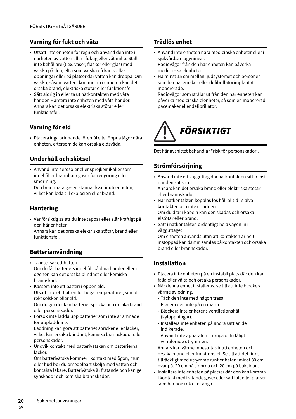# **Varning för fukt och väta**

- Utsätt inte enheten för regn och använd den inte i närheten av vatten eller i fuktig eller våt miljö. Ställ inte behållare (t.ex. vaser, flaskor eller glas) med vätska på den, eftersom vätska då kan spillas i öppningar eller på platser där vatten kan droppa. Om vätska, såsom vatten, kommer in i enheten kan det orsaka brand, elektriska stötar eller funktionsfel.
- Sätt aldrig in eller ta ut nätkontakten med våta händer. Hantera inte enheten med våta händer. Annars kan det orsaka elektriska stötar eller funktionsfel.

## **Varning för eld**

• Placera inga brinnande föremål eller öppna lågor nära enheten, eftersom de kan orsaka eldsvåda.

## **Underhåll och skötsel**

• Använd inte aerosoler eller sprejkemikalier som innehåller brännbara gaser för rengöring eller smörjning.

Den brännbara gasen stannar kvar inuti enheten, vilket kan leda till explosion eller brand.

## **Hantering**

• Var försiktig så att du inte tappar eller slår kraftigt på den här enheten.

Annars kan det orsaka elektriska stötar, brand eller funktionsfel.

# **Batterianvändning**

- Ta inte isär ett batteri. Om du får batteriets innehåll på dina händer eller i ögonen kan det orsaka blindhet eller kemiska brännskador.
- Kassera inte ett batteri i öppen eld. Utsätt inte ett batteri för höga temperaturer, som direkt solsken eller eld.

Om du gör det kan batteriet spricka och orsaka brand eller personskador.

• Försök inte ladda upp batterier som inte är ämnade för uppladdning.

Laddning kan göra att batteriet spricker eller läcker, vilket kan orsaka blindhet, kemiska brännskador eller personskador.

• Undvik kontakt med batterivätskan om batterierna läcker.

Om batterivätska kommer i kontakt med ögon, mun eller hud bör du omedelbart skölja med vatten och kontakta läkare. Batterivätska är frätande och kan ge synskador och kemiska brännskador.

## **Trådlös enhet**

- Använd inte enheten nära medicinska enheter eller i sjukvårdsanläggningar. Radiovågor från den här enheten kan påverka medicinska elenheter.
- Ha minst 15 cm mellan ljudsystemet och personer som har pacemaker eller defibrillatorimplantat inopererade.

Radiovågor som strålar ut från den här enheten kan påverka medicinska elenheter, så som en inopererad pacemaker eller defibrillator.



Det här avsnittet behandlar "risk för personskador".

# **Strömförsörjning**

- Använd inte ett vägguttag där nätkontakten sitter löst när den satts in.
- Annars kan det orsaka brand eller elektriska stötar eller brännskador.
- När nätkontakten kopplas los håll alltid i själva kontakten och inte i sladden. Om du drar i kabeln kan den skadas och orsaka elstötar eller brand.
- Sätt i nätkontakten ordentligt hela vägen in i vägguttaget.

Om enheten används utan att kontakten är helt instoppad kan damm samlas på kontakten och orsaka brand eller brännskador.

## **Installation**

- Placera inte enheten på en instabil plats där den kan falla eller välta och orsaka personskador.
- När denna enhet installeras, se till att inte blockera värme avledning.
	- Täck den inte med någon trasa.
	- Placera den inte på en matta.
	- Blockera inte enhetens ventilationshål (kylöppningar).
	- Installera inte enheten på andra sätt än de indikerade.
	- Använd inte apparaten i trånga och dåligt ventilerade utrymmen.

Annars kan värme inneslutas inuti enheten och orsaka brand eller funktionsfel. Se till att det finns tillräckligt med utrymme runt enheten: minst 30 cm ovanpå, 20 cm på sidorna och 20 cm på baksidan.

• Installera inte enheten på platser där den kan komma i kontakt med frätande gaser eller salt luft eller platser som har hög rök eller ånga.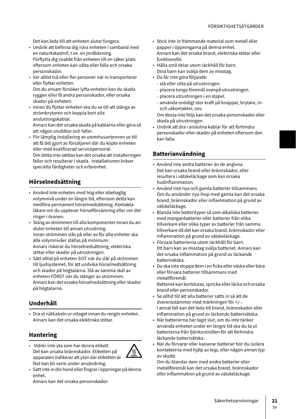Det kan leda till att enheten slutar fungera.

- Undvik att befinna dig nära enheten i samband med en naturkatastrof, t.ex. en jordbävning. Förflytta dig snabbt från enheten till en säker plats eftersom enheten kan välta eller falla och orsaka personskador.
- Var alltid två eller fler personer när ni transporterar eller flyttar enheten. Om du ensam försöker lyfta enheten kan du skada ryggen eller få andra personskador, eller orsaka skador på enheten.
- Innan du flyttar enheten ska du se till att stänga av strömbrytaren och koppla bort alla anslutningskablar. Annars kan det orsaka skada på kablarna eller göra så att någon snubblar och faller.
- För lämplig installering av utomhusantennen se till att få det gjort av försäljaren där du köpte enheten eller med kvalificerad servicepersonal. Om detta inte iakttas kan det orsaka att installeringen faller och resulterar i skada. Installationen kräver speciella färdigheter och erfarenhet.

# **Hörselnedsättning**

- Använd inte enheten med hög eller obehaglig volymnivå under en längre tid, eftersom detta kan medföra permanent hörselnedsättning. Kontakta läkare om du upplever hörselförsämring eller om det ringer i öronen.
- Stäng av strömmen till alla komponenter innan du ansluter enheten till annan utrustning. Innan strömmen slås på eller av för alla enheter ska alla volymnivåer ställas på minimum. Annars riskerar du hörselnedsättning, elektriska stötar eller skador på utrustningen.
- Sätt alltid på enheten SIST när du slår på strömmen till ljudsystemet, för att undvika hörselnedsättning och skador på högtalarna. Slå av samma skäl av enheten FÖRST när du stänger av strömmen. Annars kan det orsaka hörselnedsättning eller skador på högtalarna.

# **Underhåll**

• Dra ut nätkabeln ur uttaget innan du rengör enheten. Annars kan det orsaka elektriska stötar.

# **Hantering**

- Vidrör inte yta som har denna etikett. Det kan orsaka brännskador. Etiketten på apparaten indikerar att ytan där etiketten är fäst kan bli varm under användning.
- Sätt inte in din hand eller fingrar i öppningar på denna enhet.

Annars kan det orsaka personskador.

- Stick inte in främmande material som metall eller papper i öppningarna på denna enhet. Annars kan det orsaka brand, elektriska stötar eller funktionsfel.
- Hålla små delar utom räckhåll för barn. Dina barn kan svälja dem av misstag.
- Du får inte göra följande:
	- stå eller sitta på utrustningen.
	- placera tunga föremål ovanpå utrustningen.
	- placera utrustningen i en stapel.
	- använda onödigt stor kraft på knappar, brytare, inoch utkontakter, osv.

Om dessa inte följs kan det orsaka personskador eller skada på utrustningen.

• Undvik att dra i anslutna kablar för att förhindra personskador eller skador på enheten eftersom den kan falla.

## **Batterianvändning**

- Använd inte andra batterier än de angivna. Det kan orsaka brand eller brännskador, eller resultera i vätskeläckage som kan orsaka hudinflammation.
- Använd inte nya och gamla batterier tillsammans. Om du använder nya ihop med gamla kan det orsaka brand, brännskador eller inflammation på grund av vätskeläckage.
- Blanda inte batterityper så som alkaliska batterier med manganbatterier eller batterier från olika tillverkare eller olika typer av batterier från samma tillverkare då det kan orsaka brand, brännskador eller inflammation på grund av vätskeläckage.
- Förvara batterierna utom räckhåll för barn. Ett barn kan av misstag svälja batteriet. Annars kan det orsaka inflammation på grund av läckande batterivätska.
- Du ska inte stoppa dem i en ficka eller väska eller bära eller förvara batterier tillsammans med metallföremål. Batteriet kan kortslutas, spricka eller läcka och orsaka brand eller personskador.
- Se alltid till att alla batterier sätts in så att de överensstämmer med märkningen för +/-. I annat fall kan det leda till brand, brännskador eller inflammation på grund av läckande batterivätska.
- När batterierna har tagit slut, om du inte tänker använda enheten under en längre tid ska du ta ut batterierna från fjärrkontrollen för att förhindra läckande batterivätska.
- När du förvarar eller kasserar batterier bör du isolera kontakterna med hjälp av tejp, eller någon annan typ av skydd.

Om du blandar dem med andra batterier eller metallföremål kan det orsaka brand, brännskador eller inflammation på grund av vätskeläckage.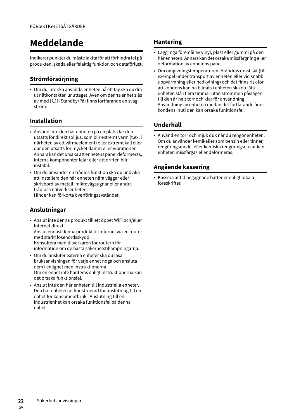# **Meddelande**

Indikerar punkter du måste iaktta för att förhindra fel på produkten, skada eller felaktig funktion och dataförlust.

# **Strömförsörjning**

• Om du inte ska använda enheten på ett tag ska du dra ut nätkontakten ur uttaget. Även om denna enhet slås av med  $[\bigcirc]$  (Standby/På) finns fortfarande en svag ström.

# **Installation**

- Använd inte den här enheten på en plats där den utsätts för direkt solljus, som blir extremt varm (t.ex. i närheten av ett värmeelement) eller extremt kall eller där den utsätts för mycket damm eller vibrationer. Annars kan det orsaka att enhetens panel deformeras, interna komponenter felar eller att driften blir instabil.
- Om du använder en trådlös funktion ska du undvika att installera den här enheten nära väggar eller skrivbord av metall, mikrovågsugnar eller andra trådlösa nätverksenheter. Hinder kan förkorta överföringsavståndet.

## **Anslutningar**

- Anslut inte denna produkt till ett öppet WiFi och/eller Internet direkt. Anslut endast denna produkt till Internet via en router med starkt lösenordsskydd. Konsultera med tillverkaren för routern för information om de bästa säkerhetstillämpningarna.
- Om du ansluter externa enheter ska du läsa bruksanvisningen för varje enhet noga och ansluta dem i enlighet med instruktionerna. Om en enhet inte hanteras enligt instruktionerna kan det orsaka funktionsfel.
- Anslut inte den här enheten till industriella enheter. Den här enheten är konstruerad för anslutning till en enhet för konsumentbruk. Anslutning till en industrienhet kan orsaka funktionsfel på denna enhet.

## **Hantering**

- Lägg inga föremål av vinyl, plast eller gummi på den här enheten. Annars kan det orsaka missfärgning eller deformation av enhetens panel.
- Om omgivningstemperaturen förändras drastiskt (till exempel under transport av enheten eller vid snabb uppvärmning eller nedkylning) och det finns risk för att kondens kan ha bildats i enheten ska du låta enheten stå i flera timmar utan strömmen påslagen till den är helt torr och klar för användning. Användning av enheten medan det fortfarande finns kondens inuti den kan orsaka funktionsfel.

## **Underhåll**

• Använd en torr och mjuk duk när du rengör enheten. Om du använder kemikalier som bensin eller tinner, rengöringsmedel eller kemiska rengöringsdukar kan enheten missfärgas eller deformeras.

# **Angående kassering**

• Kassera alltid begagnade batterier enligt lokala föreskrifter.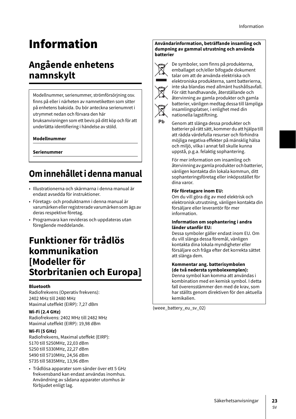# Information

# **Angående enhetens namnskylt**

Modellnummer, serienummer, strömförsörjning osv. finns på eller i närheten av namnetiketten som sitter på enhetens baksida. Du bör anteckna serienumret i utrymmet nedan och förvara den här

bruksanvisningen som ett bevis på ditt köp och för att underlätta identifiering i händelse av stöld.

### **Modellnummer**

**Serienummer**

# **Om innehållet i denna manual**

- Illustrationerna och skärmarna i denna manual är endast avsedda för instruktioner.
- Företags- och produktnamn i denna manual är varumärken eller registrerade varumärken som ägs av deras respektive företag.
- Programvara kan revideras och uppdateras utan föregående meddelande.

# **Funktioner för trådlös kommunikation [Modeller för Storbritanien och Europa]**

### **Bluetooth**

Radiofrekvens (Operativ frekvens): 2402 MHz till 2480 MHz Maximal uteffekt (EIRP): 7,27 dBm

### **Wi-Fi (2.4 GHz)**

Radiofrekvens: 2402 MHz till 2482 MHz Maximal uteffekt (EIRP): 19,98 dBm

### **Wi-Fi (5 GHz)**

Radiofrekvens, Maximal uteffekt (EIRP): 5170 till 5250MHz, 22,03 dBm 5250 till 5330MHz, 22,27 dBm 5490 till 5710MHz, 24,56 dBm 5735 till 5835MHz, 13,96 dBm

• Trådlösa apparater som sänder över ett 5 GHz frekvensband kan endast användas inomhus. Användning av sådana apparater utomhus är förbjudet enligt lag.

#### **Användarinformation, beträffande insamling och dumpning av gammal utrustning och använda batterier**



Pb

De symboler, som finns på produkterna, emballaget och/eller bifogade dokument talar om att de använda elektriska och elektroniska produkterna, samt batterierna, inte ska blandas med allmänt hushållsavfall. För rätt handhavande, återställande och återvinning av gamla produkter och gamla batterier, vänligen medtag dessa till lämpliga insamlingsplatser, i enlighet med din nationella lagstiftning.

Genom att slänga dessa produkter och batterier på rätt sätt, kommer du att hjälpa till att rädda värdefulla resurser och förhindra möjliga negativa effekter på mänsklig hälsa och miljö, vilka i annat fall skulle kunna uppstå, p.g.a. felaktig sophantering.

För mer information om insamling och återvinning av gamla produkter och batterier, vänligen kontakta din lokala kommun, ditt sophanteringsföretag eller inköpsstället för dina varor.

#### **För företagare inom EU:**

Om du vill göra dig av med elektrisk och elektronisk utrustning, vänligen kontakta din försäljare eller leverantör för mer information.

#### **Information om sophantering i andra länder utanför EU:**

Dessa symboler gäller endast inom EU. Om du vill slänga dessa föremål, vänligen kontakta dina lokala myndigheter eller försäljare och fråga efter det korrekta sättet att slänga dem.

#### **Kommentar ang. batterisymbolen (de två nedersta symbolexemplen):** Denna symbol kan komma att användas i

kombination med en kemisk symbol. I detta fall överensstämmer den med de krav, som har ställts genom direktiven för den aktuella kemikalien.

(weee\_battery\_eu\_sv\_02)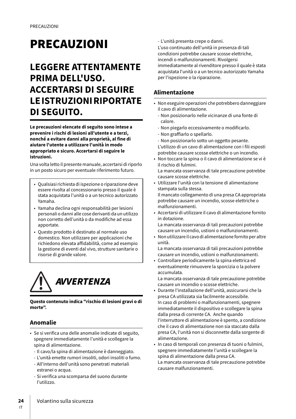# **PRECAUZIONI**

# **LEGGERE ATTENTAMENTE PRIMA DELL'USO. ACCERTARSI DI SEGUIRE LE ISTRUZIONI RIPORTATE DI SEGUITO.**

**Le precauzioni elencate di seguito sono intese a prevenire i rischi di lesioni all'utente e a terzi, nonché a evitare danni alla proprietà, al fine di aiutare l'utente a utilizzare l'unità in modo appropriato e sicuro. Accertarsi di seguire le istruzioni.**

Una volta letto il presente manuale, accertarsi di riporlo in un posto sicuro per eventuale riferimento futuro.

- Qualsiasi richiesta di ispezione o riparazione deve essere rivolta al concessionario presso il quale è stata acquistata l'unità o a un tecnico autorizzato Yamaha.
- Yamaha declina ogni responsabilità per lesioni personali o danni alle cose derivanti da un utilizzo non corretto dell'unità o da modifiche ad essa apportate.
- Questo prodotto è destinato al normale uso domestico. Non utilizzare per applicazioni che richiedono elevata affidabilità, come ad esempio la gestione di eventi dal vivo, strutture sanitarie o risorse di grande valore.



### **Questo contenuto indica "rischio di lesioni gravi o di morte".**

## **Anomalie**

- Se si verifica una delle anomalie indicate di seguito, spegnere immediatamente l'unità e scollegare la spina di alimentazione.
	- Il cavo/la spina di alimentazione è danneggiato.
	- L'unità emette rumori insoliti, odori insoliti o fumo. - All'interno dell'unità sono penetrati materiali
	- estranei o acqua. - Si verifica una scomparsa del suono durante l'utilizzo.

- L'unità presenta crepe o danni.

L'uso continuato dell'unità in presenza di tali condizioni potrebbe causare scosse elettriche, incendi o malfunzionamenti. Rivolgersi immediatamente al rivenditore presso il quale è stata acquistata l'unità o a un tecnico autorizzato Yamaha per l'ispezione o la riparazione.

### **Alimentazione**

- Non eseguire operazioni che potrebbero danneggiare il cavo di alimentazione.
	- Non posizionarlo nelle vicinanze di una fonte di calore.
	- Non piegarlo eccessivamente o modificarlo.
	- Non graffiarlo o spellarlo.
	- Non posizionarlo sotto un oggetto pesante.
	- L'utilizzo di un cavo di alimentazione con i fili esposti potrebbe causare scosse elettriche o un incendio.
- Non toccare la spina o il cavo di alimentazione se vi è il rischio di fulmini.

La mancata osservanza di tale precauzione potrebbe causare scosse elettriche.

- Utilizzare l'unità con la tensione di alimentazione stampata sulla stessa. Il mancato collegamento di una presa CA appropriata potrebbe causare un incendio, scosse elettriche o malfunzionamenti.
- Accertarsi di utilizzare il cavo di alimentazione fornito in dotazione.

La mancata osservanza di tali precauzioni potrebbe causare un incendio, ustioni o malfunzionamenti.

- Non utilizzare il cavo di alimentazione fornito per altre unità.
- La mancata osservanza di tali precauzioni potrebbe causare un incendio, ustioni o malfunzionamenti.
- Controllare periodicamente la spina elettrica ed eventualmente rimuovere la sporcizia o la polvere accumulata.

La mancata osservanza di tale precauzione potrebbe causare un incendio o scosse elettriche.

- Durante l'installazione dell'unità, assicurarsi che la presa CA utilizzata sia facilmente accessibile. In caso di problemi o malfunzionamenti, spegnere immediatamente il dispositivo e scollegare la spina dalla presa di corrente CA. Anche quando l'interruttore di alimentazione è spento, a condizione che il cavo di alimentazione non sia staccato dalla presa CA, l'unità non si disconnette dalla sorgente di alimentazione.
- In caso di temporali con presenza di tuoni o fulmini, spegnere immediatamente l'unità e scollegare la spina di alimentazione dalla presa CA. La mancata osservanza di tale precauzione potrebbe
	- causare malfunzionamenti.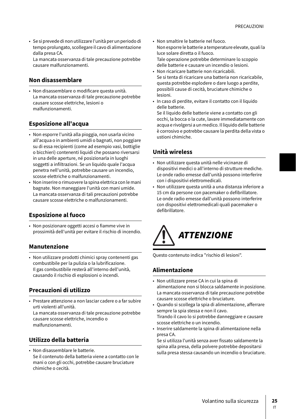• Se si prevede di non utilizzare l'unità per un periodo di tempo prolungato, scollegare il cavo di alimentazione dalla presa CA. La mancata osservanza di tale precauzione potrebbe

causare malfunzionamenti.

### **Non disassemblare**

• Non disassemblare o modificare questa unità. La mancata osservanza di tale precauzione potrebbe causare scosse elettriche, lesioni o malfunzionamenti.

### **Esposizione all'acqua**

- Non esporre l'unità alla pioggia, non usarla vicino all'acqua o in ambienti umidi o bagnati, non poggiare su di essa recipienti (come ad esempio vasi, bottiglie o bicchieri) contenenti liquidi che possano riversarsi in una delle aperture, né posizionarla in luoghi soggetti a infiltrazioni. Se un liquido quale l'acqua penetra nell'unità, potrebbe causare un incendio, scosse elettriche o malfunzionamenti.
- Non inserire o rimuovere la spina elettrica con le mani bagnate. Non maneggiare l'unità con mani umide. La mancata osservanza di tali precauzioni potrebbe causare scosse elettriche o malfunzionamenti.

### **Esposizione al fuoco**

• Non posizionare oggetti accesi o fiamme vive in prossimità dell'unità per evitare il rischio di incendio.

### **Manutenzione**

• Non utilizzare prodotti chimici spray contenenti gas combustibile per la pulizia o la lubrificazione. Il gas combustibile resterà all'interno dell'unità, causando il rischio di esplosioni o incendi.

### **Precauzioni di utilizzo**

• Prestare attenzione a non lasciar cadere o a far subire urti violenti all'unità. La mancata osservanza di tale precauzione potrebbe

causare scosse elettriche, incendio o malfunzionamenti.

## **Utilizzo della batteria**

• Non disassemblare le batterie. Se il contenuto della batteria viene a contatto con le mani o con gli occhi, potrebbe causare bruciature chimiche o cecità.

- Non smaltire le batterie nel fuoco.
- Non esporre le batterie a temperature elevate, quali la luce solare diretta o il fuoco. Tale operazione potrebbe determinare lo scoppio delle batterie e causare un incendio o lesioni.
- Non ricaricare batterie non ricaricabili. Se si tenta di ricaricare una batteria non ricaricabile, questa potrebbe esplodere o dare luogo a perdite, possibili cause di cecità, bruciature chimiche o lesioni.
- In caso di perdite, evitare il contatto con il liquido delle batterie.

Se il liquido delle batterie viene a contatto con gli occhi, la bocca o la cute, lavare immediatamente con acqua e rivolgersi a un medico. Il liquido delle batterie è corrosivo e potrebbe causare la perdita della vista o ustioni chimiche.

### **Unità wireless**

- Non utilizzare questa unità nelle vicinanze di dispositivi medici o all'interno di strutture mediche. Le onde radio emesse dall'unità possono interferire con i dispositivi elettromedicali.
- ????? Non utilizzare questa unità a una distanza inferiore a 15 cm da persone con pacemaker o defibrillatore. Le onde radio emesse dall'unità possono interferire con dispositivi elettromedicali quali pacemaker o defibrillatore.



Questo contenuto indica "rischio di lesioni".

### **Alimentazione**

- Non utilizzare prese CA in cui la spina di alimentazione non si blocca saldamente in posizione. La mancata osservanza di tale precauzione potrebbe causare scosse elettriche o bruciature.
- Quando si scollega la spia di alimentazione, afferrare sempre la spia stessa e non il cavo. Tirando il cavo lo si potrebbe danneggiare e causare scosse elettriche o un incendio.
- Inserire saldamente la spina di alimentazione nella presa CA.

Se si utilizza l'unità senza aver fissato saldamente la spina alla presa, della polvere potrebbe depositarsi sulla presa stessa causando un incendio o bruciature.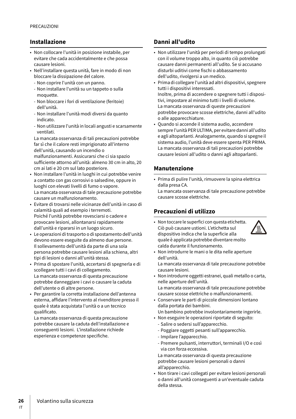### **Installazione**

- Non collocare l'unità in posizione instabile, per evitare che cada accidentalmente e che possa causare lesioni.
- Nell'installare questa unità, fare in modo di non bloccare la dissipazione del calore.
	- Non coprire l'unità con un panno.
	- Non installare l'unità su un tappeto o sulla moquette.
	- Non bloccare i fori di ventilazione (feritoie) dell'unità.
	- Non installare l'unità modi diversi da quanto indicato.
	- Non utilizzare l'unità in locali angusti e scarsamente ventilati.

La mancata osservanza di tali precauzioni potrebbe far sì che il calore resti imprigionato all'interno dell'unità, causando un incendio o malfunzionamenti. Assicurarsi che ci sia spazio sufficiente attorno all'unità: almeno 30 cm in alto, 20 cm ai lati e 20 cm sul lato posteriore.

- Non installare l'unità in luoghi in cui potrebbe venire a contatto con gas corrosivi o salsedine, oppure in luoghi con elevati livelli di fumo o vapore. La mancata osservanza di tale precauzione potrebbe causare un malfunzionamento.
- Evitare di trovarsi nelle vicinanze dell'unità in caso di calamità quali ad esempio i terremoti. Poiché l'unità potrebbe rovesciarsi o cadere e provocare lesioni, allontanarsi rapidamente dall'unità e ripararsi in un luogo sicuro.
- Le operazioni di trasporto o di spostamento dell'unità devono essere eseguite da almeno due persone. Il sollevamento dell'unità da parte di una sola persona potrebbe causare lesioni alla schiena, altri tipi di lesioni o danni all'unità stessa.
- Prima di spostare l'unità, accertarsi di spegnerla e di scollegare tutti i cavi di collegamento. La mancata osservanza di questa precauzione potrebbe danneggiare i cavi o causare la caduta dell'utente o di altre persone.
- Per garantire la corretta installazione dell'antenna esterna, affidare l'intervento al rivenditore presso il quale è stata acquistata l'unità o a un tecnico qualificato.

La mancata osservanza di questa precauzione potrebbe causare la caduta dell'installazione e conseguenti lesioni. L'installazione richiede esperienza e competenze specifiche.

### **Danni all'udito**

- Non utilizzare l'unità per periodi di tempo prolungati con il volume troppo alto, in quanto ciò potrebbe causare danni permanenti all'udito. Se si accusano disturbi uditivi come fischi o abbassamento dell'udito, rivolgersi a un medico.
- Prima di collegare l'unità ad altri dispositivi, spegnere tutti i dispositivi interessati. Inoltre, prima di accendere o spegnere tutti i dispositivi, impostare al minimo tutti i livelli di volume. La mancata osservanza di queste precauzioni potrebbe provocare scosse elettriche, danni all'udito o alle apparecchiature.
- Quando si accende il sistema audio, accendere sempre l'unità PER ULTIMA, per evitare danni all'udito e agli altoparlanti. Analogamente, quando si spegne il sistema audio, l'unità deve essere spenta PER PRIMA. La mancata osservanza di tali precauzioni potrebbe causare lesioni all'udito o danni agli altoparlanti.

### **Manutenzione**

- Prima di pulire l'unità, rimuovere la spina elettrica dalla presa CA.
- La mancata osservanza di tale precauzione potrebbe causare scosse elettriche.

## **Precauzioni di utilizzo**

• Non toccare le superfici con questa etichetta. Ciò può causare ustioni. L'etichetta sul dispositivo indica che la superficie alla quale è applicata potrebbe diventare molto calda durante il funzionamento.



• Non introdurre le mani o le dita nelle aperture dell'unità.

La mancata osservanza di tale precauzione potrebbe causare lesioni.

• Non introdurre oggetti estranei, quali metallo o carta, nelle aperture dell'unità. La mancata osservanza di tale precauzione potrebbe

causare scosse elettriche o malfunzionamenti.

- Conservare le parti di piccole dimensioni lontano dalla portata dei bambini.
	- Un bambino potrebbe involontariamente ingerirle.
- Non eseguire le operazioni riportate di seguito:
	- Salire o sedersi sull'apparecchio.
	- Poggiare oggetti pesanti sull'apparecchio.
	- Impilare l'apparecchio.
	- Premere pulsanti, interruttori, terminali I/O e così via con forza eccessiva.

La mancata osservanza di questa precauzione potrebbe causare lesioni personali o danni all'apparecchio.

• Non tirare i cavi collegati per evitare lesioni personali o danni all'unità conseguenti a un'eventuale caduta della stessa.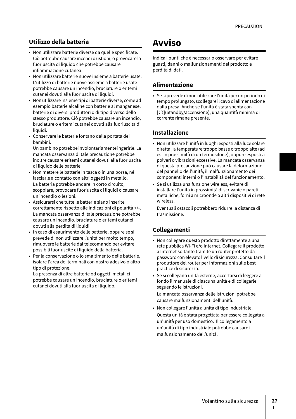### **Utilizzo della batteria**

- Non utilizzare batterie diverse da quelle specificate. Ciò potrebbe causare incendi o ustioni, o provocare la fuoriuscita di liquido che potrebbe causare infiammazione cutanea.
- Non utilizzare batterie nuove insieme a batterie usate. L'utilizzo di batterie nuove assieme a batterie usate potrebbe causare un incendio, bruciature o eritemi cutanei dovuti alla fuoriuscita di liquidi.
- Non utilizzare insieme tipi di batterie diverse, come ad esempio batterie alcaline con batterie al manganese, batterie di diversi produttori o di tipo diverso dello stesso produttore. Ciò potrebbe causare un incendio, bruciature o eritemi cutanei dovuti alla fuoriuscita di liquidi.
- Conservare le batterie lontano dalla portata dei bambini.

Un bambino potrebbe involontariamente ingerirle. La mancata osservanza di tale precauzione potrebbe inoltre causare eritemi cutanei dovuti alla fuoriuscita di liquido delle batterie.

- Non mettere le batterie in tasca o in una borsa, né lasciarle a contatto con altri oggetti in metallo. La batteria potrebbe andare in corto circuito, scoppiare, provocare fuoriuscita di liquidi o causare un incendio o lesioni.
- Assicurarsi che tutte le batterie siano inserite correttamente rispetto alle indicazioni di polarità +/-. La mancata osservanza di tale precauzione potrebbe causare un incendio, bruciature o eritemi cutanei dovuti alla perdita di liquidi.
- In caso di esaurimento delle batterie, oppure se si prevede di non utilizzare l'unità per molto tempo, rimuovere le batterie dal telecomando per evitare possibili fuoriuscite di liquido della batteria.
- Per la conservazione o lo smaltimento delle batterie, isolare l'area dei terminali con nastro adesivo o altro tipo di protezione.

La presenza di altre batterie od oggetti metallici potrebbe causare un incendio, bruciature o eritemi cutanei dovuti alla fuoriuscita di liquido.

# **Avviso**

Indica i punti che è necessario osservare per evitare guasti, danni o malfunzionamenti del prodotto e perdita di dati.

### **Alimentazione**

• Se si prevede di non utilizzare l'unità per un periodo di tempo prolungato, scollegare il cavo di alimentazione dalla presa. Anche se l'unità è stata spenta con [U](Standby/accensione), una quantità minima di corrente rimane presente.

### **Installazione**

- Non utilizzare l'unità in luoghi esposti alla luce solare diretta , a temperature troppo basse o troppo alte (ad es. in prossimità di un termosifone), oppure esposti a polveri o vibrazioni eccessive. La mancata osservanza di questa precauzione può causare la deformazione del pannello dell'unità, il malfunzionamento dei componenti interni o l'instabilità del funzionamento.
- Se si utilizza una funzione wireless, evitare di installare l'unità in prossimità di scrivanie o pareti metalliche, forni a microonde o altri dispositivi di rete wireless.

Eventuali ostacoli potrebbero ridurre la distanza di trasmissione.

### **Collegamenti**

- Non collegare questo prodotto direttamente a una rete pubblica Wi-Fi e/o Internet. Collegare il prodotto a Internet soltanto tramite un router protetto da password con elevato livello di sicurezza. Consultare il produttore del router per informazioni sulle best practice di sicurezza.
- Se si collegano unità esterne, accertarsi di leggere a fondo il manuale di ciascuna unità e di collegarle seguendo le istruzioni.

La mancata osservanza delle istruzioni potrebbe causare malfunzionamenti dell'unità.

• Non collegare l'unità a unità di tipo industriale. Questa unità è stata progettata per essere collegata a un'unità per uso domestico. Il collegamento a un'unità di tipo industriale potrebbe causare il malfunzionamento dell'unità.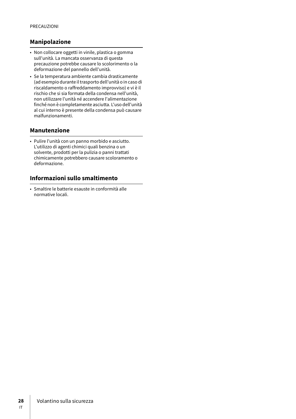### **Manipolazione**

- Non collocare oggetti in vinile, plastica o gomma sull'unità. La mancata osservanza di questa precauzione potrebbe causare lo scolorimento o la deformazione del pannello dell'unità.
- Se la temperatura ambiente cambia drasticamente (ad esempio durante il trasporto dell'unità o in caso di riscaldamento o raffreddamento improvviso) e vi è il rischio che si sia formata della condensa nell'unità, non utilizzare l'unità né accendere l'alimentazione finché non è completamente asciutta. L'uso dell'unità al cui interno è presente della condensa può causare malfunzionamenti.

### **Manutenzione**

• Pulire l'unità con un panno morbido e asciutto. L'utilizzo di agenti chimici quali benzina o un solvente, prodotti per la pulizia o panni trattati chimicamente potrebbero causare scoloramento o deformazione.

## **Informazioni sullo smaltimento**

• Smaltire le batterie esauste in conformità alle normative locali.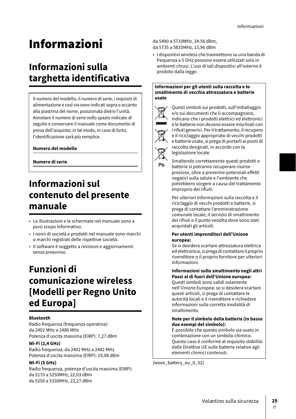# Informazioni

# **Informazioni sulla targhetta identificativa**

Il numero del modello, il numero di serie, i requisiti di alimentazione e così via sono indicati sopra o accanto alla piastrina del nome, posizionata dietro l'unità. Annotare il numero di serie nello spazio indicato di seguito e conservare il manuale come documento di prova dell'acquisto; in tal modo, in caso di furto, l'identificazione sarà più semplice.

### **Numero del modello**

**Numero di serie**

# **Informazioni sul contenuto del presente manuale**

- Le illustrazioni e le schermate nel manuale sono a puro scopo informativo.
- I nomi di società e prodotti nel manuale sono marchi o marchi registrati delle rispettive società.
- Il software è soggetto a revisioni e aggiornamenti senza preavviso.

# **Funzioni di comunicazione wireless [Modelli per Regno Unito ed Europa]**

### **Bluetooth**

Radio frequenza (frequenza operativa): da 2402 MHz a 2480 MHz Potenza d'uscita massima (EIRP): 7,27 dBm

### **Wi-Fi (2,4 GHz)**

Radio frequenza: da 2402 MHz a 2482 MHz Potenza d'uscita massima (EIRP): 19,98 dBm

### **Wi-Fi (5 GHz)**

Radio frequenza, potenza d'uscita massima (EIRP): da 5170 a 5250MHz, 22,03 dBm da 5250 a 5330MHz, 22,27 dBm

da 5490 a 5710MHz, 24.56 dBm, da 5735 a 5835MHz, 13,96 dBm

• I dispositivi wireless che trasmettono su una banda di frequenza a 5 GHz possono essere utilizzati solo in ambienti chiusi. L'uso di tali dispositivi all'esterno è proibito dalla legge.

#### **Informazioni per gli utenti sulla raccolta e lo smaltimento di vecchia attrezzatura e batterie usate**



Ph

Questi simboli sui prodotti, sull'imballaggio e/o sui documenti che li accompagnano, indicano che i prodotti elettrici ed elettronici e le batterie non devono essere mischiati con i rifiuti generici. Per il trattamento, il recupero e il riciclaggio appropriato di vecchi prodotti e batterie usate, si prega di portarli ai punti di raccolta designati, in accordo con la legislazione locale.

Smaltendo correttamente questi prodotti e batterie si potranno recuperare risorse preziose, oltre a prevenire potenziali effetti negativi sulla salute e l'ambiente che potrebbero sorgere a causa del trattamento improprio dei rifiuti.

Per ulteriori informazioni sulla raccolta e il riciclaggio di vecchi prodotti e batterie, si prega di contattare l'amministrazione comunale locale, il servizio di smaltimento dei rifiuti o il punto vendita dove sono stati acquistati gli articoli.

#### **Per utenti imprenditori dell'Unione europea:**

Se si desidera scartare attrezzatura elettrica ed elettronica, si prega di contattare il proprio rivenditore o il proprio fornitore per ulteriori informazioni.

### **Informazioni sullo smaltimento negli altri Paesi al di fuori dell'Unione europea:**

Questi simboli sono validi solamente nell'Unione Europea; se si desidera scartare questi articoli, si prega di contattare le autorità locali o il rivenditore e richiedere informazioni sulla corretta modalità di smaltimento.

#### **Note per il simbolo della batteria (in basso due esempi del simbolo):**

È possibile che questo simbolo sia usato in combinazione con un simbolo chimico. Questo caso è conforme al requisito stabilito dalle Direttive UE sulle batterie relative agli elementi chimici contenuti.

(weee\_battery\_eu\_it\_02)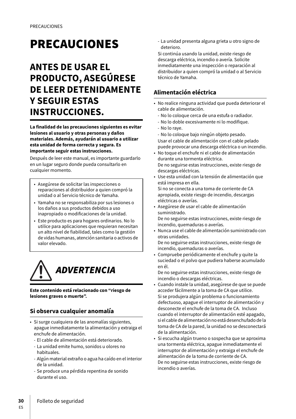# **PRECAUCIONES**

# **ANTES DE USAR EL PRODUCTO, ASEGÚRESE DE LEER DETENIDAMENTE Y SEGUIR ESTAS INSTRUCCIONES.**

**La finalidad de las precauciones siguientes es evitar lesiones al usuario y otras personas y daños materiales. Además, ayudarán al usuario a utilizar esta unidad de forma correcta y segura. Es importante seguir estas instrucciones.**

Después de leer este manual, es importante guardarlo en un lugar seguro donde pueda consultarlo en cualquier momento.

- Asegúrese de solicitar las inspecciones o reparaciones al distribuidor a quien compró la unidad o al Servicio técnico de Yamaha.
- Yamaha no se responsabiliza por sus lesiones o los daños a sus productos debidos a uso inapropiado o modificaciones de la unidad.
- Este producto es para hogares ordinarios. No lo utilice para aplicaciones que requieran necesitan un alto nivel de fiabilidad, tales como la gestión de vidas humanas, atención sanitaria o activos de valor elevado.



**Este contenido está relacionado con "riesgo de lesiones graves o muerte".**

## **Si observa cualquier anomalía**

- Si surge cualquiera de las anomalías siguientes, apague inmediatamente la alimentación y extraiga el enchufe de alimentación.
	- El cable de alimentación está deteriorado.
	- La unidad emite humo, sonidos u olores no habituales.
	- Algún material extraño o agua ha caído en el interior de la unidad.
	- Se produce una pérdida repentina de sonido durante el uso.

- La unidad presenta alguna grieta u otro signo de deterioro.

Si continúa usando la unidad, existe riesgo de descarga eléctrica, incendio o avería. Solicite inmediatamente una inspección o reparación al distribuidor a quien compró la unidad o al Servicio técnico de Yamaha.

# **Alimentación eléctrica**

- No realice ninguna actividad que pueda deteriorar el cable de alimentación.
	- No lo coloque cerca de una estufa o radiador.
	- No lo doble excesivamente ni lo modifique.
	- No lo raye.
- No lo coloque bajo ningún objeto pesado. Usar el cable de alimentación con el cable pelado puede provocar una descarga eléctrica o un incendio.
- No toque el enchufe ni el cable de alimentación durante una tormenta eléctrica. De no seguirse estas instrucciones, existe riesgo de descargas eléctricas.
- Use esta unidad con la tensión de alimentación que está impresa en ella.
- Si no se conecta a una toma de corriente de CA apropiada, existe riesgo de incendio, descargas eléctricas o averías.
- Asegúrese de usar el cable de alimentación suministrado. De no seguirse estas instrucciones, existe riesgo de incendio, quemaduras o averías.
- Nunca use el cable de alimentación suministrado con otras unidades.
	- De no seguirse estas instrucciones, existe riesgo de incendio, quemaduras o averías.
- Compruebe periódicamente el enchufe y quite la suciedad o el polvo que pudiera haberse acumulado en él.

De no seguirse estas instrucciones, existe riesgo de incendio o descargas eléctricas.

- Cuando instale la unidad, asegúrese de que se puede acceder fácilmente a la toma de CA que utilice. Si se produjera algún problema o funcionamiento defectuoso, apague el interruptor de alimentación y desconecte el enchufe de la toma de CA. Incluso cuando el interruptor de alimentación esté apagado, si el cable de alimentación no está desenchufado de la toma de CA de la pared, la unidad no se desconectará de la alimentación.
- Si escucha algún trueno o sospecha que se aproxima una tormenta eléctrica, apague inmediatamente el interruptor de alimentación y extraiga el enchufe de alimentación de la toma de corriente de CA. De no seguirse estas instrucciones, existe riesgo de incendio o averías.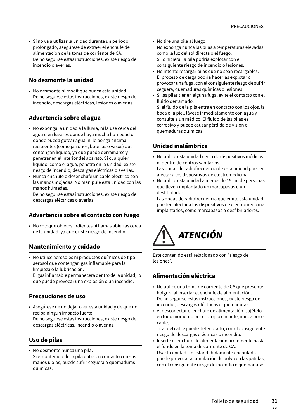• Si no va a utilizar la unidad durante un período prolongado, asegúrese de extraer el enchufe de alimentación de la toma de corriente de CA. De no seguirse estas instrucciones, existe riesgo de incendio o averías.

## **No desmonte la unidad**

• No desmonte ni modifique nunca esta unidad. De no seguirse estas instrucciones, existe riesgo de incendio, descargas eléctricas, lesiones o averías.

### **Advertencia sobre el agua**

- No exponga la unidad a la lluvia, ni la use cerca del agua o en lugares donde haya mucha humedad o donde pueda gotear agua, ni le ponga encima recipientes (como jarrones, botellas o vasos) que contengan líquido, ya que puede derramarse y penetrar en el interior del aparato. Si cualquier líquido, como el agua, penetra en la unidad, existe riesgo de incendio, descargas eléctricas o averías.
- Nunca enchufe o desenchufe un cable eléctrico con las manos mojadas. No manipule esta unidad con las manos húmedas.

De no seguirse estas instrucciones, existe riesgo de descargas eléctricas o averías.

### **Advertencia sobre el contacto con fuego**

• No coloque objetos ardientes ni llamas abiertas cerca de la unidad, ya que existe riesgo de incendio.

### **Mantenimiento y cuidado**

• No utilice aerosoles ni productos químicos de tipo aerosol que contengan gas inflamable para la limpieza o la lubricación. El gas inflamable permanecerá dentro de la unidad, lo que puede provocar una explosión o un incendio.

### **Precauciones de uso**

• Asegúrese de no dejar caer esta unidad y de que no reciba ningún impacto fuerte. De no seguirse estas instrucciones, existe riesgo de descargas eléctricas, incendio o averías.

### **Uso de pilas**

• No desmonte nunca una pila. Si el contenido de la pila entra en contacto con sus manos u ojos, puede sufrir ceguera o quemaduras químicas.

- No tire una pila al fuego. No exponga nunca las pilas a temperaturas elevadas, como la luz del sol directa o el fuego. Si lo hiciera, la pila podría explotar con el consiguiente riesgo de incendio o lesiones.
- No intente recargar pilas que no sean recargables. El proceso de carga podría hacerlas explotar o provocar una fuga, con el consiguiente riesgo de sufrir ceguera, quemaduras químicas o lesiones.
- Si las pilas tienen alguna fuga, evite el contacto con el fluido derramado.

Si el fluido de la pila entra en contacto con los ojos, la boca o la piel, lávese inmediatamente con agua y consulte a un médico. El fluido de las pilas es corrosivo y puede causar pérdida de visión o quemaduras químicas.

### **Unidad inalámbrica**

- No utilice esta unidad cerca de dispositivos médicos ni dentro de centros sanitarios. Las ondas de radiofrecuencia de esta unidad pueden afectar a los dispositivos de electromedicina.
- No utilice esta unidad a menos de 15 cm de personas que lleven implantado un marcapasos o un desfibrilador.

Las ondas de radiofrecuencia que emite esta unidad pueden afectar a los dispositivos de electromedicina implantados, como marcapasos o desfibriladores.



Este contenido está relacionado con "riesgo de lesiones".

## **Alimentación eléctrica**

- No utilice una toma de corriente de CA que presente holgura al insertar el enchufe de alimentación. De no seguirse estas instrucciones, existe riesgo de incendio, descargas eléctricas o quemaduras.
- Al desconectar el enchufe de alimentación, sujételo en todo momento por el propio enchufe, nunca por el cable.

Tirar del cable puede deteriorarlo, con el consiguiente riesgo de descargas eléctricas o incendio.

• Inserte el enchufe de alimentación firmemente hasta el fondo en la toma de corriente de CA. Usar la unidad sin estar debidamente enchufada puede provocar acumulación de polvo en las patillas, con el consiguiente riesgo de incendio o quemaduras.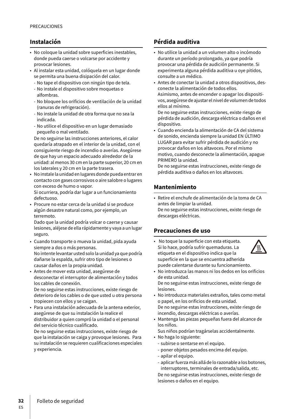## **Instalación**

- No coloque la unidad sobre superficies inestables, donde pueda caerse o volcarse por accidente y provocar lesiones.
- Al instalar esta unidad, colóquela en un lugar donde se permita una buena disipación del calor.
	- No tape el dispositivo con ningún tipo de tela.
	- No instale el dispositivo sobre moquetas o alfombras.
	- No bloquee los orificios de ventilación de la unidad (ranuras de refrigeración).
	- No instale la unidad de otra forma que no sea la indicada.
	- No utilice el dispositivo en un lugar demasiado pequeño o mal ventilado.

De no seguirse las instrucciones anteriores, el calor quedaría atrapado en el interior de la unidad, con el consiguiente riesgo de incendio o averías. Asegúrese de que hay un espacio adecuado alrededor de la unidad: al menos 30 cm en la parte superior, 20 cm en los laterales y 20 cm en la parte trasera.

• No instale la unidad en lugares donde pueda entrar en contacto con gases corrosivos o aire salobre o lugares con exceso de humo o vapor. Si ocurriera, podría dar lugar a un funcionamiento

defectuoso.

• Procure no estar cerca de la unidad si se produce algún desastre natural como, por ejemplo, un terremoto.

Dado que la unidad podría volcar o caerse y causar lesiones, aléjese de ella rápidamente y vaya a un lugar seguro.

- Cuando transporte o mueva la unidad, pida ayuda siempre a dos o más personas. No intente levantar usted solo la unidad ya que podría dañarse la espalda, sufrir otro tipo de lesiones o causar daños en la propia unidad.
- Antes de mover esta unidad, asegúrese de desconectar el interruptor de alimentación y todos los cables de conexión.

De no seguirse estas instrucciones, existe riesgo de deterioro de los cables o de que usted u otra persona tropiecen con ellos y se caigan.

• Para una instalación adecuada de la antena exterior, asegúrese de que su instalación la realice el distribuidor a quien compró la unidad o el personal del servicio técnico cualificado.

De no seguirse estas instrucciones, existe riesgo de que la instalación se caiga y provoque lesiones. Para su instalación se requieren cualificaciones especiales y experiencia.

# **Pérdida auditiva**

- No utilice la unidad a un volumen alto o incómodo durante un período prolongado, ya que podría provocar una pérdida de audición permanente. Si experimenta alguna pérdida auditiva u oye pitidos, consulte a un médico.
- Antes de conectar la unidad a otros dispositivos, desconecte la alimentación de todos ellos. Asimismo, antes de encender o apagar los dispositivos, asegúrese de ajustar el nivel de volumen de todos ellos al mínimo.

De no seguirse estas instrucciones, existe riesgo de pérdida de audición, descarga eléctrica o daños en el dispositivo.

• Cuando encienda la alimentación de CA del sistema de sonido, encienda siempre la unidad EN ÚLTIMO LUGAR para evitar sufrir pérdida de audición y no provocar daños en los altavoces. Por el mismo motivo, cuando desconecte la alimentación, apague PRIMERO la unidad.

De no seguirse estas instrucciones, existe riesgo de pérdida auditiva o daños en los altavoces.

# **Mantenimiento**

• Retire el enchufe de alimentación de la toma de CA antes de limpiar la unidad.

De no seguirse estas instrucciones, existe riesgo de descargas eléctricas.

## **Precauciones de uso**

• No toque la superficie con esta etiqueta. Si lo hace, podría sufrir quemaduras. La etiqueta en el dispositivo indica que la superficie en la que se encuentra adherida puede calentarse durante su funcionamiento.



• No introduzca las manos ni los dedos en los orificios de esta unidad.

De no seguirse estas instrucciones, existe riesgo de lesiones.

- No introduzca materiales extraños, tales como metal o papel, en los orificios de esta unidad. De no seguirse estas instrucciones, existe riesgo de incendio, descargas eléctricas o averías.
- Mantenga las piezas pequeñas fuera del alcance de los niños.

Sus niños podrían tragárselas accidentalmente.

- No haga lo siguiente:
	- subirse o sentarse en el equipo.
	- poner objetos pesados encima del equipo.
	- apilar el equipo.
	- aplicar fuerza más allá de lo razonable a los botones, interruptores, terminales de entrada/salida, etc.

De no seguirse estas instrucciones, existe riesgo de lesiones o daños en el equipo.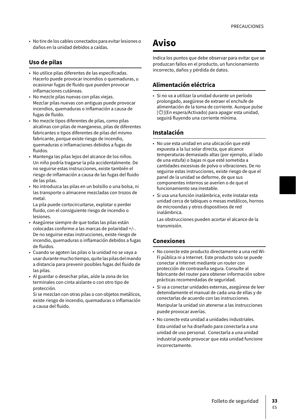• No tire de los cables conectados para evitar lesiones o daños en la unidad debidos a caídas.

### **Uso de pilas**

- No utilice pilas diferentes de las especificadas. Hacerlo puede provocar incendios o quemaduras, u ocasionar fugas de fluido que pueden provocar inflamaciones cutáneas.
- No mezcle pilas nuevas con pilas viejas. Mezclar pilas nuevas con antiguas puede provocar incendios, quemaduras o inflamación a causa de fugas de fluido.
- No mezcle tipos diferentes de pilas, como pilas alcalinas con pilas de manganeso, pilas de diferentes fabricantes o tipos diferentes de pilas del mismo fabricante, porque existe riesgo de incendio, quemaduras o inflamaciones debidos a fugas de fluidos.
- Mantenga las pilas lejos del alcance de los niños. Un niño podría tragarse la pila accidentalmente. De no seguirse estas instrucciones, existe también el riesgo de inflamación a causa de las fugas del fluido de las pilas.
- No introduzca las pilas en un bolsillo o una bolsa, ni las transporte o almacene mezcladas con trozos de metal.

La pila puede cortocircuitarse, explotar o perder fluido, con el consiguiente riesgo de incendio o lesiones.

- Asegúrese siempre de que todas las pilas están colocadas conforme a las marcas de polaridad +/-. De no seguirse estas instrucciones, existe riesgo de incendio, quemaduras o inflamación debidos a fugas de fluidos.
- Cuando se agoten las pilas o la unidad no se vaya a usar durante mucho tiempo, quite las pilas del mando a distancia para prevenir posibles fugas del fluido de las pilas.
- Al guardar o desechar pilas, aísle la zona de los terminales con cinta aislante o con otro tipo de protección.

Si se mezclan con otras pilas o con objetos metálicos, existe riesgo de incendio, quemaduras o inflamación a causa del fluido.

# **Aviso**

Indica los puntos que debe observar para evitar que se produzcan fallos en el producto, un funcionamiento incorrecto, daños y pérdida de datos.

### **Alimentación eléctrica**

• Si no va a utilizar la unidad durante un período prolongado, asegúrese de extraer el enchufe de alimentación de la toma de corriente. Aunque pulse  $\lbrack\!\lbrack\bullet\rbrack\!\rbrack$ (En espera/Activado) para apagar esta unidad, seguirá fluyendo una corriente mínima.

### **Instalación**

- No use esta unidad en una ubicación que esté expuesta a la luz solar directa, que alcance temperaturas demasiado altas (por ejemplo, al lado de una estufa) o bajas ni que esté sometida a cantidades excesivas de polvo o vibraciones. De no seguirse estas instrucciones, existe riesgo de que el panel de la unidad se deforme, de que sus componentes internos se averíen o de que el funcionamiento sea inestable.
- Si usa una función inalámbrica, evite instalar esta unidad cerca de tabiques o mesas metálicos, hornos de microondas y otros dispositivos de red inalámbrica.

Las obstrucciones pueden acortar el alcance de la transmisión.

### **Conexiones**

- No conecte este producto directamente a una red Wi-Fi pública ni a Internet. Este producto solo se puede conectar a Internet mediante un router con protección de contraseña segura. Consulte al fabricante del router para obtener información sobre prácticas recomendadas de seguridad.
- Si va a conectar unidades externas, asegúrese de leer detenidamente el manual de cada una de ellas y de conectarlas de acuerdo con las instrucciones. Manipular la unidad sin atenerse a las instrucciones puede provocar averías.
- No conecte esta unidad a unidades industriales. Esta unidad se ha diseñado para conectarla a una unidad de uso personal. Conectarla a una unidad industrial puede provocar que esta unidad funcione incorrectamente.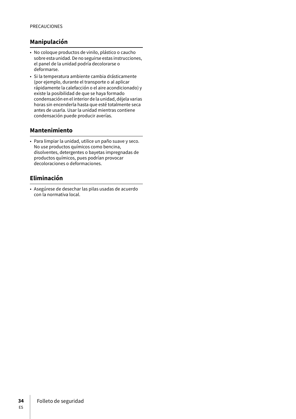## **Manipulación**

- No coloque productos de vinilo, plástico o caucho sobre esta unidad. De no seguirse estas instrucciones, el panel de la unidad podría decolorarse o deformarse.
- Si la temperatura ambiente cambia drásticamente (por ejemplo, durante el transporte o al aplicar rápidamente la calefacción o el aire acondicionado) y existe la posibilidad de que se haya formado condensación en el interior de la unidad, déjela varias horas sin encenderla hasta que esté totalmente seca antes de usarla. Usar la unidad mientras contiene condensación puede producir averías.

### **Mantenimiento**

• Para limpiar la unidad, utilice un paño suave y seco. No use productos químicos como bencina, disolventes, detergentes o bayetas impregnadas de productos químicos, pues podrían provocar decoloraciones o deformaciones.

# **Eliminación**

• Asegúrese de desechar las pilas usadas de acuerdo con la normativa local.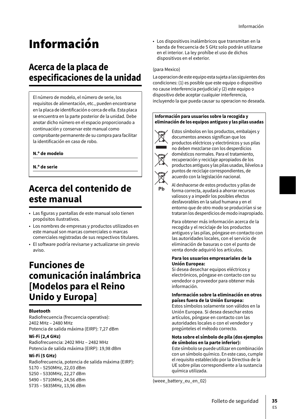# Información

# **Acerca de la placa de especificaciones de la unidad**

El número de modelo, el número de serie, los requisitos de alimentación, etc., pueden encontrarse en la placa de identificación o cerca de ella. Esta placa se encuentra en la parte posterior de la unidad. Debe anotar dicho número en el espacio proporcionado a continuación y conservar este manual como comprobante permanente de su compra para facilitar la identificación en caso de robo.

### **N.º de modelo**

**N.º de serie**

# **Acerca del contenido de este manual**

- Las figuras y pantallas de este manual solo tienen propósitos ilustrativos.
- Los nombres de empresas y productos utilizados en este manual son marcas comerciales o marcas comerciales registradas de sus respectivos titulares.
- El software podría revisarse y actualizarse sin previo aviso.

# **Funciones de comunicación inalámbrica [Modelos para el Reino Unido y Europa]**

### **Bluetooth**

Radiofrecuencia (frecuencia operativa): 2402 MHz – 2480 MHz Potencia de salida máxima (EIRP): 7,27 dBm

### **Wi-Fi (2,4 GHz)**

Radiofrecuencia: 2402 MHz – 2482 MHz Potencia de salida máxima (EIRP): 19,98 dBm

### **Wi-Fi (5 GHz)**

Radiofrecuencia, potencia de salida máxima (EIRP): 5170 – 5250MHz, 22,03 dBm 5250 – 5330MHz, 22,27 dBm 5490 – 5710MHz, 24,56 dBm 5735 – 5835MHz, 13,96 dBm

• Los dispositivos inalámbricos que transmitan en la banda de frecuencia de 5 GHz solo podrán utilizarse en el interior. La ley prohíbe el uso de dichos dispositivos en el exterior.

#### (para Mexico)

La operacion de este equipo esta sujeta a las siguientes dos condiciones: (1) es posible que este equipo o dispositivo no cause interferencia perjudicial y (2) este equipo o dispositivo debe aceptar cualquier interferencia, incluyendo la que pueda causar su operacion no deseada.

#### **Información para usuarios sobre la recogida y eliminación de los equipos antiguos y las pilas usadas**



Estos símbolos en los productos, embalajes y documentos anexos significan que los productos eléctricos y electrónicos y sus pilas no deben mezclarse con los desperdicios domésticos normales. Para el tratamiento, recuperación y reciclaje apropiados de los productos antiguos y las pilas usadas, llévelos a puntos de reciclaje correspondientes, de acuerdo con la legislación nacional.

Ph

Al deshacerse de estos productos y pilas de forma correcta, ayudará a ahorrar recursos valiosos y a impedir los posibles efectos desfavorables en la salud humana y en el entorno que de otro modo se producirían si se trataran los desperdicios de modo inapropiado.

Para obtener más información acerca de la recogida y el reciclaje de los productos antiguos y las pilas, póngase en contacto con las autoridades locales, con el servicio de eliminación de basuras o con el punto de venta donde adquirió los artículos.

#### **Para los usuarios empresariales de la Unión Europea:**

Si desea desechar equipos eléctricos y electrónicos, póngase en contacto con su vendedor o proveedor para obtener más información.

#### **Información sobre la eliminación en otros países fuera de la Unión Europea:**

Estos símbolos solamente son válidos en la Unión Europea. Si desea desechar estos artículos, póngase en contacto con las autoridades locales o con el vendedor y pregúnteles el método correcto.

#### **Nota sobre el símbolo de pila (dos ejemplos de símbolos en la parte inferior):**

Este símbolo se puede utilizar en combinación con un símbolo químico. En este caso, cumple el requisito establecido por la Directiva de la UE sobre pilas correspondiente a la sustancia química utilizada.

(weee\_battery\_eu\_en\_02)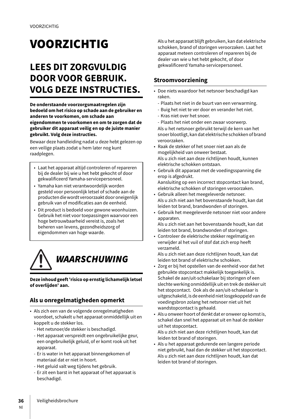# VOORZICHTIG

# **LEES DIT ZORGVULDIG DOOR VOOR GEBRUIK. VOLG DEZE INSTRUCTIES.**

**De onderstaande voorzorgsmaatregelen zijn bedoeld om het risico op schade aan de gebruiker en anderen te voorkomen, om schade aan eigendommen te voorkomen en om te zorgen dat de gebruiker dit apparaat veilig en op de juiste manier gebruikt. Volg deze instructies.**

Bewaar deze handleiding nadat u deze hebt gelezen op een veilige plaats zodat u hem later nog kunt raadplegen.

- Laat het apparaat altijd controleren of repareren bij de dealer bij wie u het hebt gekocht of door gekwalificeerd Yamaha-servicepersoneel.
- Yamaha kan niet verantwoordelijk worden gesteld voor persoonlijk letsel of schade aan de producten die wordt veroorzaakt door oneigenlijk gebruik van of modificaties aan de eenheid.
- Dit product is bedoeld voor gewone woonhuizen. Gebruik het niet voor toepassingen waarvoor een hoge betrouwbaarheid vereist is, zoals het beheren van levens, gezondheidszorg of eigendommen van hoge waarde.



**Deze inhoud geeft 'risico op ernstig lichamelijk letsel of overlijden' aan.**

# **Als u onregelmatigheden opmerkt**

- Als zich een van de volgende onregelmatigheden voordoet, schakelt u het apparaat onmiddellijk uit en koppelt u de stekker los.
	- Het netsnoer/de stekker is beschadigd.
	- Het apparaat verspreidt een ongebruikelijke geur, een ongebruikelijk geluid, of er komt rook uit het apparaat.
	- Er is water in het apparaat binnengekomen of materiaal dat er niet in hoort.
	- Het geluid valt weg tijdens het gebruik.
	- Er zit een barst in het apparaat of het apparaat is beschadigd.

Als u het apparaat blijft gebruiken, kan dat elektrische schokken, brand of storingen veroorzaken. Laat het apparaat meteen controleren of repareren bij de dealer van wie u het hebt gekocht, of door gekwalificeerd Yamaha-servicepersoneel.

## **Stroomvoorziening**

- Doe niets waardoor het netsnoer beschadigd kan raken.
- Plaats het niet in de buurt van een verwarming.
- Buig het niet te ver door en verander het niet.
- Kras niet over het snoer.
- Plaats het niet onder een zwaar voorwerp. Als u het netsnoer gebruikt terwijl de kern van het snoer blootligt, kan dat elektrische schokken of brand veroorzaken.
- Raak de stekker of het snoer niet aan als de mogelijkheid van onweer bestaat. Als u zich niet aan deze richtlijnen houdt, kunnen elektrische schokken ontstaan.
- Gebruik dit apparaat met de voedingsspanning die erop is afgedrukt.
- Aansluiting op een incorrect stopcontact kan brand, elektrische schokken of storingen veroorzaken.
- Gebruik alleen het meegeleverde netsnoer. Als u zich niet aan het bovenstaande houdt, kan dat leiden tot brand, brandwonden of storingen.
- Gebruik het meegeleverde netsnoer niet voor andere apparaten.
- Als u zich niet aan het bovenstaande houdt, kan dat leiden tot brand, brandwonden of storingen.
- Controleer de elektrische stekker regelmatig en verwijder al het vuil of stof dat zich erop heeft verzameld.

Als u zich niet aan deze richtlijnen houdt, kan dat leiden tot brand of elektrische schokken.

- Zorg er bij het opstellen van de eenheid voor dat het gebruikte stopcontact makkelijk toegankelijk is. Schakel de aan/uit-schakelaar bij storingen of een slechte werking onmiddellijk uit en trek de stekker uit het stopcontact. Ook als de aan/uit-schakelaar is uitgeschakeld, is de eenheid niet losgekoppeld van de voedingsbron zolang het netsnoer niet uit het wandstopcontact is gehaald.
- Als u onweer hoort of denkt dat er onweer op komst is, schakel dan snel het apparaat uit en haal de stekker uit het stopcontact.

Als u zich niet aan deze richtlijnen houdt, kan dat leiden tot brand of storingen.

• Als u het apparaat gedurende een langere periode niet gebruikt, haal dan de stekker uit het stopcontact. Als u zich niet aan deze richtlijnen houdt, kan dat leiden tot brand of storingen.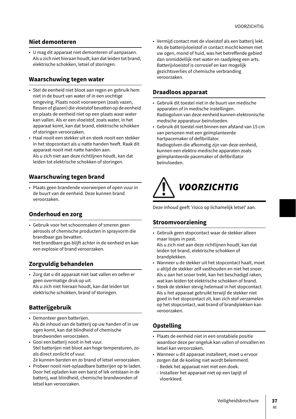### **Niet demonteren**

• U mag dit apparaat niet demonteren of aanpassen. Als u zich niet hieraan houdt, kan dat leiden tot brand, elektrische schokken, letsel of storingen.

### **Waarschuwing tegen water**

- Stel de eenheid niet bloot aan regen en gebruik hem niet in de buurt van water of in een vochtige omgeving. Plaats nooit voorwerpen (zoals vazen, flessen of glazen) die vloeistof bevatten op de eenheid en plaats de eenheid niet op een plaats waar water kan vallen. Als er een vloeistof, zoals water, in het apparaat komt, kan dat brand, elektrische schokken of storingen veroorzaken.
- Haal nooit een stekker uit en steek nooit een stekker in het stopcontact als u natte handen heeft. Raak dit apparaat nooit met natte handen aan.

Als u zich niet aan deze richtlijnen houdt, kan dat leiden tot elektrische schokken of storingen.

### **Waarschuwing tegen brand**

• Plaats geen brandende voorwerpen of open vuur in de buurt van de eenheid. Deze kunnen brand veroorzaken.

### **Onderhoud en zorg**

• Gebruik voor het schoonmaken of smeren geen aërosols of chemische producten in sprayvorm die brandbaar gas bevatten.

Het brandbare gas blijft achter in de eenheid en kan een explosie of brand veroorzaken.

### **Zorgvuldig behandelen**

• Zorg dat u dit apparaat niet laat vallen en oefen er geen overmatige druk op uit. Als u zich niet hieraan houdt, kan dat leiden tot elektrische schokken, brand of storingen.

### **Batterijgebruik**

- Demonteer geen batterijen. Als de inhoud van de batterij op uw handen of in uw ogen komt, kan dat blindheid of chemische brandwonden veroorzaken.
- Gooi een batterij nooit in het vuur. Stel batterijen niet bloot aan hoge temperaturen, zoals direct zonlicht of vuur.
	- Ze kunnen barsten en zo brand of letsel veroorzaken.
- Probeer nooit niet-oplaadbare batterijen op te laden. Door het opladen kan een barst of lek ontstaan in de batterij, wat blindheid, chemische brandwonden of letsel kan veroorzaken.

• Vermijd contact met de vloeistof als een batterij lekt. Als de batterijvloeistof in contact mocht komen met uw ogen, mond of huid, was het betreffende gebied dan onmiddellijk met water en raadpleeg een arts. Batterijvloeistof is corrosief en kan mogelijk gezichtsverlies of chemische verbranding veroorzaken.

### **Draadloos apparaat**

- Gebruik dit toestel niet in de buurt van medische apparaten of in medische instellingen. Radiogolven van deze eenheid kunnen elektronische medische apparatuur beïnvloeden.
- Gebruik dit toestel niet binnen een afstand van 15 cm van personen met een geïmplanteerde hartpacemaker of defibrillator. Radiogolven die afkomstig zijn van deze eenheid, kunnen een elektro-medische apparaten zoals geïmplanteerde pacemaker of defibrillator beïnvloeden.



Deze inhoud geeft 'risico op lichamelijk letsel' aan.

### **Stroomvoorziening**

- Gebruik geen stopcontact waar de stekker alleen maar losjes in past. Als u zich niet aan deze richtlijnen houdt, kan dat
- leiden tot brand, elektrische schokken of brandplekken.
- Wanneer u de stekker uit het stopcontact haalt, moet u altijd de stekker zelf vasthouden en niet het snoer. Als u aan het snoer trekt, kan het beschadigd raken, wat kan leiden tot elektrische schokken of brand.
- Steek de stekker stevig helemaal in het stopcontact. Als u het apparaat gebruikt terwijl de stekker niet goed in het stopcontact zit, kan zich stof verzamelen op het stopcontact, wat brand of brandplekken kan veroorzaken.

## **Opstelling**

- Plaats de eenheid niet in een onstabiele positie waardoor deze per ongeluk kan vallen of omvallen en letsel kan veroorzaken.
- Wanneer u dit apparaat installeert, moet u ervoor zorgen dat de koeling niet wordt belemmerd.
	- Bedek het apparaat niet met een doek.
	- Installeer het apparaat niet op een tapijt of vloerkleed.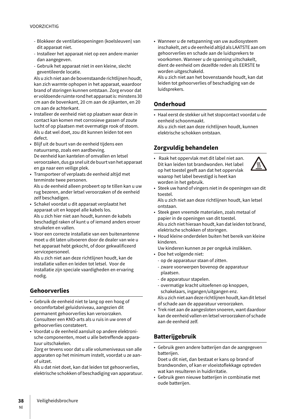#### VOORZICHTIG

- Blokkeer de ventilatieopeningen (koelsleuven) van dit apparaat niet.
- Installeer het apparaat niet op een andere manier dan aangegeven.
- Gebruik het apparaat niet in een kleine, slecht geventileerde locatie.

Als u zich niet aan de bovenstaande richtlijnen houdt, kan zich warmte ophopen in het apparaat, waardoor brand of storingen kunnen ontstaan. Zorg ervoor dat er voldoende ruimte rond het apparaat is: minstens 30 cm aan de bovenkant, 20 cm aan de zijkanten, en 20 cm aan de achterkant.

- Installeer de eenheid niet op plaatsen waar deze in contact kan komen met corrosieve gassen of zoute lucht of op plaatsen met overmatige rook of stoom. Als u dat wel doet, zou dit kunnen leiden tot een defect.
- Blijf uit de buurt van de eenheid tijdens een natuurramp, zoals een aardbeving. De eenheid kan kantelen of omvallen en letsel veroorzaken, dus ga snel uit de buurt van het apparaat en ga naar een veilige plek.
- Transporteer of verplaats de eenheid altijd met tenminste twee personen. Als u de eenheid alleen probeert op te tillen kan u uw rug bezeren, ander letsel veroorzaken of de eenheid zelf beschadigen.
- Schakel voordat u dit apparaat verplaatst het apparaat uit en koppel alle kabels los. Als u zich hier niet aan houdt, kunnen de kabels beschadigd raken of kunt u of iemand anders erover struikelen en vallen.
- Voor een correcte installatie van een buitenantenne moet u dit laten uitvoeren door de dealer van wie u het apparaat hebt gekocht, of door gekwalificeerd servicepersoneel.

Als u zich niet aan deze richtlijnen houdt, kan de installatie vallen en leiden tot letsel. Voor de installatie zijn speciale vaardigheden en ervaring nodig.

# **Gehoorverlies**

- Gebruik de eenheid niet te lang op een hoog of oncomfortabel geluidsniveau, aangezien dit permanent gehoorverlies kan veroorzaken. Consulteer een KNO-arts als u ruis in uw oren of gehoorverlies constateert.
- Voordat u de eenheid aansluit op andere elektronische componenten, moet u alle betreffende apparatuur uitschakelen.

Zorg er tevens voor dat u alle volumeniveaus van alle apparaten op het minimum instelt, voordat u ze aanof uitzet.

Als u dat niet doet, kan dat leiden tot gehoorverlies, elektrische schokken of beschadiging van apparatuur. • Wanneer u de netspanning van uw audiosysteem inschakelt, zet u de eenheid altijd als LAATSTE aan om gehoorverlies en schade aan de luidsprekers te voorkomen. Wanneer u de spanning uitschakelt, dient de eenheid om dezelfde reden als EERSTE te worden uitgeschakeld.

Als u zich niet aan het bovenstaande houdt, kan dat leiden tot gehoorverlies of beschadiging van de luidsprekers.

## **Onderhoud**

• Haal eerst de stekker uit het stopcontact voordat u de eenheid schoonmaakt. Als u zich niet aan deze richtlijnen houdt, kunnen elektrische schokken ontstaan.

# **Zorgvuldig behandelen**

• Raak het oppervlak met dit label niet aan. Dit kan leiden tot brandwonden. Het label op het toestel geeft aan dat het oppervlak waarop het label bevestigd is heet kan worden in het gebruik.



• Steek uw hand of vingers niet in de openingen van dit toestel.

Als u zich niet aan deze richtlijnen houdt, kan letsel ontstaan.

- Steek geen vreemde materialen, zoals metaal of papier in de openingen van dit toestel. Als u zich niet hieraan houdt, kan dat leiden tot brand, elektrische schokken of storingen.
- Houd kleine onderdelen buiten het bereik van kleine kinderen.

Uw kinderen kunnen ze per ongeluk inslikken.

- Doe het volgende niet:
	- op de apparatuur staan of zitten.
	- zware voorwerpen bovenop de apparatuur plaatsen.
	- de apparatuur stapelen.
	- overmatige kracht uitoefenen op knoppen, schakelaars, ingangen/uitgangen enz.

Als u zich niet aan deze richtlijnen houdt, kan dit letsel of schade aan de apparatuur veroorzaken.

• Trek niet aan de aangesloten snoeren, want daardoor kan de eenheid vallen en letsel veroorzaken of schade aan de eenheid zelf.

# **Batterijgebruik**

- Gebruik geen andere batterijen dan de aangegeven batterijen.
- Doet u dit niet, dan bestaat er kans op brand of brandwonden, of kan er vloeistoflekkage optreden wat kan resulteren in huidirritatie.
- Gebruik geen nieuwe batterijen in combinatie met oude batterijen.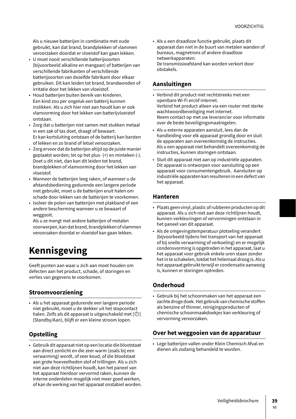Als u nieuwe batterijen in combinatie met oude gebruikt, kan dat brand, brandplekken of vlammen veroorzaken doordat er vloeistof kan gaan lekken.

- U moet nooit verschillende batterijsoorten (bijvoorbeeld alkaline en mangaan) of batterijen van verschillende fabrikanten of verschillende batterijsoorten van dezelfde fabrikant door elkaar gebruiken. Dit kan leiden tot brand, brandwonden of irritatie door het lekken van vloeistof.
- Houd batterijen buiten bereik van kinderen. Een kind zou per ongeluk een batterij kunnen inslikken. Als u zich hier niet aan houdt kan er ook vlamvorming door het lekken van batterijvloeistof ontstaan.
- Zorg dat u batterijen niet samen met stukken metaal in een zak of tas doet, draagt of bewaart. Er kan kortsluiting ontstaan of de batterij kan barsten of lekken en zo brand of letsel veroorzaken.
- Zorg ervoor dat de batterijen altijd op de juiste manier geplaatst worden; let op het plus- (+) en minteken (-). Doet u dit niet, dan kan dit leiden tot brand, brandplekken of vlamvorming door het lekken van vloeistof.
- Wanneer de batterijen leeg raken, of wanneer u de afstandsbediening gedurende een langere periode niet gebruikt, moet u de batterijen eruit halen om schade door lekken van de batterijen te voorkomen.
- Isoleer de polen van batterijen met plakband of een andere bescherming wanneer u ze bewaart of weggooit.

Als u ze mengt met andere batterijen of metalen voorwerpen, kan dat brand, brandplekken of vlammen veroorzaken doordat er vloeistof kan gaan lekken.

# **Kennisgeving**

Geeft punten aan waar u zich aan moet houden om defecten aan het product, schade, of storingen en verlies van gegevens te voorkomen.

## **Stroomvoorziening**

• Als u het apparaat gedurende een langere periode niet gebruikt, moet u de stekker uit het stopcontact halen. Zelfs als dit apparaat is uitgeschakeld met  $[\mathcal{O}]$ (Standby/Aan), blijft er een kleine stroom lopen.

## **Opstelling**

• Gebruik dit apparaat niet op een locatie die blootstaat aan direct zonlicht en die zeer warm (zoals bij een verwarming) wordt, of zeer koud, of die blootstaat aan grote hoeveelheden stof of trillingen. Als u zich niet aan deze richtlijnen houdt, kan het paneel van het apparaat hierdoor vervormd raken, kunnen de interne onderdelen mogelijk niet meer goed werken, of kan de werking van het apparaat onstabiel worden. • Als u een draadloze functie gebruikt, plaats dit apparaat dan niet in de buurt van metalen wanden of bureaus, magnetrons of andere draadloze netwerkapparaten. De transmissieafstand kan worden verkort door obstakels.

### **Aansluitingen**

- Verbind dit product niet rechtstreeks met een openbare Wi-Fi en/of internet. Verbind het product alleen via een router met sterke wachtwoordbeveiliging met internet. Neem contact op met uw leverancier voor informatie over de beste beveiligingsmaatregelen.
- Als u externe apparaten aansluit, lees dan de handleiding voor elk apparaat grondig door en sluit de apparaten aan overeenkomstig de instructies. Als u een apparaat niet behandelt overeenkomstig de instructies, kunnen storingen ontstaan.
- Sluit dit apparaat niet aan op industriële apparaten. Dit apparaat is ontworpen voor aansluiting op een apparaat voor consumentengebruik. Aansluiten op industriële apparaten kan resulteren in een defect van het apparaat.

## **Hanteren**

- Plaats geen vinyl, plastic of rubberen producten op dit apparaat. Als u zich niet aan deze richtlijnen houdt, kunnen verkleuringen of vervormingen ontstaan in het paneel van dit apparaat.
- Als de omgevingstemperatuur plotseling verandert (bijvoorbeeld tijdens het transport van het apparaat of bij snelle verwarming of verkoeling) en er mogelijk condensvorming is opgetreden in het apparaat, laat u het apparaat voor gebruik enkele uren staan zonder het in te schakelen, totdat het helemaal droog is. Als u het apparaat gebruikt terwijl er condensatie aanwezig is, kunnen er storingen optreden.

## **Onderhoud**

• Gebruik bij het schoonmaken van het apparaat een zachte droge doek. Het gebruik van chemische stoffen als benzine of thinner, reinigingsproducten of chemische schoonmaakdoekjes kan verkleuring of vervorming veroorzaken.

# **Over het weggooien van de apparatuur**

• Lege batterijen vallen onder Klein Chemisch Afval en dienen als zodanig behandeld te worden.

Nl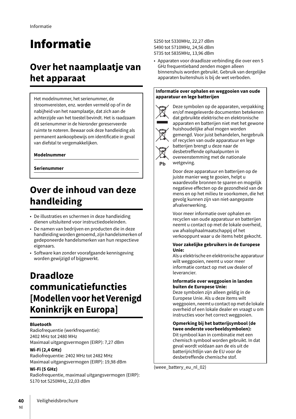# Informatie

# **Over het naamplaatje van het apparaat**

Het modelnummer, het serienummer, de stroomvereisten, enz. worden vermeld op of in de nabijheid van het naamplaatje, dat zich aan de achterzijde van het toestel bevindt. Het is raadzaam dit serienummer in de hieronder gereserveerde ruimte te noteren. Bewaar ook deze handleiding als permanent aankoopbewijs om identificatie in geval van diefstal te vergemakkelijken.

### **Modelnummer**

**Serienummer**

# **Over de inhoud van deze handleiding**

- De illustraties en schermen in deze handleiding dienen uitsluitend voor instructiedoeleinden.
- De namen van bedrijven en producten die in deze handleiding worden genoemd, zijn handelsmerken of gedeponeerde handelsmerken van hun respectieve eigenaars.
- Software kan zonder voorafgaande kennisgeving worden gewijzigd of bijgewerkt.

# **Draadloze communicatiefuncties [Modellen voor het Verenigd Koninkrijk en Europa]**

### **Bluetooth**

Radiofrequentie (werkfrequentie): 2402 MHz tot 2480 MHz Maximaal uitgangsvermogen (EIRP): 7,27 dBm

### **Wi-Fi (2,4 GHz)**

Radiofrequentie: 2402 MHz tot 2482 MHz Maximaal uitgangsvermogen (EIRP): 19,98 dBm

#### **Wi-Fi (5 GHz)**

Radiofrequentie, maximaal uitgangsvermogen (EIRP): 5170 tot 5250MHz, 22,03 dBm

5250 tot 5330MHz, 22,27 dBm 5490 tot 5710MHz, 24,56 dBm 5735 tot 5835MHz, 13,96 dBm

• Apparaten voor draadloze verbinding die over een 5 GHz frequentieband zenden mogen alleen binnenshuis worden gebruikt. Gebruik van dergelijke apparaten buitenshuis is bij de wet verboden.

#### **Informatie over ophalen en weggooien van oude apparatuur en lege batterijen**



Pb

Deze symbolen op de apparaten, verpakking en/of meegeleverde documenten betekenen dat gebruikte elektrische en elektronische apparaten en batterijen niet met het gewone huishoudelijke afval mogen worden gemengd. Voor juist behandelen, hergebruik of recyclen van oude apparatuur en lege batterijen brengt u deze naar de desbetreffende ophaalpunten in overeenstemming met de nationale wetgeving.

Door deze apparatuur en batterijen op de juiste manier weg te gooien, helpt u waardevolle bronnen te sparen en mogelijk negatieve effecten op de gezondheid van de mens en op het milieu te voorkomen, die het gevolg kunnen zijn van niet-aangepaste afvalverwerking.

Voor meer informatie over ophalen en recyclen van oude apparatuur en batterijen neemt u contact op met de lokale overheid, uw afvalophaalmaatschappij of het verkooppunt waar u de items hebt gekocht.

#### **Voor zakelijke gebruikers in de Europese Unie:**

Als u elektrische en elektronische apparatuur wilt weggooien, neemt u voor meer informatie contact op met uw dealer of leverancier.

#### **Informatie over weggooien in landen buiten de Europese Unie:**

Deze symbolen zijn alleen geldig in de Europese Unie. Als u deze items wilt weggooien, neemt u contact op met de lokale overheid of een lokale dealer en vraagt u om instructies voor het correct weggooien.

#### **Opmerking bij het batterijsymbool (de twee onderste voorbeeldsymbolen):** Dit symbool kan in combinatie met een chemisch symbool worden gebruikt. In dat geval wordt voldaan aan de eis uit de batterijrichtlijn van de EU voor de

desbetreffende chemische stof.

(weee\_battery\_eu\_nl\_02)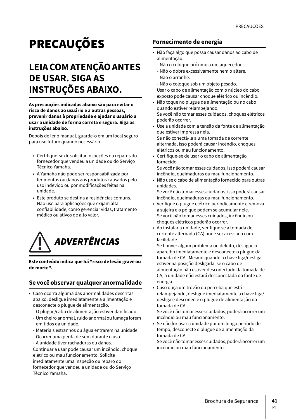# **PRECAUÇÕES**

# **LEIA COM ATENÇÃO ANTES DE USAR. SIGA AS INSTRUÇÕES ABAIXO.**

**As precauções indicadas abaixo são para evitar o risco de danos ao usuário e a outras pessoas, prevenir danos à propriedade e ajudar o usuário a usar a unidade de forma correta e segura. Siga as instruções abaixo.**

Depois de ler o manual, guarde-o em um local seguro para uso futuro quando necessário.

- Certifique-se de solicitar inspeções ou reparos do fornecedor que vendeu a unidade ou do Serviço Técnico Yamaha.
- A Yamaha não pode ser responsabilizada por ferimentos ou danos aos produtos causados pelo uso indevido ou por modificações feitas na unidade.
- Este produto se destina a residências comuns. Não use para aplicações que exijam alta confiabilidade, como gerenciar vidas, tratamento médico ou ativos de alto valor.



**Este conteúdo indica que há "risco de lesão grave ou de morte".**

# **Se você observar qualquer anormalidade**

- Caso ocorra alguma das anormalidades descritas abaixo, desligue imediatamente a alimentação e desconecte o plugue de alimentação.
	- O plugue/cabo de alimentação estiver danificado.
	- Um cheiro anormal, ruído anormal ou fumaça forem emitidos da unidade.
	- Materiais estranhos ou água entrarem na unidade.
	- Ocorrer uma perda de som durante o uso.
	- A unidade tiver rachaduras ou danos.

Continuar a usar pode causar um incêndio, choque elétrico ou mau funcionamento. Solicite imediatamente uma inspeção ou reparo do fornecedor que vendeu a unidade ou do Serviço Técnico Yamaha.

### **Fornecimento de energia**

- Não faça algo que possa causar danos ao cabo de alimentação.
	- Não o coloque próximo a um aquecedor.
	- Não o dobre excessivamente nem o altere.
	- Não o arranhe.
	- Não o coloque sob um objeto pesado.
	- Usar o cabo de alimentação com o núcleo do cabo exposto pode causar choque elétrico ou incêndio.
- Não toque no plugue de alimentação ou no cabo quando estiver relampejando. Se você não tomar esses cuidados, choques elétricos poderão ocorrer.
- Use a unidade com a tensão da fonte de alimentação que estiver impressa nela.
- Se não conectá-la a uma tomada de corrente alternada, isso poderá causar incêndio, choques elétricos ou mau funcionamento.
- Certifique-se de usar o cabo de alimentação fornecido.

Se você não tomar esses cuidados, isso poderá causar incêndio, queimaduras ou mau funcionamento.

• Não use o cabo de alimentação fornecido para outras unidades.

Se você não tomar esses cuidados, isso poderá causar incêndio, queimaduras ou mau funcionamento.

- Verifique o plugue elétrico periodicamente e remova a sujeira e o pó que podem se acumular nele. Se você não tomar esses cuidados, incêndio ou choques elétricos poderão ocorrer.
- Ao instalar a unidade, verifique se a tomada de corrente alternada (CA) pode ser acessada com facilidade.

Se houver algum problema ou defeito, desligue o aparelho imediatamente e desconecte o plugue da tomada de CA. Mesmo quando a chave liga/desliga estiver na posição desligada, se o cabo de alimentação não estiver desconectado da tomada de CA, a unidade não estará desconectada da fonte de energia.

• Caso ouça um trovão ou perceba que está relampejando, desligue imediatamente a chave liga/ desliga e desconecte o plugue de alimentação da tomada de CA.

Se você não tomar esses cuidados, poderá ocorrer um incêndio ou mau funcionamento.

• Se não for usar a unidade por um longo período de tempo, desconecte o plugue de alimentação da tomada de CA.

Se você não tomar esses cuidados, poderá ocorrer um incêndio ou mau funcionamento.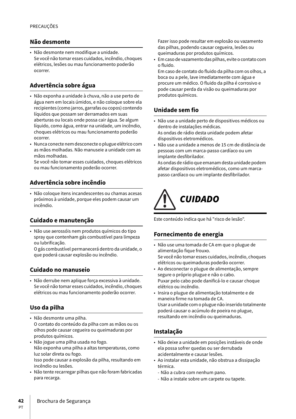### **Não desmonte**

• Não desmonte nem modifique a unidade. Se você não tomar esses cuidados, incêndio, choques elétricos, lesões ou mau funcionamento poderão ocorrer.

### **Advertência sobre água**

- Não exponha a unidade à chuva, não a use perto de água nem em locais úmidos, e não coloque sobre ela recipientes (como jarros, garrafas ou copos) contendo líquidos que possam ser derramados em suas aberturas ou locais onde possa cair água. Se algum líquido, como água, entrar na unidade, um incêndio, choques elétricos ou mau funcionamento poderão ocorrer.
- Nunca conecte nem desconecte o plugue elétrico com as mãos molhadas. Não manuseie a unidade com as mãos molhadas.

Se você não tomar esses cuidados, choques elétricos ou mau funcionamento poderão ocorrer.

### **Advertência sobre incêndio**

• Não coloque itens incandescentes ou chamas acesas próximos à unidade, porque eles podem causar um incêndio.

### **Cuidado e manutenção**

• Não use aerossóis nem produtos químicos do tipo spray que contenham gás combustível para limpeza ou lubrificação.

O gás combustível permanecerá dentro da unidade, o que poderá causar explosão ou incêndio.

### **Cuidado no manuseio**

• Não derrube nem aplique força excessiva à unidade. Se você não tomar esses cuidados, incêndio, choques elétricos ou mau funcionamento poderão ocorrer.

### **Uso da pilha**

- Não desmonte uma pilha. O contato do conteúdo da pilha com as mãos ou os olhos pode causar cegueira ou queimaduras por produtos químicos.
- Não jogue uma pilha usada no fogo. Não exponha uma pilha a altas temperaturas, como luz solar direta ou fogo. Isso pode causar a explosão da pilha, resultando em

incêndio ou lesões.

• Não tente recarregar pilhas que não foram fabricadas para recarga.

Fazer isso pode resultar em explosão ou vazamento das pilhas, podendo causar cegueira, lesões ou queimaduras por produtos químicos.

• Em caso de vazamento das pilhas, evite o contato com o fluido.

Em caso de contato do fluido da pilha com os olhos, a boca ou a pele, lave imediatamente com água e procure um médico. O fluido da pilha é corrosivo e pode causar perda da visão ou queimaduras por produtos químicos.

### **Unidade sem fio**

- Não use a unidade perto de dispositivos médicos ou dentro de instalações médicas. As ondas de rádio desta unidade podem afetar
- dispositivos eletromédicos. • Não use a unidade a menos de 15 cm de distância de pessoas com um marca-passo cardíaco ou um implante desfibrilador.

As ondas de rádio que emanam desta unidade podem afetar dispositivos eletromédicos, como um marcapasso cardíaco ou um implante desfibrilador.



Este conteúdo indica que há "risco de lesão".

### **Fornecimento de energia**

- Não use uma tomada de CA em que o plugue de alimentação fique frouxo. Se você não tomar esses cuidados, incêndio, choques elétricos ou queimaduras poderão ocorrer.
- Ao desconectar o plugue de alimentação, sempre segure o próprio plugue e não o cabo. Puxar pelo cabo pode danificá-lo e causar choque elétrico ou incêndio.
- Insira o plugue de alimentação totalmente e de maneira firme na tomada de CA. Usar a unidade com o plugue não inserido totalmente poderá causar o acúmulo de poeira no plugue, resultando em incêndio ou queimaduras.

## **Instalação**

- Não deixe a unidade em posições instáveis de onde ela possa sofrer quedas ou ser derrubada acidentalmente e causar lesões.
- Ao instalar esta unidade, não obstrua a dissipação térmica.
	- Não a cubra com nenhum pano.
	- Não a instale sobre um carpete ou tapete.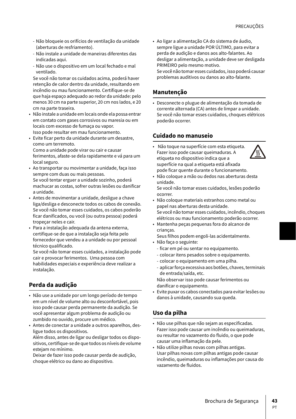- Não bloqueie os orifícios de ventilação da unidade (aberturas de resfriamento).
- Não instale a unidade de maneiras diferentes das indicadas aqui.
- Não use o dispositivo em um local fechado e mal ventilado.

Se você não tomar os cuidados acima, poderá haver retenção de calor dentro da unidade, resultando em incêndio ou mau funcionamento. Certifique-se de que haja espaço adequado ao redor da unidade: pelo menos 30 cm na parte superior, 20 cm nos lados, e 20 cm na parte traseira.

- Não instale a unidade em locais onde ela possa entrar em contato com gases corrosivos ou maresia ou em locais com excesso de fumaça ou vapor. Isso pode resultar em mau funcionamento.
- Evite ficar perto da unidade durante um desastre, como um terremoto. Como a unidade pode virar ou cair e causar ferimentos, afaste-se dela rapidamente e vá para um local seguro.
- Ao transportar ou movimentar a unidade, faça isso sempre com duas ou mais pessoas. Se você tentar erguer a unidade sozinho, poderá machucar as costas, sofrer outras lesões ou danificar a unidade.
- Antes de movimentar a unidade, desligue a chave liga/desliga e desconecte todos os cabos de conexão. Se você não tomar esses cuidados, os cabos poderão ficar danificados, ou você (ou outra pessoa) poderá tropeçar neles e cair.
- Para a instalação adequada da antena externa, certifique-se de que a instalação seja feita pelo fornecedor que vendeu a a unidade ou por pessoal técnico qualificado.

Se você não tomar esses cuidados, a instalação pode cair e provocar ferimentos. Uma pessoa com habilidades especiais e experiência deve realizar a instalação.

# **Perda da audição**

- Não use a unidade por um longo período de tempo em um nível de volume alto ou desconfortável, pois isso pode causar perda permanente da audição. Se você apresentar algum problema de audição ou zumbido no ouvido, procure um médico.
- Antes de conectar a unidade a outros aparelhos, desligue todos os dispositivos.

Além disso, antes de ligar ou desligar todos os dispositivos, certifique-se de que todos os níveis de volume estejam no mínimo.

Deixar de fazer isso pode causar perda de audição, choque elétrico ou dano ao dispositivo.

• Ao ligar a alimentação CA do sistema de áudio, sempre ligue a unidade POR ÚLTIMO, para evitar a perda de audição e danos aos alto-falantes. Ao desligar a alimentação, a unidade deve ser desligada PRIMEIRO pelo mesmo motivo.

Se você não tomar esses cuidados, isso poderá causar problemas auditivos ou danos ao alto-falante.

## **Manutenção**

• Desconecte o plugue de alimentação da tomada de corrente alternada (CA) antes de limpar a unidade. Se você não tomar esses cuidados, choques elétricos poderão ocorrer.

### **Cuidado no manuseio**

• Não toque na superfície com esta etiqueta. Fazer isso pode causar queimaduras. A etiqueta no dispositivo indica que a superfície na qual a etiqueta está afixada pode ficar quente durante o funcionamento.



- Não coloque a mão ou dedos nas aberturas desta unidade.
- Se você não tomar esses cuidados, lesões poderão ocorrer.
- Não coloque materiais estranhos como metal ou papel nas aberturas desta unidade. Se você não tomar esses cuidados, incêndio, choques elétricos ou mau funcionamento poderão ocorrer.
- Mantenha peças pequenas fora do alcance de crianças.

Seus filhos podem engoli-las acidentalmente.

- Não faça o seguinte:
	- ficar em pé ou sentar no equipamento.
	- colocar itens pesados sobre o equipamento.
	- colocar o equipamento em uma pilha.
	- aplicar força excessiva aos botões, chaves, terminais de entrada/saída, etc.

Não observar isso pode causar ferimentos ou danificar o equipamento.

• Evite puxar os cabos conectados para evitar lesões ou danos à unidade, causando sua queda.

## **Uso da pilha**

- Não use pilhas que não sejam as especificadas. Fazer isso pode causar um incêndio ou queimaduras, ou resultar no vazamento do fluido, o que pode causar uma inflamação da pele.
- Não utilize pilhas novas com pilhas antigas. Usar pilhas novas com pilhas antigas pode causar incêndio, queimaduras ou inflamações por causa do vazamento de fluidos.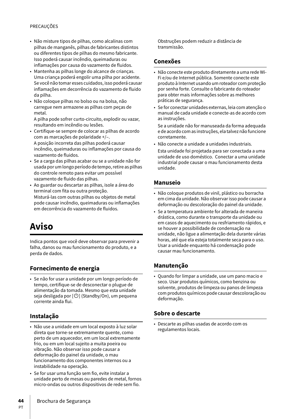### PRECAUÇÕES

- Não misture tipos de pilhas, como alcalinas com pilhas de manganês, pilhas de fabricantes distintos ou diferentes tipos de pilhas do mesmo fabricante. Isso poderá causar incêndio, queimaduras ou inflamações por causa do vazamento de fluidos.
- Mantenha as pilhas longe do alcance de crianças. Uma criança poderá engolir uma pilha por acidente. Se você não tomar esses cuidados, isso poderá causar inflamações em decorrência do vazamento de fluido da pilha.
- Não coloque pilhas no bolso ou na bolsa, não carregue nem armazene as pilhas com peças de metal.

A pilha pode sofrer curto-circuito, explodir ou vazar, resultando em incêndio ou lesões.

- Certifique-se sempre de colocar as pilhas de acordo com as marcações de polaridade +/–. A posição incorreta das pilhas poderá causar incêndio, queimaduras ou inflamações por causa do vazamento de fluidos.
- Se a carga das pilhas acabar ou se a unidade não for usada por um longo período de tempo, retire as pilhas do controle remoto para evitar um possível vazamento de fluido das pilhas.
- Ao guardar ou descartar as pilhas, isole a área do terminal com fita ou outra proteção. Misturá-las com outras pilhas ou objetos de metal pode causar incêndio, queimaduras ou inflamações em decorrência do vazamento de fluidos.

# **Aviso**

Indica pontos que você deve observar para prevenir a falha, danos ou mau funcionamento do produto, e a perda de dados.

### **Fornecimento de energia**

• Se não for usar a unidade por um longo período de tempo, certifique-se de desconectar o plugue de alimentação da tomada. Mesmo que esta unidade seja desligada por  $[\bigcup]$  (Standby/On), um pequena corrente ainda flui.

### **Instalação**

- Não use a unidade em um local exposto à luz solar direta que torne-se extremamente quente, como perto de um aquecedor, em um local extremamente frio, ou em um local sujeito a muita poeira ou vibração. Não observar isso pode causar a deformação do painel da unidade, o mau funcionamento dos componentes internos ou a instabilidade na operação.
- Se for usar uma função sem fio, evite instalar a unidade perto de mesas ou paredes de metal, fornos micro-ondas ou outros dispositivos de rede sem fio.

Obstruções podem reduzir a distância de transmissão.

### **Conexões**

- Não conecte este produto diretamente a uma rede Wi-Fi e/ou de Internet pública. Somente conecte este produto à Internet usando um roteador com proteção por senha forte. Consulte o fabricante do roteador para obter mais informações sobre as melhores práticas de segurança.
- Se for conectar unidades externas, leia com atenção o manual de cada unidade e conecte-as de acordo com as instruções.

Se a unidade não for manuseada da forma adequada e de acordo com as instruções, ela talvez não funcione corretamente.

• Não conecte a unidade a unidades industriais.

Esta unidade foi projetada para ser conectada a uma unidade de uso doméstico. Conectar a uma unidade industrial pode causar o mau funcionamento desta unidade.

### **Manuseio**

- Não coloque produtos de vinil, plástico ou borracha em cima da unidade. Não observar isso pode causar a deformação ou descoloração do painel da unidade.
- Se a temperatura ambiente for alterada de maneira drástica, como durante o transporte da unidade ou em casos de aquecimento ou resfriamento rápidos, e se houver a possibilidade de condensação na unidade, não ligue a alimentação dela durante várias horas, até que ela esteja totalmente seca para o uso. Usar a unidade enquanto há condensação pode causar mau funcionamento.

### **Manutenção**

• Quando for limpar a unidade, use um pano macio e seco. Usar produtos químicos, como benzina ou solvente, produtos de limpeza ou panos de limpeza com produtos químicos pode causar descoloração ou deformação.

### **Sobre o descarte**

• Descarte as pilhas usadas de acordo com os regulamentos locais.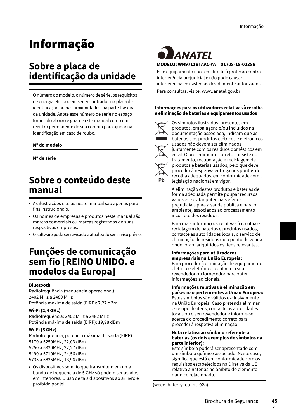# Informação

# **Sobre a placa de identificação da unidade**

O número do modelo, o número de série, os requisitos de energia etc. podem ser encontrados na placa de identificação ou nas proximidades, na parte traseira da unidade. Anote esse número de série no espaço fornecido abaixo e guarde este manual como um registro permanente de sua compra para ajudar na identificação em caso de roubo.

### **Nº do modelo**

**N° de série**

# **Sobre o conteúdo deste manual**

- As ilustrações e telas neste manual são apenas para fins instrucionais.
- Os nomes de empresas e produtos neste manual são marcas comerciais ou marcas registradas de suas respectivas empresas.
- O software pode ser revisado e atualizado sem aviso prévio.

# **Funções de comunicação sem fio [REINO UNIDO. e modelos da Europa]**

#### **Bluetooth**

Radiofrequência (frequência operacional): 2402 MHz a 2480 MHz Potência máxima de saída (EIRP): 7,27 dBm

#### **Wi-Fi (2,4 GHz)**

Radiofrequência: 2402 MHz a 2482 MHz Potência máxima de saída (EIRP): 19,98 dBm

### **Wi-Fi (5 GHz)**

Radiofrequência, potência máxima de saída (EIRP): 5170 a 5250MHz, 22,03 dBm 5250 a 5330MHz, 22,27 dBm 5490 a 5710MHz, 24,56 dBm 5735 a 5835MHz, 13,96 dBm

• Os dispositivos sem fio que transmitem em uma banda de frequência de 5 GHz só podem ser usados em interiores. O uso de tais dispositivos ao ar livro é

# **ANATEI MODELO: WN9711BTAAC-YA 01708-18-02386**

Este equipamento não tem direito à proteção contra interferência prejudicial e não pode causar interferência em sistemas devidamente autorizados.

Para consultas, visite: www.anatel.gov.br

#### **Informações para os utilizadores relativas à recolha e eliminação de baterias e equipamentos usados**



Os símbolos ilustrados, presentes em produtos, embalagens e/ou incluídos na documentação associada, indicam que as baterias e os produtos elétricos e eletrónicos usados não devem ser eliminados juntamente com os resíduos domésticos em geral. O procedimento correto consiste no tratamento, recuperação e reciclagem de produtos e baterias usados, pelo que deve proceder à respetiva entrega nos pontos de recolha adequados, em conformidade com a legislação nacional em vigor.

A eliminação destes produtos e baterias de forma adequada permite poupar recursos valiosos e evitar potenciais efeitos prejudiciais para a saúde pública e para o ambiente, associados ao processamento incorreto dos resíduos.

Para mais informações relativas à recolha e reciclagem de baterias e produtos usados, contacte as autoridades locais, o serviço de eliminação de resíduos ou o ponto de venda onde foram adquiridos os itens relevantes.

#### **Informações para utilizadores empresariais na União Europeia:** Para proceder à eliminação de equipamento elétrico e eletrónico, contacte o seu

revendedor ou fornecedor para obter informações adicionais.

### **Informações relativas à eliminação em países não pertencentes à União Europeia:**

Estes símbolos são válidos exclusivamente na União Europeia. Caso pretenda eliminar este tipo de itens, contacte as autoridades locais ou o seu revendedor e informe-se acerca do procedimento correto para proceder à respetiva eliminação.

#### **Nota relativa ao símbolo referente a baterias (os dois exemplos de símbolos na parte inferior):**

Este símbolo poderá ser apresentado com um símbolo químico associado. Neste caso, significa que está em conformidade com os requisitos estabelecidos na Diretiva da UE relativa a Baterias no âmbito do elemento químico relacionado.

(weee\_baterry\_eu\_pt\_02a)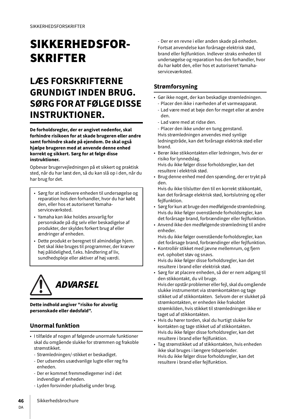# SIKKERHEDSFOR-SKRIFTER

# **LÆS FORSKRIFTERNE GRUNDIGT INDEN BRUG. SØRG FOR AT FØLGE DISSE INSTRUKTIONER.**

**De forholdsregler, der er angivet nedenfor, skal forhindre risikoen for at skade brugeren eller andre samt forhindre skade på ejendom. De skal også hjælpe brugeren med at anvende denne enhed korrekt og sikkert. Sørg for at følge disse instruktioner.**

Opbevar brugervejledningen på et sikkert og praktisk sted, når du har læst den, så du kan slå op i den, når du har brug for det.

- Sørg for at indlevere enheden til undersøgelse og reparation hos den forhandler, hvor du har købt den, eller hos et autoriseret Yamahaserviceværksted.
- Yamaha kan ikke holdes ansvarlig for personskade på dig selv eller beskadigelse af produkter, der skyldes forkert brug af eller ændringer af enheden.
- Dette produkt er beregnet til almindelige hjem. Det skal ikke bruges til programmer, der kræver høj pålidelighed, f.eks. håndtering af liv, sundhedspleje eller aktiver af høj værdi.



**Dette indhold angiver "risiko for alvorlig personskade eller dødsfald".**

### **Unormal funktion**

- I tilfælde af nogen af følgende unormale funktioner skal du omgående slukke for strømmen og frakoble strømstikket.
	- Strømledningen/-stikket er beskadiget.
	- Der udsendes usædvanlige lugte eller røg fra enheden.
	- Der er kommet fremmedlegemer ind i det indvendige af enheden.
	- Lyden forsvinder pludselig under brug.

- Der er en revne i eller anden skade på enheden. Fortsat anvendelse kan forårsage elektrisk stød, brand eller fejlfunktion. Indlever straks enheden til undersøgelse og reparation hos den forhandler, hvor du har købt den, eller hos et autoriseret Yamahaserviceværksted.

### **Strømforsyning**

- Gør ikke noget, der kan beskadige strømledningen. - Placer den ikke i nærheden af et varmeapparat.
	- Lad være med at bøje den for meget eller at ændre den.
	- Lad være med at ridse den.
	- Placer den ikke under en tung genstand.
- Hvis strømledningen anvendes med synlige ledningstråde, kan det forårsage elektrisk stød eller brand.
- Berør ikke stikkontakten eller ledningen, hvis der er risiko for lynnedslag.

Hvis du ikke følger disse forholdsregler, kan det resultere i elektrisk stød.

- Brug denne enhed med den spænding, der er trykt på den.
- Hvis du ikke tilslutter den til en korrekt stikkontakt, kan det forårsage elektrisk stød, kortslutning og eller fejlfunktion.
- Sørg for kun at bruge den medfølgende strømledning. Hvis du ikke følger ovenstående forholdsregler, kan det forårsage brand, forbrændinger eller fejlfunktion.
- Anvend ikke den medfølgende strømledning til andre enheder.

Hvis du ikke følger ovenstående forholdsregler, kan det forårsage brand, forbrændinger eller fejlfunktion.

- Kontrollér stikket med jævne mellemrum, og fjern evt. ophobet støv og snavs. Hvis du ikke følger disse forholdsregler, kan det resultere i brand eller elektrisk stød.
- Sørg for at placere enheden, så der er nem adgang til den stikkontakt, du vil bruge. Hvis der opstår problemer eller fejl, skal du omgående slukke instrumentet via strømkontakten og tage stikket ud af stikkontakten. Selvom der er slukket på strømkontakten, er enheden ikke frakoblet strømkilden, hvis stikket til strømledningen ikke er taget ud af stikkontakten.
- Hvis du hører torden, skal du hurtigt slukke for kontakten og tage stikket ud af stikkontakten. Hvis du ikke følger disse forholdsregler, kan det resultere i brand eller fejlfunktion.
- Tag strømstikket ud af stikkontakten, hvis enheden ikke skal bruges i længere tidsperioder. Hvis du ikke følger disse forholdsregler, kan det resultere i brand eller fejlfunktion.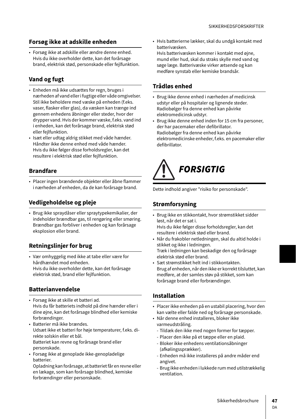## **Forsøg ikke at adskille enheden**

• Forsøg ikke at adskille eller ændre denne enhed. Hvis du ikke overholder dette, kan det forårsage brand, elektrisk stød, personskade eller fejlfunktion.

# **Vand og fugt**

- Enheden må ikke udsættes for regn, bruges i nærheden af vand eller i fugtige eller våde omgivelser. Stil ikke beholdere med væske på enheden (f.eks. vaser, flasker eller glas), da væsken kan trænge ind gennem enhedens åbninger eller steder, hvor der drypper vand. Hvis der kommer væske, f.eks. vand ind i enheden, kan det forårsage brand, elektrisk stød eller fejlfunktion.
- Isæt eller udtag aldrig stikket med våde hænder. Håndter ikke denne enhed med våde hænder. Hvis du ikke følger disse forholdsregler, kan det resultere i elektrisk stød eller fejlfunktion.

## **Brandfare**

• Placer ingen brændende objekter eller åbne flammer i nærheden af enheden, da de kan forårsage brand.

# **Vedligeholdelse og pleje**

• Brug ikke spraydåser eller spraytypekemikalier, der indeholder brændbar gas, til rengøring eller smøring. Brændbar gas forbliver i enheden og kan forårsage eksplosion eller brand.

# **Retningslinjer for brug**

• Vær omhyggelig med ikke at tabe eller være for hårdhændet mod enheden. Hvis du ikke overholder dette, kan det forårsage elektrisk stød, brand eller fejlfunktion.

# **Batterianvendelse**

- Forsøg ikke at skille et batteri ad. Hvis du får batteriets indhold på dine hænder eller i dine øjne, kan det forårsage blindhed eller kemiske forbrændinger.
- Batterier må ikke brændes. Udsæt ikke et batteri for høje temperaturer, f.eks. direkte solskin eller et bål. Batteriet kan revne og forårsage brand eller personskade.
- Forsøg ikke at genoplade ikke-genopladelige batterier.

Opladning kan forårsage, at batteriet får en revne eller en lækage, som kan forårsage blindhed, kemiske forbrændinger eller personskade.

• Hvis batterierne lækker, skal du undgå kontakt med batterivæsken.

Hvis batterivæsken kommer i kontakt med øjne, mund eller hud, skal du straks skylle med vand og søge læge. Batterivæske virker ætsende og kan medføre synstab eller kemiske brandsår.

# **Trådløs enhed**

- Brug ikke denne enhed i nærheden af medicinsk udstyr eller på hospitaler og lignende steder. Radiobølger fra denne enhed kan påvirke elektromedicinsk udstyr.
- Brug ikke denne enhed inden for 15 cm fra personer, der har pacemaker eller defibrillator. Radiobølger fra denne enhed kan påvirke elektromedicinske enheder, f.eks. en pacemaker eller defibrillator.

# FORSIGTIG

Dette indhold angiver "risiko for personskade".

# **Strømforsyning**

- Brug ikke en stikkontakt, hvor strømstikket sidder løst, når det er sat i.
- Hvis du ikke følger disse forholdsregler, kan det resultere i elektrisk stød eller brand.
- Når du frakobler netledningen, skal du altid holde i stikket og ikke i ledningen. Træk i ledningen kan beskadige den og forårsage elektrisk stød eller brand.
- Sæt strømstikket helt ind i stikkontakten. Brug af enheden, når den ikke er korrekt tilsluttet, kan medføre, at der samles støv på stikket, som kan forårsage brand eller forbrændinger.

## **Installation**

- Placer ikke enheden på en ustabil placering, hvor den kan vælte eller falde ned og forårsage personskade.
- Når denne enhed installeres, bloker ikke varmeudstråling.
	- Tildæk den ikke med nogen former for tæpper.
	- Placer den ikke på et tæppe eller en plaid.
	- Bloker ikke enhedens ventilationsåbninger (afkølingssprækker).
	- Enheden må ikke installeres på andre måder end angivet.
	- Brug ikke enheden i lukkede rum med utilstrækkelig ventilation.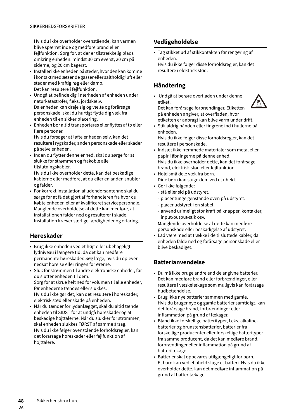Hvis du ikke overholder ovenstående, kan varmen blive spærret inde og medføre brand eller fejlfunktion. Sørg for, at der er tilstrækkelig plads omkring enheden: mindst 30 cm øverst, 20 cm på siderne, og 20 cm bagerst.

- Installer ikke enheden på steder, hvor den kan komme i kontakt med ætsende gasser eller saltholdig luft eller steder med kraftig røg eller damp. Det kan resultere i fejlfunktion.
- Undgå at befinde dig i nærheden af enheden under naturkatastrofer, f.eks. jordskælv. Da enheden kan dreje sig og vælte og forårsage personskade, skal du hurtigt flytte dig væk fra enheden til en sikker placering.
- Enheden bør altid transporteres eller flyttes af to eller flere personer.

Hvis du forsøger at løfte enheden selv, kan det resultere i rygskader, anden personskade eller skader på selve enheden.

• Inden du flytter denne enhed, skal du sørge for at slukke for strømmen og frakoble alle tilslutningskabler.

Hvis du ikke overholder dette, kan det beskadige kablerne eller medføre, at du eller en anden snubler og falder.

• For korrekt installation af udendørsantenne skal du sørge for at få det gjort af forhandleren fra hvor du købte enheden eller af kvalificeret servicepersonale. Manglende overholdelse af dette kan medføre, at installationen falder ned og resulterer i skade. Installation kræver særlige færdigheder og erfaring.

# **Høreskader**

- Brug ikke enheden ved et højt eller ubehageligt lydniveau i længere tid, da det kan medføre permanente høreskader. Søg læge, hvis du oplever nedsat hørelse eller ringen for ørerne.
- Sluk for strømmen til andre elektroniske enheder, før du slutter enheden til dem. Sørg for at skrue helt ned for volumen til alle enheder, før enhederne tændes eller slukkes. Hvis du ikke gør det, kan det resultere i høreskader, elektrisk stød eller skade på enheden.
- Når du tænder for lydanlægget, skal du altid tænde enheden til SIDST for at undgå høreskader og at beskadige højttalerne. Når du slukker for strømmen, skal enheden slukkes FØRST af samme årsag. Hvis du ikke følger ovenstående forholdsregler, kan det forårsage høreskader eller fejlfunktion af højttalere.

# **Vedligeholdelse**

• Tag stikket ud af stikkontakten før rengøring af enheden. Hvis du ikke følger disse forholdsregler, kan det

resultere i elektrisk stød.

# **Håndtering**

• Undgå at berøre overfladen under denne etiket. Det kan forårsage forbrændinger. Etiketten på enheden angiver, at overfladen, hvor



etiketten er anbragt kan blive varm under drift. • Stik aldrig hånden eller fingrene ind i hullerne på

enheden. Hvis du ikke følger disse forholdsregler, kan det resultere i personskade.

- Indsæt ikke fremmede materialer som metal eller papir i åbningerne på denne enhed. Hvis du ikke overholder dette, kan det forårsage brand, elektrisk stød eller fejlfunktion.
- Hold små dele væk fra børn. Dine børn kan sluge dem ved et uheld.
- Gør ikke følgende:
	- stå eller sid på udstyret.
	- placer tunge genstande oven på udstyret.
	- placer udstyret i en stabel.
	- anvend urimeligt stor kraft på knapper, kontakter, input/output-stik osv.

Manglende overholdelse af dette kan medføre personskade eller beskadigelse af udstyret.

• Lad være med at trække i de tilsluttede kabler, da enheden falde ned og forårsage personskade eller blive beskadiget.

# **Batterianvendelse**

- Du må ikke bruge andre end de angivne batterier. Det kan medføre brand eller forbrændinger, eller resultere i væskelækage som muligvis kan forårsage hudbetændelse.
- Brug ikke nye batterier sammen med gamle. Hvis du bruger nye og gamle batterier samtidigt, kan det forårsage brand, forbrændinger eller inflammation på grund af lækager.
- Bland ikke forskellige batterityper, f.eks. alkalinebatterier og brunstensbatterier, batterier fra forskellige producenter eller forskellige batterityper fra samme producent, da det kan medføre brand, forbrændinger eller inflammation på grund af batterilækage.
- Batterier skal opbevares utilgængeligt for børn. Et barn kan ved et uheld sluge et batteri. Hvis du ikke overholder dette, kan det medføre inflammation på grund af batterilækage.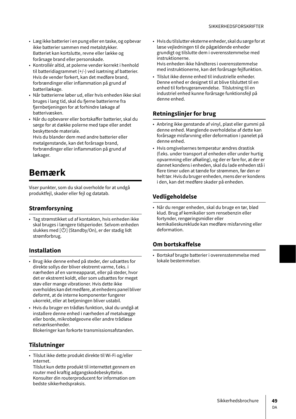- Læg ikke batterier i en pung eller en taske, og opbevar ikke batterier sammen med metalstykker. Batteriet kan kortslutte, revne eller lække og forårsage brand eller personskade.
- Kontrollér altid, at polerne vender korrekt i henhold til batteridiagrammet (+/-) ved isætning af batterier. Hvis de vender forkert, kan det medføre brand, forbrændinger eller inflammation på grund af batterilækage.
- Når batterierne løber ud, eller hvis enheden ikke skal bruges i lang tid, skal du fjerne batterierne fra fjernbetjeningen for at forhindre lækage af batterivæsken.
- Når du opbevarer eller bortskaffer batterier, skal du sørge for at dække polerne med tape eller andet beskyttende materiale.

Hvis du blander dem med andre batterier eller metalgenstande, kan det forårsage brand, forbrændinger eller inflammation på grund af lækager.

# **Bemærk**

Viser punkter, som du skal overholde for at undgå produktfejl, skader eller fejl og datatab.

# **Strømforsyning**

• Tag strømstikket ud af kontakten, hvis enheden ikke skal bruges i længere tidsperioder. Selvom enheden slukkes med  $[\bigcirc]$  (Standby/On), er der stadig lidt strømforbrug.

## **Installation**

- Brug ikke denne enhed på steder, der udsættes for direkte sollys der bliver ekstremt varme, f.eks. i nærheden af en varmeapparat, eller på steder, hvor det er ekstremt koldt, eller som udsættes for meget støv eller mange vibrationer. Hvis dette ikke overholdes kan det medføre, at enhedens panel bliver deformt, at de interne komponenter fungerer ukorrekt, eller at betjeningen bliver ustabil.
- Hvis du bruger en trådløs funktion, skal du undgå at installere denne enhed i nærheden af metalvægge eller borde, mikrobølgeovne eller andre trådløse netværksenheder.

Blokeringer kan forkorte transmissionsafstanden.

## **Tilslutninger**

• Tilslut ikke dette produkt direkte til Wi-Fi og/eller internet.

Tilslut kun dette produkt til internettet gennem en router med kraftig adgangskodebeskyttelse. Konsulter din routerproducent for information om bedste sikkerhedspraksis.

- Hvis du tilslutter eksterne enheder, skal du sørge for at læse vejledningen til de pågældende enheder grundigt og tilslutte dem i overensstemmelse med instruktionerne. Hvis enheden ikke håndteres i overensstemmelse
- med instruktionerne, kan det forårsage fejlfunktion. • Tilslut ikke denne enhed til industrielle enheder. Denne enhed er designet til at blive tilsluttet til en
- enhed til forbrugeranvendelse. Tilslutning til en industriel enhed kunne forårsage funktionsfejl på denne enhed.

# **Retningslinjer for brug**

- Anbring ikke genstande af vinyl, plast eller gummi på denne enhed. Manglende overholdelse af dette kan forårsage misfarvning eller deformation i panelet på denne enhed.
- Hvis omgivelsernes temperatur ændres drastisk (f.eks. under transport af enheden eller under hurtig opvarmning eller afkøling), og der er fare for, at der er dannet kondens i enheden, skal du lade enheden stå i flere timer uden at tænde for strømmen, før den er helt tør. Hvis du bruger enheden, mens der er kondens i den, kan det medføre skader på enheden.

## **Vedligeholdelse**

• Når du rengør enheden, skal du bruge en tør, blød klud. Brug af kemikalier som rensebenzin eller fortynder, rengøringsmidler eller kemikalieskureklude kan medføre misfarvning eller deformation.

## **Om bortskaffelse**

• Bortskaf brugte batterier i overensstemmelse med lokale bestemmelser.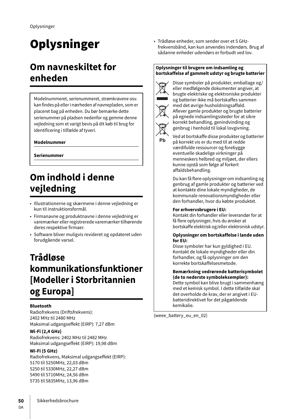# **Oplysninger**

# **Om navneskiltet for enheden**

Modelnummeret, serienummeret, strømkravene osv. kan findes på eller i nærheden af navnepladen, som er placeret bag på enheden. Du bør bemærke dette serienummer på pladsen nedenfor og gemme denne vejledning som et varigt bevis på dit køb til brug for identificering i tilfælde af tyveri.

### **Modelnummer**

**Serienummer**

# **Om indhold i denne vejledning**

- Illustrationerne og skærmene i denne vejledning er kun til instruktionsformål.
- Firmanavne og produktnavne i denne vejledning er varemærker eller registrerede varemærker tilhørende deres respektive firmaer.
- Software bliver muligvis revideret og opdateret uden forudgående varsel.

# **Trådløse kommunikationsfunktioner [Modeller i Storbritannien og Europa]**

### **Bluetooth**

Radiofrekvens (Driftsfrekvens): 2402 MHz til 2480 MHz Maksimal udgangseffekt (EIRP): 7,27 dBm

### **Wi-Fi (2,4 GHz)**

Radiofrekvens: 2402 MHz til 2482 MHz Maksimal udgangseffekt (EIRP): 19,98 dBm

### **Wi-Fi (5 GHz)**

Radiofrekvens, Maksimal udgangseffekt (EIRP): 5170 til 5250MHz, 22,03 dBm 5250 til 5330MHz, 22,27 dBm 5490 til 5710MHz, 24,56 dBm 5735 til 5835MHz, 13,96 dBm

• Trådløse enheder, som sender over et 5 GHzfrekvensbånd, kan kun anvendes indendørs. Brug af sådanne enheder udendørs er forbudt ved lov.

#### **Oplysninger til brugere om indsamling og bortskaffelse af gammelt udstyr og brugte batterier**



Ph

Disse symboler på produkter, emballage og/ eller medfølgende dokumenter angiver, at brugte elektriske og elektroniske produkter og batterier ikke må bortskaffes sammen med det øvrige husholdningsaffald. Aflever gamle produkter og brugte batterier på egnede indsamlingssteder for at sikre korrekt behandling, genindvinding og genbrug i henhold til lokal lovgivning.

Ved at bortskaffe disse produkter og batterier på korrekt vis er du med til at redde værdifulde ressourcer og forebygge eventuelle skadelige virkninger på menneskers helbred og miljøet, der ellers kunne opstå som følge af forkert affaldsbehandling.

Du kan få flere oplysninger om indsamling og genbrug af gamle produkter og batterier ved at kontakte dine lokale myndigheder, de kommunale renovationsmyndigheder eller den forhandler, hvor du købte produktet.

#### **For erhvervsbrugere i EU:**

Kontakt din forhandler eller leverandør for at få flere oplysninger, hvis du ønsker at bortskaffe elektrisk og/eller elektronisk udstyr.

#### **Oplysninger om bortskaffelse i lande uden for EU:**

Disse symboler har kun gyldighed i EU. Kontakt de lokale myndigheder eller din forhandler, og få oplysninger om den korrekte bortskaffelsesmetode.

# **Bemærkning vedrørende batterisymbolet**

**(de to nederste symboleksempler):** Dette symbol kan blive brugt i sammenhæng med et kemisk symbol. I dette tilfælde skal det overholde de krav, der er angivet i EUbatteridirektivet for det pågældende kemikalie.

(weee\_battery\_eu\_en\_02)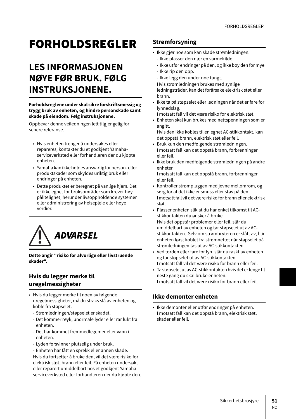# **FORHOLDSREGLER**

# **LES INFORMASJONEN NØYE FØR BRUK. FØLG INSTRUKSJONENE.**

#### **Forholdsreglene under skal sikre forskriftsmessig og trygg bruk av enheten, og hindre personskade samt skade på eiendom. Følg instruksjonene.**

Oppbevar denne veiledningen lett tilgjengelig for senere referanse.

- Hvis enheten trenger å undersøkes eller repareres, kontakter du et godkjent Yamahaserviceverksted eller forhandleren der du kjøpte enheten.
- Yamaha kan ikke holdes ansvarlig for person- eller produktskader som skyldes uriktig bruk eller endringer på enheten.
- Dette produktet er beregnet på vanlige hjem. Det er ikke egnet for bruksområder som krever høy pålitelighet, herunder livsoppholdende systemer eller administrering av helsepleie eller høye verdier.



**Dette angir "risiko for alvorlige eller livstruende skader".**

### **Hvis du legger merke til uregelmessigheter**

- Hvis du legger merke til noen av følgende uregelmessigheter, må du straks slå av enheten og koble fra støpselet.
	- Strømledningen/støpselet er skadet.
	- Det kommer røyk, unormale lyder eller rar lukt fra enheten.
	- Det har kommet fremmedlegemer eller vann i enheten.
	- Lyden forsvinner plutselig under bruk.
	- Enheten har fått en sprekk eller annen skade.

Hvis du fortsetter å bruke den, vil det være risiko for elektrisk støt, brann eller feil. Få enheten undersøkt eller reparert umiddelbart hos et godkjent Yamahaserviceverksted eller forhandleren der du kjøpte den.

# **Strømforsyning**

- Ikke gjør noe som kan skade strømledningen.
	- Ikke plasser den nær en varmekilde.
	- Ikke utfør endringer på den, og ikke bøy den for mye.
	- Ikke rip den opp.
	- Ikke legg den under noe tungt.
	- Hvis strømledningen brukes med synlige ledningstråder, kan det forårsake elektrisk støt eller
- brann. • Ikke ta på støpselet eller ledningen når det er fare for
- lynnedslag. I motsatt fall vil det være risiko for elektrisk støt.
- Enheten skal kun brukes med nettspenningen som er angitt.

Hvis den ikke kobles til en egnet AC-stikkontakt, kan det oppstå brann, elektrisk støt eller feil.

- Bruk kun den medfølgende strømledningen. I motsatt fall kan det oppstå brann, forbrenninger eller feil.
- Ikke bruk den medfølgende strømledningen på andre enheter.
	- I motsatt fall kan det oppstå brann, forbrenninger eller feil.
- Kontroller strømpluggen med jevne mellomrom, og sørg for at det ikke er smuss eller støv på den. I motsatt fall vil det være risiko for brann eller elektrisk støt.
- Plasser enheten slik at du har enkel tilkomst til ACstikkontakten du ønsker å bruke. Hvis det oppstår problemer eller feil, slår du umiddelbart av enheten og tar støpselet ut av ACstikkontakten. Selv om strømbryteren er slått av, blir enheten først koblet fra strømnettet når støpselet på strømledningen tas ut av AC-stikkontakten.
- Ved torden eller fare for lyn, slår du raskt av enheten og tar støpselet ut av AC-stikkontakten. I motsatt fall vil det være risiko for brann eller feil.
- Ta støpselet ut av AC-stikkontakten hvis det er lenge til neste gang du skal bruke enheten. I motsatt fall vil det være risiko for brann eller feil.

# **Ikke demonter enheten**

• Ikke demonter eller utfør endringer på enheten. I motsatt fall kan det oppstå brann, elektrisk støt, skader eller feil.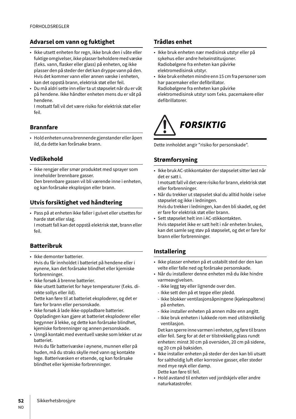## **Advarsel om vann og fuktighet**

- Ikke utsett enheten for regn, ikke bruk den i våte eller fuktige omgivelser, ikke plasser beholdere med væske (f.eks. vann, flasker eller glass) på enheten, og ikke plasser den på steder der det kan dryppe vann på den. Hvis det kommer vann eller annen væske i enheten, kan det oppstå brann, elektrisk støt eller feil.
- Du må aldri sette inn eller ta ut støpselet når du er våt på hendene. Ikke håndter enheten mens du er våt på hendene.

I motsatt fall vil det være risiko for elektrisk støt eller feil.

### **Brannfare**

• Hold enheten unna brennende gjenstander eller åpen ild, da dette kan forårsake brann.

### **Vedlikehold**

• Ikke rengjør eller smør produktet med sprayer som inneholder brennbare gasser. Den brennbare gassen vil bli værende inne i enheten, og kan forårsake eksplosjon eller brann.

## **Utvis forsiktighet ved håndtering**

• Pass på at enheten ikke faller i gulvet eller utsettes for harde støt eller slag.

I motsatt fall kan det oppstå elektrisk støt, brann eller feil.

## **Batteribruk**

- Ikke demonter batterier. Hvis du får innholdet i batteriet på hendene eller i øynene, kan det forårsake blindhet eller kjemiske forbrenninger.
- Ikke forsøk å brenne batterier. Ikke utsett batteriet for høye temperaturer (f.eks. direkte sollys eller ild). Dette kan føre til at batteriet eksploderer, og det er

fare for brann eller personskade. • Ikke forsøk å lade ikke-oppladbare batterier.

- Oppladingen kan gjøre at batteriet eksploderer eller begynner å lekke, og dette kan forårsake blindhet, kjemiske forbrenninger og annen personskade.
- Unngå kontakt med eventuell væske som lekker ut av batteriet.

Hvis du får batterivæske i øynene, munnen eller på huden, må du straks skylle med vann og kontakte lege. Batterivæsken er etsende, og kan forårsake blindhet eller kjemiske forbrenninger.

## **Trådløs enhet**

- Ikke bruk enheten nær medisinsk utstyr eller på sykehus eller andre helseinstitusjoner. Radiobølgene fra enheten kan påvirke elektromedisinsk utstyr.
- Ikke bruk enheten mindre enn 15 cm fra personer som har pacemaker eller defibrillator. Radiobølgene fra enheten kan påvirke elektromedisinsk utstyr som f.eks. pacemakere eller defibrillatorer.



Dette innholdet angir "risiko for personskade".

### **Strømforsyning**

• Ikke bruk AC-stikkontakter der støpselet sitter løst når det er satt i.

I motsatt fall vil det være risiko for brann, elektrisk støt eller forbrenninger.

- Når du trekker ut støpselet skal du alltid holde i selve støpselet og ikke i ledningen. Hvis du trekker i ledningen, kan den bli skadet, og det er fare for elektrisk støt eller brann.
- Sett støpselet helt inn i AC-stikkontakten. Hvis støpselet ikke er satt helt i når enheten brukes, kan det samle seg støv på støpselet, og det er fare for brann eller forbrenninger.

## **Installering**

- Ikke plasser enheten på et ustabilt sted der den kan velte eller falle ned og forårsake personskade.
- Når du installerer denne enheten må du ikke hindre varmeavgivelsen.
	- Ikke legg tøy eller lignende over den.
	- Ikke sett den på et teppe eller pledd.
	- Ikke blokker ventilasjonsåpningene (kjølespaltene) på enheten.
	- Ikke installer enheten på annen måte enn angitt.
	- Ikke bruk enheten i lukkede rom med utilstrekkelig ventilasjon.

Det kan sperre inne varmen i enheten, og føre til brann eller feil. Sørg for at det er tilstrekkelig plass rundt enheten: minst 30 cm på oversiden, 20 cm på sidene, og 20 cm på baksiden.

- Ikke installer enheten på steder der den kan bli utsatt for saltholdig luft eller korrosive gasser, eller steder med mye røyk eller damp. Dette kan føre til feil.
- Hold avstand til enheten ved jordskjelv eller andre naturkatastrofer.

NO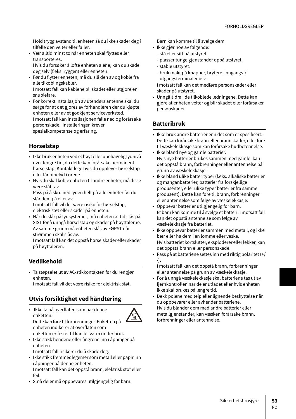Hold trygg avstand til enheten så du ikke skader deg i tilfelle den velter eller faller.

• Vær alltid minst to når enheten skal flyttes eller transporteres.

Hvis du forsøker å løfte enheten alene, kan du skade deg selv (f.eks. ryggen) eller enheten.

- Før du flytter enheten, må du slå den av og koble fra alle tilkoblingskabler. I motsatt fall kan kablene bli skadet eller utgjøre en snublefare.
- For korrekt installasjon av utendørs antenne skal du sørge for at det gjøres av forhandleren der du kjøpte enheten eller av et godkjent serviceverksted. I motsatt fall kan installasjonen falle ned og forårsake personskade. Installeringen krever spesialkompetanse og erfaring.

## **Hørselstap**

- Ikke bruk enheten ved et høyt eller ubehagelig lydnivå over lengre tid, da dette kan forårsake permanent hørselstap. Kontakt lege hvis du opplever hørselstap eller får pipelyd i ørene.
- Hvis du skal koble enheten til andre enheter, må disse være slått av.

Pass på å skru ned lyden helt på alle enheter før du slår dem på eller av.

I motsatt fall vil det være risiko for hørselstap, elektrisk støt eller skader på enheten.

• Når du slår på lydsystemet, må enheten alltid slås på SIST for å unngå hørselstap og skader på høyttalerne. Av samme grunn må enheten slås av FØRST når strømmen skal slås av.

I motsatt fall kan det oppstå hørselskader eller skader på høyttaleren.

## **Vedlikehold**

• Ta støpselet ut av AC-stikkontakten før du rengjør enheten.

I motsatt fall vil det være risiko for elektrisk støt.

## **Utvis forsiktighet ved håndtering**

• Ikke ta på overflaten som har denne etiketten.



Dette kan føre til forbrenninger. Etiketten på enheten indikerer at overflaten som etiketten er festet til kan bli varm under bruk.

• Ikke stikk hendene eller fingrene inn i åpninger på enheten.

I motsatt fall risikerer du å skade deg.

- Ikke stikk fremmedlegemer som metall eller papir inn i åpninger på denne enheten. I motsatt fall kan det oppstå brann, elektrisk støt eller feil.
- Små deler må oppbevares utilgjengelig for barn.

Barn kan komme til å svelge dem.

- Ikke gjør noe av følgende:
	- stå eller sitt på utstyret.
	- plasser tunge gjenstander oppå utstyret.
	- stable utstyret.
	- bruk makt på knapper, brytere, inngangs-/ utgangsterminaler osv.

I motsatt fall kan det medføre personskader eller skader på utstyret.

• Unngå å dra i de tilkoblede ledningene. Dette kan gjøre at enheten velter og blir skadet eller forårsaker personskader.

# **Batteribruk**

- Ikke bruk andre batterier enn det som er spesifisert. Dette kan forårsake brann eller brannskader, eller føre til væskelekkasje som kan forårsake hudbetennelse.
- Ikke bland nye og gamle batterier. Hvis nye batterier brukes sammen med gamle, kan det oppstå brann, forbrenninger eller antennelse på grunn av væskelekkasje.
- Ikke bland ulike batterityper (f.eks. alkaliske batterier og manganbatterier, batterier fra forskjellige produsenter, eller ulike typer batterier fra samme produsent). Dette kan føre til brann, forbrenninger eller antennelse som følge av væskelekkasje.
- Oppbevar batterier utilgjengelig for barn. Et barn kan komme til å svelge et batteri. I motsatt fall kan det oppstå antennelse som følge av væskelekkasje fra batteriet.
- Ikke oppbevar batterier sammen med metall, og ikke bær eller ha dem i en lomme eller veske. Hvis batteriet kortslutter, eksploderer eller lekker, kan det oppstå brann eller personskade.
- Pass på at batteriene settes inn med riktig polaritet (+/ -).

I motsatt fall kan det oppstå brann, forbrenninger eller antennelse på grunn av væskelekkasje.

- For å unngå væskelekkasje skal batteriene tas ut av fjernkontrollen når de er utladet eller hvis enheten ikke skal brukes på lengre tid.
- Dekk polene med teip eller lignende beskyttelse når du oppbevarer eller avhender batteriene. Hvis du blander dem med andre batterier eller metallgjenstander, kan væsken forårsake brann, forbrenninger eller antennelse.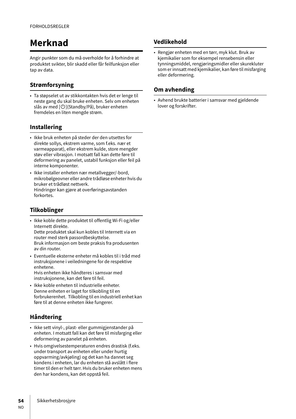# **Merknad**

Angir punkter som du må overholde for å forhindre at produktet svikter, blir skadd eller får feilfunksjon eller tap av data.

# **Strømforsyning**

• Ta støpselet ut av stikkontakten hvis det er lenge til neste gang du skal bruke enheten. Selv om enheten slås av med  $[\bigcup]$ (Standby/På), bruker enheten fremdeles en liten mengde strøm.

# **Installering**

- Ikke bruk enheten på steder der den utsettes for direkte sollys, ekstrem varme, som f.eks. nær et varmeapparat), eller ekstrem kulde, store mengder støv eller vibrasjon. I motsatt fall kan dette føre til deformering av panelet, ustabil funksjon eller feil på interne komponenter.
- Ikke installer enheten nær metallvegger/-bord, mikrobølgeovner eller andre trådløse enheter hvis du bruker et trådløst nettverk. Hindringer kan gjøre at overføringsavstanden forkortes.

## **Tilkoblinger**

• Ikke koble dette produktet til offentlig Wi-Fi og/eller Internett direkte. Dette produktet skal kun kobles til Internett via en

router med sterk passordbeskyttelse. Bruk informasjon om beste praksis fra produsenten av din router.

• Eventuelle eksterne enheter må kobles til i tråd med instruksjonene i veiledningene for de respektive enhetene. Hvis enheten ikke håndteres i samsvar med

instruksjonene, kan det føre til feil.

• Ikke koble enheten til industrielle enheter. Denne enheten er laget for tilkobling til en forbrukerenhet. Tilkobling til en industriell enhet kan føre til at denne enheten ikke fungerer.

# **Håndtering**

- Ikke sett vinyl-, plast- eller gummigjenstander på enheten. I motsatt fall kan det føre til misfarging eller deformering av panelet på enheten.
- Hvis omgivelsestemperaturen endres drastisk (f.eks. under transport av enheten eller under hurtig oppvarming/avkjøling) og det kan ha dannet seg kondens i enheten, lar du enheten stå avslått i flere timer til den er helt tørr. Hvis du bruker enheten mens den har kondens, kan det oppstå feil.

## **Vedlikehold**

• Rengjør enheten med en tørr, myk klut. Bruk av kjemikalier som for eksempel rensebensin eller tynningsmiddel, rengjøringsmidler eller skurekluter som er innsatt med kjemikalier, kan føre til misfarging eller deformering.

### **Om avhending**

• Avhend brukte batterier i samsvar med gjeldende lover og forskrifter.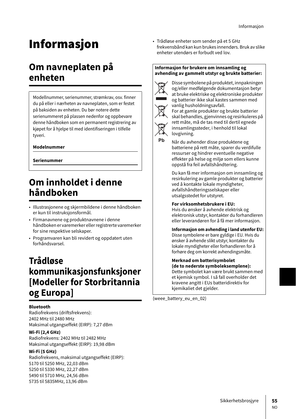# **Informasion**

# **Om navneplaten på enheten**

Modellnummer, serienummer, strømkrav, osv. finner du på eller i nærheten av navneplaten, som er festet på baksiden av enheten. Du bør notere dette serienummeret på plassen nedenfor og oppbevare denne håndboken som en permanent registrering av kjøpet for å hjelpe til med identifiseringen i tilfelle tyveri.

### **Modelnummer**

**Serienummer**

# **Om innholdet i denne håndboken**

- Illustrasjonene og skjermbildene i denne håndboken er kun til instruksjonsformål.
- Firmanavnene og produktnavnene i denne håndboken er varemerker eller registrerte varemerker for sine respektive selskaper.
- Programvaren kan bli revidert og oppdatert uten forhåndsvarsel.

# **Trådløse kommunikasjonsfunksjoner [Modeller for Storbritannia og Europa]**

#### **Bluetooth**

Radiofrekvens (driftsfrekvens): 2402 MHz til 2480 MHz Maksimal utgangseffekt (EIRP): 7,27 dBm

#### **Wi-Fi (2,4 GHz)**

Radiofrekvens: 2402 MHz til 2482 MHz Maksimal utgangseffekt (EIRP): 19,98 dBm

### **Wi-Fi (5 GHz)**

Radiofrekvens, maksimal utgangseffekt (EIRP): 5170 til 5250 MHz, 22,03 dBm 5250 til 5330 MHz, 22,27 dBm 5490 til 5710 MHz, 24,56 dBm 5735 til 5835MHz, 13,96 dBm

• Trådløse enheter som sender på et 5 GHz frekvensbånd kan kun brukes innendørs. Bruk av slike enheter utendørs er forbudt ved lov.

#### **Informasjon for brukere om innsamling og avhending av gammelt utstyr og brukte batterier:**



Ph

Disse symbolene på produktet, innpakningen og/eller medfølgende dokumentasjon betyr at bruke elektriske og elektroniske produkter og batterier ikke skal kastes sammen med vanlig husholdningsavfall.

For at gamle produkter og brukte batterier skal behandles, gjenvinnes og resirkuleres på rett måte, må de tas med til dertil egnede innsamlingssteder, i henhold til lokal lovgivning.

Når du avhender disse produktene og batteriene på rett måte, sparer du verdifulle ressurser og hindrer eventuelle negative effekter på helse og miljø som ellers kunne oppstå fra feil avfallshåndtering.

Du kan få mer informasjon om innsamling og resirkulering av gamle produkter og batterier ved å kontakte lokale myndigheter, avfallshåndteringsselskaper eller utsalgsstedet for utstyret.

#### **For virksomhetsbrukere i EU:**

Hvis du ønsker å avhende elektrisk og elektronisk utstyr, kontakter du forhandleren eller leverandøren for å få mer informasjon.

### **Informasjon om avhending i land utenfor EU:**

Disse symbolene er bare gyldige i EU. Hvis du ønsker å avhende slikt utstyr, kontakter du lokale myndigheter eller forhandleren for å forhøre deg om korrekt avhendingsmåte.

### **Merknad om batterisymbolet**

**(de to nederste symboleksemplene):** Dette symbolet kan være brukt sammen med et kjemisk symbol. I så fall overholder det kravene angitt i EUs batteridirektiv for kjemikaliet det gjelder.

(weee\_battery\_eu\_en\_02)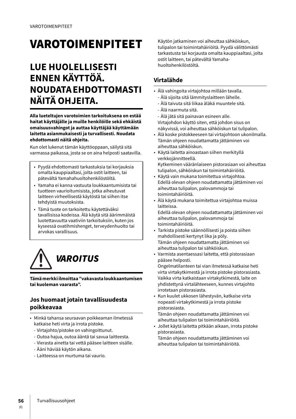# **VAROTOIMENPITEET**

# **LUE HUOLELLISESTI ENNEN KÄYTTÖÄ. NOUDATA EHDOTTOMASTI NÄITÄ OHJEITA.**

**Alla lueteltujen varotoimien tarkoituksena on estää haitat käyttäjälle ja muille henkilöille sekä ehkäistä omaisuusvahingot ja auttaa käyttäjää käyttämään laitetta asianmukaisesti ja turvallisesti. Noudata ehdottomasti näitä ohjeita.**

Kun olet lukenut tämän käyttöoppaan, säilytä sitä varmassa paikassa, josta se on aina helposti saatavilla.

- Pyydä ehdottomasti tarkastuksia tai korjauksia omalta kauppiaaltasi, jolta ostit laitteen, tai pätevältä Yamahahuoltohenkilöstöltä.
- Yamaha ei kanna vastuuta loukkaantumisista tai tuotteen vaurioitumisista, jotka aiheutuvat laitteen virheellisestä käytöstä tai siihen itse tehdyistä muutoksista.
- Tämä tuote on tarkoitettu käytettäväksi tavallisissa kodeissa. Älä käytä sitä äärimmäistä luotettavuutta vaativiin tarkoituksiin, kuten jos kyseessä ovatihmishenget, terveydenhuolto tai arvokas varallisuus.



**Tämä merkki ilmoittaa "vakavasta loukkaantumisen tai kuoleman vaarasta".**

# **Jos huomaat jotain tavallisuudesta poikkeavaa**

- Minkä tahansa seuraavan poikkeaman ilmetessä katkaise heti virta ja irrota pistoke.
	- Virtajohto/pistoke on vahingoittunut.
	- Outoa hajua, outoa ääntä tai savua laitteesta.
	- Vierasta ainetta tai vettä pääsee laitteen sisälle.
	- Ääni häviää käytön aikana.
	- Laitteessa on murtuma tai vaurio.

Käytön jatkaminen voi aiheuttaa sähköiskun, tulipalon tai toimintahäiriöitä. Pyydä välittömästi tarkastusta tai korjausta omalta kauppiaaltasi, jolta ostit laitteen, tai pätevältä Yamahahuoltohenkilöstöltä.

## **Virtalähde**

- Älä vahingoita virtajohtoa millään tavalla.
	- Älä sijoita sitä lämmityslaitteen lähelle.
	- Älä taivuta sitä liikaa äläkä muuntele sitä.
	- Älä naarmuta sitä.
- Älä jätä sitä painavan esineen alle. Virtajohdon käyttö siten, että johdon sisus on näkyvissä, voi aiheuttaa sähköiskun tai tulipalon.
- Älä koske pistokkeeseen tai virtajohtoon ukonilmalla. Tämän ohjeen noudattamatta jättäminen voi aiheuttaa sähköiskun.
- Käytä laitetta ainoastaan siihen merkityllä verkkojännitteellä. Kytkeminen vääränlaiseen pistorasiaan voi aiheuttaa
- tulipalon, sähköiskun tai toimintahäiriöitä. • Käytä vain mukana toimitettua virtajohtoa. Edellä olevan ohjeen noudattamatta jättäminen voi
- aiheuttaa tulipalon, palovammoja tai toimintahäiriöitä.
- Älä käytä mukana toimitettua virtajohtoa muissa laitteissa.

Edellä olevan ohjeen noudattamatta jättäminen voi aiheuttaa tulipalon, palovammoja tai toimintahäiriöitä.

- Tarkista pistoke säännöllisesti ja poista siihen mahdollisesti kertynyt lika ja pöly. Tämän ohjeen noudattamatta jättäminen voi aiheuttaa tulipalon tai sähköiskun.
- Varmista asentaessasi laitetta, että pistorasiaan pääsee helposti. Ongelmatilanteen tai vian ilmetessä katkaise heti virta virtakytkimestä ja irrota pistoke pistorasiasta. Vaikka virta katkaistaan virtakytkimestä, laite on yhdistettynä virtalähteeseen, kunnes virtajohto irrotetaan pistorasiasta.
- Kun kuulet ukkosen lähestyvän, katkaise virta nopeasti virtakytkimestä ja irrota pistoke pistorasiasta.

Tämän ohjeen noudattamatta jättäminen voi aiheuttaa tulipalon tai toimintahäiriöitä.

• Jollet käytä laitetta pitkään aikaan, irrota pistoke pistorasiasta.

Tämän ohjeen noudattamatta jättäminen voi aiheuttaa tulipalon tai toimintahäiriöitä.

FI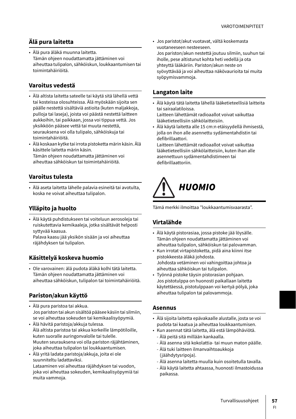# **Älä pura laitetta**

• Älä pura äläkä muunna laitetta. Tämän ohjeen noudattamatta jättäminen voi aiheuttaa tulipalon, sähköiskun, loukkaantumisen tai toimintahäiriöitä.

### **Varoitus vedestä**

- Älä altista laitetta sateelle tai käytä sitä lähellä vettä tai kosteissa olosuhteissa. Älä myöskään sijoita sen päälle nestettä sisältäviä astioita (kuten maljakkoja, pulloja tai laseja), joista voi päästä nestettä laitteen aukkoihin, tai paikkaan, jossa voi tippua vettä. Jos yksikköön pääsee vettä tai muuta nestettä, seurauksena voi olla tulipalo, sähköiskuja tai toimintahäiriöitä.
- Älä koskaan kytke tai irrota pistoketta märin käsin. Älä käsittele laitetta märin käsin. Tämän ohjeen noudattamatta jättäminen voi aiheuttaa sähköiskun tai toimintahäiriöitä.

### **Varoitus tulesta**

• Älä aseta laitetta lähelle palavia esineitä tai avotulta, koska ne voivat aiheuttaa tulipalon.

## **Ylläpito ja huolto**

• Älä käytä puhdistukseen tai voiteluun aerosoleja tai ruiskutettavia kemikaaleja, jotka sisältävät helposti syttyvää kaasua.

Palava kaasu jää yksikön sisään ja voi aiheuttaa räjähdyksen tai tulipalon.

### **Käsittelyä koskeva huomio**

• Ole varovainen: älä pudota äläkä kolhi tätä laitetta. Tämän ohjeen noudattamatta jättäminen voi aiheuttaa sähköiskun, tulipalon tai toimintahäiriöitä.

## **Pariston/akun käyttö**

- Älä pura paristoa tai akkua. Jos pariston tai akun sisältöä pääsee käsiin tai silmiin, se voi aiheuttaa sokeuden tai kemikaalisyöpymiä.
- Älä hävitä paristoja/akkuja tulessa. Älä altista paristoa tai akkua korkeille lämpötiloille, kuten suoralle auringonvalolle tai tulelle. Muuten seurauksena voi olla pariston räjähtäminen, joka aiheuttaa tulipalon tai loukkaantumisen.
- Älä yritä ladata paristoja/akkuja, joita ei ole suunniteltu ladattaviksi.

Lataaminen voi aiheuttaa räjähdyksen tai vuodon, joka voi aiheuttaa sokeuden, kemikaalisyöpymiä tai muita vammoja.

• Jos paristot/akut vuotavat, vältä koskemasta vuotaneeseen nesteeseen. Jos pariston/akun nestettä joutuu silmiin, suuhun tai iholle, pese altistunut kohta heti vedellä ja ota yhteyttä lääkäriin. Pariston/akun neste on syövyttävää ja voi aiheuttaa näkövaurioita tai muita syöpymisvammoja.

### **Langaton laite**

• Älä käytä tätä laitetta lähellä lääketieteellisiä laitteita tai sairaalatiloissa.

Laitteen lähettämät radioaallot voivat vaikuttaa lääketieteellisiin sähkölaitteisiin.

• Älä käytä laitetta alle 15 cm:n etäisyydellä ihmisestä, jolla on ihon alle asennettu sydämentahdistin tai defibrillaattori.

Laitteen lähettämät radioaallot voivat vaikuttaa lääketieteellisiin sähkölaitteisiin, kuten ihan alle asennettuun sydämentahdistimeen tai defibrillaattoriin.

# HUOMIO

Tämä merkki ilmoittaa "loukkaantumisvaarasta".

# **Virtalähde**

- Älä käytä pistorasiaa, jossa pistoke jää löysälle. Tämän ohjeen noudattamatta jättäminen voi aiheuttaa tulipalon, sähköiskun tai palovamman.
- Kun irrotat virtapistoketta, pidä aina kiinni itse pistokkeesta äläkä johdosta. Johdosta vetäminen voi vahingoittaa johtoa ja aiheuttaa sähköiskun tai tulipalon.
- Työnnä pistoke täysin pistorasian pohjaan. Jos pistotulppa on huonosti paikallaan laitetta käytettäessä, pistotulppaan voi kertyä pölyä, joka aiheuttaa tulipalon tai palovammoja.

### **Asennus**

- Älä sijoita laitetta epävakaalle alustalle, josta se voi pudota tai kaatua ja aiheuttaa loukkaantumisen.
- Kun asennat tätä laitetta, älä estä lämpöhäviötä.
	- Älä peitä sitä millään kankaalla.
	- Älä asenna sitä kokolattia- tai muun maton päälle.
	- Älä tuki laitteen ilmanvaihtoaukkoja (jäähdytysripoja).
	- Älä asenna laitetta muulla kuin osoitetulla tavalla.
	- Älä käytä laitetta ahtaassa, huonosti ilmastoidussa paikassa.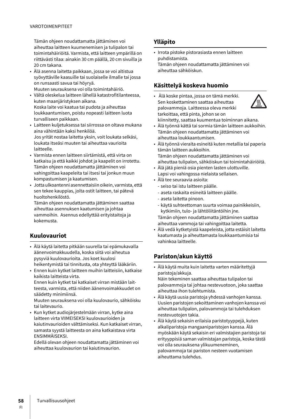#### VAROTOIMENPITEET

Tämän ohjeen noudattamatta jättäminen voi aiheuttaa laitteen kuumenemisen ja tulipalon tai toimintahäiriöitä. Varmista, että laitteen ympärillä on riittävästi tilaa: ainakin 30 cm päällä, 20 cm sivuilla ja 20 cm takana.

- Älä asenna laitetta paikkaan, jossa se voi altistua syövyttäville kaasuille tai suolaiselle ilmalle tai jossa on runsaasti savua tai höyryä. Muuten seurauksena voi olla toimintahäiriö.
- Vältä oleskelua laitteen lähellä katastrofitilanteessa, kuten maanjäristyksen aikana. Koska laite voi kaatua tai pudota ja aiheuttaa loukkaantumisen, poistu nopeasti laitteen luota turvalliseen paikkaan.
- Laitteen kuljetuksessa tai siirrossa on oltava mukana aina vähintään kaksi henkilöä. Jos yrität nostaa laitetta yksin, voit loukata selkäsi, loukata itseäsi muuten tai aiheuttaa vaurioita laitteelle.
- Varmista ennen laitteen siirtämistä, että virta on katkaisu ja että kaikki johdot ja kaapelit on irrotettu. Tämän ohjeen noudattamatta jättäminen voi vahingoittaa kaapeleita tai itsesi tai jonkun muun kompastumisen ja kaatumisen.
- Jotta ulkoantenni asennettaisiin oikein, varmista, että sen tekee kauppias, jolta ostit laitteen, tai pätevä huoltohenkilöstö.

Tämän ohjeen noudattamatta jättäminen saattaa aiheuttaa asennuksen kaatumisen ja johtaa vammoihin. Asennus edellyttää erityistaitoja ja kokemusta.

## **Kuulovauriot**

- Älä käytä laitetta pitkään suurella tai epämukavalla äänenvoimakkuudella, koska siitä voi aiheutua pysyviä kuulovaurioita. Jos koet kuulosi heikentymistä tai tinnitusta, ota yhteyttä lääkäriin.
- Ennen kuin kytket laitteen muihin laitteisiin, katkaise kaikista laitteista virta. Ennen kuin kytket tai katkaiset virran mistään laitteesta, varmista, että niiden äänenvoimakkuudet on säädetty minimiinsä.

Muuten seurauksena voi olla kuulovaurio, sähköisku tai laitevaurio.

• Kun kytket audiojärjestelmään virran, kytke aina laitteen virta VIIMEISEKSI kuulovaurioiden ja kaiutinvaurioiden välttämiseksi. Kun katkaiset virran, samasta syystä laitteesta on aina katkaistava virta ENSIMMÄISEKSI.

Edellä olevan ohjeen noudattamatta jättäminen voi aiheuttaa kuulovaurion tai kaiutinvaurion.

### **Ylläpito**

• Irrota pistoke pistorasiasta ennen laitteen puhdistamista. Tämän ohjeen noudattamatta jättäminen voi aiheuttaa sähköiskun.

### **Käsittelyä koskeva huomio**

• Älä koske pintaa, jossa on tämä merkki. Sen koskettaminen saattaa aiheuttaa palovammoja. Laitteessa oleva merkki tarkoittaa, että pinta, johon se on kiinnitetty, saattaa kuumentua toiminnan aikana.



- Älä työnnä kättä tai sormia tämän laitteen aukkoihin. Tämän ohjeen noudattamatta jättäminen voi aiheuttaa loukkaantumisen.
- Älä työnnä vieraita esineitä kuten metallia tai paperia tämän laitteen aukkoihin. Tämän ohjeen noudattamatta jättäminen voi
- aiheuttaa tulipalon, sähköiskun tai toimintahäiriöitä. • Älä jätä pieniä osia pienten lasten ulottuville. Lapsi voi vahingossa nielaista sellaisen.
- Älä tee seuraavia asioita:
	- seiso tai istu laitteen päälle.
	- aseta raskaita esineitä laitteen päälle.
	- aseta laitetta pinoon.
	- käytä suhteettoman suurta voimaa painikkeisiin, kytkimiin, tulo- ja lähtöliitäntöihin jne.
	- Tämän ohjeen noudattamatta jättäminen saattaa aiheuttaa vammoja tai vahingoittaa laitetta.
- Älä vedä kytketyistä kaapeleista, jotta estäisit laitetta kaatumasta ja aiheuttamasta loukkaantumisia tai vahinkoa laitteelle.

# **Pariston/akun käyttö**

- Älä käytä muita kuin laitetta varten määritettyjä paristoja/akkuja.
- Näin tekeminen saattaa aiheuttaa tulipalon tai palovammoja tai johtaa nestevuotoon, joka saattaa aiheuttaa ihon tulehtumista.
- Älä käytä uusia paristoja yhdessä vanhojen kanssa. Uusien paristojen sekoittaminen vanhojen kanssa voi aiheuttaa tulipalon, palovammoja tai tulehduksen nestevuotojen takia.
- Älä käytä sekaisin erilaisia paristotyyppejä, kuten alkaliparistoja mangaaniparistojen kanssa. Älä myöskään käytä sekaisin eri valmistajien paristoja tai erityyppisiä saman valmistajan paristoja, koska tästä voi olla seurauksena ylikuumeneminen, palovammoja tai pariston nesteen vuotamisen aiheuttama tulehdus.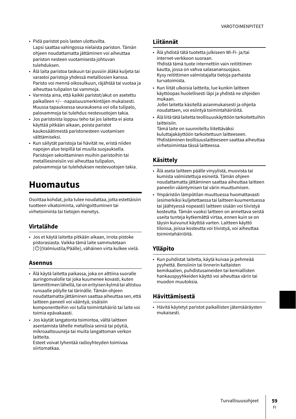- Pidä paristot pois lasten ulottuvilta. Lapsi saattaa vahingossa nielaista pariston. Tämän ohjeen noudattamatta jättäminen voi aiheuttaa pariston nesteen vuotamisesta johtuvan tulehduksen.
- Älä laita paristoa taskuun tai pussiin äläkä kuljeta tai varastoi paristoja yhdessä metalliosien kanssa. Paristo voi mennä oikosulkuun, räjähtää tai vuotaa ja aiheuttaa tulipalon tai vammoja.
- Varmista aina, että kaikki paristot/akut on asetettu paikalleen +/– -napaisuusmerkintöjen mukaisesti. Muussa tapauksessa seurauksena voi olla tulipalo, palovammoja tai tulehdus nestevuotojen takia.
- Jos paristoista loppuu teho tai jos laitetta ei aiota käyttää pitkään aikaan, poista paristot kaukosäätimestä paristonesteen vuotamisen välttämiseksi.
- Kun säilytät paristoja tai hävität ne, eristä niiden napojen alue teipillä tai muulla suojauksella. Paristojen sekoittaminen muihin paristoihin tai metalliesineisiin voi aiheuttaa tulipalon, palovammoja tai tulehduksen nestevuotojen takia.

# **Huomautus**

Osoittaa kohdat, joita tulee noudattaa, jotta estettäisiin tuotteen vikatoiminta, vahingoittuminen tai virhetoiminta tai tietojen menetys.

## **Virtalähde**

• Jos et käytä laitetta pitkään aikaan, irrota pistoke pistorasiasta. Vaikka tämä laite sammutetaan  $\lbrack\!\lbrack\bullet\rbrack\!\rbrack$ (Valmiustila/Päälle), vähäinen virta kulkee vielä.

### **Asennus**

- Älä käytä laitetta paikassa, joka on alttiina suoralle auringonvalolle tai joka kuumenee kovasti, kuten lämmittimen lähellä, tai on erityisen kylmä tai altistuu runsaalle pölylle tai tärinälle. Tämän ohjeen noudattamatta jättäminen saattaa aiheuttaa sen, että laitteen paneeli voi vääntyä, sisäisiin komponentteihin voi tulla toimintahäiriö tai laite voi toimia epävakaasti.
- Jos käytät langatonta toimintoa, vältä laitteen asentamista lähelle metallisia seiniä tai pöytiä, mikroaaltouuneja tai muita langattoman verkon laitteita.

Esteet voivat lyhentää radioyhteyden toimivaa siirtomatkaa.

### **Liitännät**

- Älä yhdistä tätä tuotetta julkiseen Wi-Fi- ja/tai internet-verkkoon suoraan. Yhdistä tämä tuote internettiin vain reitittimen kautta, jossa on vahva salasanansuojaus. Kysy reitittimen valmistajalta tietoja parhaista turvatoimista.
- Kun liität ulkoisia laitteita, lue kunkin laitteen käyttöopas huolellisesti läpi ja yhdistä ne ohjeiden mukaan. Jollei laitetta käsitellä asianmukaisesti ja ohjeita noudattaen, voi esiintyä toimintahäiriöitä.
- Älä liitä tätä laitetta teollisuuskäyttöön tarkoitettuihin laitteisiin.

Tämä laite on suunniteltu liitettäväksi kuluttajakäyttöön tarkoitettuun laitteeseen. Yhdistäminen teollisuuslaitteeseen saattaa aiheuttaa virhetoimintaa tässä laitteessa.

### **Käsittely**

- Älä aseta laitteen päälle vinyylistä, muovista tai kumista valmistettuja esineitä. Tämän ohjeen noudattamatta jättäminen saattaa aiheuttaa laitteen paneelin vääntymisen tai värin muuttumisen.
- Ympäristön lämpötilan muuttuessa huomattavasti (esimerkiksi kuljetettaessa tai laitteen kuumentuessa tai jäähtyessä nopeasti) laitteen sisään voi tiivistyä kosteutta. Tämän vuoksi laitteen on annettava seistä useita tunteja kytkemättä virtaa, ennen kuin se on täysin kuivunut käyttöä varten. Laitteen käyttö tiloissa, joissa kosteutta voi tiivistyä, voi aiheuttaa toimintahäiriöitä.

## **Ylläpito**

• Kun puhdistat laitetta, käytä kuivaa ja pehmeää pyyhettä. Bensiinin tai tinnerin kaltaisten kemikaalien, puhdistusaineiden tai kemiallisten hankauspyyhkeiden käyttö voi aiheuttaa värin tai muodon muutoksia.

## **Hävittämisestä**

• Hävitä käytetyt paristot paikallisten jätemääräysten mukaisesti.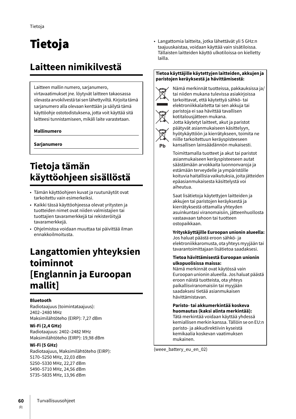# Tietoja

# **Laitteen nimikilvestä**

Laitteen mallin numero, sarjanumero,

virtavaatimukset jne. löytyvät laitteen takaosassa olevasta arvokilvestä tai sen lähettyviltä. Kirjoita tämä sarjanumero alla olevaan kenttään ja säilytä tämä käyttöohje ostotodistuksena, jotta voit käyttää sitä laitteesi tunnistamiseen, mikäli laite varastetaan.

### **Mallinumero**

**Sarjanumero**

# **Tietoja tämän käyttöohjeen sisällöstä**

- Tämän käyttöohjeen kuvat ja ruutunäytöt ovat tarkoitettu vain esimerkeiksi.
- Kaikki tässä käyttöohjeessa olevat yritysten ja tuotteiden nimet ovat niiden valmistajien tai tuottajien tavaramerkkejä tai rekisteröityjä tavaramerkkejä.
- Ohjelmistoa voidaan muuttaa tai päivittää ilman ennakkoilmoitusta.

# **Langattomien yhteyksien toiminnot [Englannin ja Euroopan mallit]**

### **Bluetooth**

Radiotaajuus (toimintataajuus): 2402–2480 MHz Maksimilähtöteho (EIRP): 7,27 dBm

### **Wi-Fi (2,4 GHz)**

Radiotaajuus: 2402–2482 MHz Maksimilähtöteho (EIRP): 19,98 dBm

### **Wi-Fi (5 GHz)**

Radiotaajuus, Maksimilähtöteho (EIRP): 5170–5250 MHz, 22,03 dBm 5250–5330 MHz, 22,27 dBm 5490–5710 MHz, 24,56 dBm 5735–5835 MHz, 13,96 dBm

• Langattomia laitteita, jotka lähettävät yli 5 GHz:n taajuuskaistaa, voidaan käyttää vain sisätiloissa. Tällaisten laitteiden käyttö ulkotiloissa on kielletty lailla.

### **Tietoa käyttäjille käytettyjen laitteiden, akkujen ja paristojen keräyksestä ja hävittämisestä:**



Pb

Nämä merkinnät tuotteissa, pakkauksissa ja/ tai niiden mukana tulevissa asiakirjoissa tarkoittavat, että käytettyä sähkö- tai elektroniikkalaitetta tai sen akkuja tai paristoja ei saa hävittää tavallisen kotitalousjätteen mukana. Jotta käytetyt laitteet, akut ja paristot

päätyvät asianmukaiseen käsittelyyn, hyötykäyttöön ja kierrätykseen, toimita ne niille tarkoitettuun keräyspisteeseen kansallisen lainsäädännön mukaisesti.

Toimittamalla tuotteet ja akut tai paristot asianmukaiseen keräyspisteeseen autat säästämään arvokkaita luonnonvaroja ja estämään terveydelle ja ympäristölle koituvia haitallisia vaikutuksia, joita jätteiden epäasianmukaisesta käsittelystä voi aiheutua.

Saat lisätietoja käytettyjen laitteiden ja akkujen tai paristojen keräyksestä ja kierrätyksestä ottamalla yhteyden asuinkuntasi viranomaisiin, jätteenhuollosta vastaavaan tahoon tai tuotteen ostopaikkaan.

**Yrityskäyttäjille Euroopan unionin alueella:** Jos haluat päästä eroon sähkö- ja elektroniikkaromusta, ota yhteys myyjään tai

# tavarantoimittajaan lisätietoa saadaksesi.

### **Tietoa hävittämisestä Euroopan unionin ulkopuolisissa maissa:**

Nämä merkinnät ovat käytössä vain Euroopan unionin alueella. Jos haluat päästä eroon näistä tuotteista, ota yhteys paikallisviranomaisiin tai myyjään saadaksesi tietää asianmukaisen hävittämistavan.

#### **Paristo- tai akkumerkintää koskeva huomautus (kaksi alinta merkintää):**

Tätä merkintää voidaan käyttää yhdessä kemiallisen merkin kanssa. Tällöin se on EU:n paristo- ja akkudirektiivin kyseistä kemikaalia koskevan vaatimuksen mukainen.

(weee\_battery\_eu\_en\_02)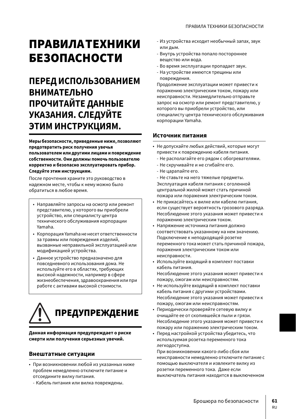# ПРАВИЛА ТЕХНИКИ БЕЗОПАСНОСТИ

# **ПЕРЕД ИСПОЛЬЗОВАНИЕМ ВНИМАТЕЛЬНО ПРОЧИТАЙТЕ ДАННЫЕ УКАЗАНИЯ. СЛЕДУЙТЕ ЭТИМ ИНСТРУКЦИЯМ.**

**Меры безопасности, приведенные ниже, позволяют предотвратить риск получения увечья пользователем или другими лицами и повреждение собственности. Они должны помочь пользователю корректно и безопасно эксплуатировать прибор. Следуйте этим инструкциям.**

После прочтения храните это руководство в надежном месте, чтобы к нему можно было обратиться в любое время.

- Направляйте запросы на осмотр или ремонт представителю, у которого вы приобрели устройство, или специалисту центра технического обслуживания корпорации Yamaha.
- Корпорация Yamaha не несет ответственности за травмы или повреждения изделий, вызванные неправильной эксплуатацией или модификацией устройства.
- Данное устройство предназначено для повседневного использования дома. Не используйте его в областях, требующих высокой надежности, например в сфере жизнеобеспечения, здравоохранения или при работе с активами высокой стоимости.



**Данная информация предупреждает о риске смерти или получения серьезных увечий.**

### **Внештатные ситуации**

- При возникновении любой из указанных ниже проблем немедленно отключите питание и отсоедините вилку питания.
	- Кабель питания или вилка повреждены.
- Из устройства исходит необычный запах, звук или дым.
- Внутрь устройства попало постороннее вещество или вода.
- Во время эксплуатации пропадает звук.
- На устройстве имеются трещины или повреждения.

Продолжение эксплуатации может привести к поражению электрическим током, пожару или неисправности. Незамедлительно отправьте запрос на осмотр или ремонт представителю, у которого вы приобрели устройство, или специалисту центра технического обслуживания корпорации Yamaha.

### **Источник питания**

- Не допускайте любых действий, которые могут привести к повреждению кабеля питания.
	- Не располагайте его рядом с обогревателями.
	- Не скручивайте и не сгибайте его.
	- Не царапайте его.
	- Не ставьте на него тяжелые предметы. Эксплуатация кабеля питания с оголенной центральной жилой может стать причиной пожара или поражения электрическим током.
- Не прикасайтесь к вилке или кабелю питания, если существует вероятность грозового разряда. Несоблюдение этого указания может привести к поражению электрическим током.
- Напряжение источника питания должно соответствовать указанному на нем значению. Подключение к неподходящей розетке переменного тока может стать причиной пожара, поражения электрическим током или неисправности.
- Используйте входящий в комплект поставки кабель питания. Несоблюдение этого указания может привести к пожару, ожогам или неисправностям.
- Не используйте входящий в комплект поставки кабель питания с другими устройствами. Несоблюдение этого указания может привести к пожару, ожогам или неисправностям.
- Периодически проверяйте сетевую вилку и очищайте ее от скопившейся пыли и грязи. Несоблюдение этого указания может привести к пожару или поражению электрическим током.
- Перед настройкой устройства убедитесь, что используемая розетка переменного тока легкодоступна.

При возникновении какого-либо сбоя или неисправности немедленно отключите питание с помощью выключателя и извлеките вилку из розетки переменного тока. Даже если выключатель питания находится в выключенном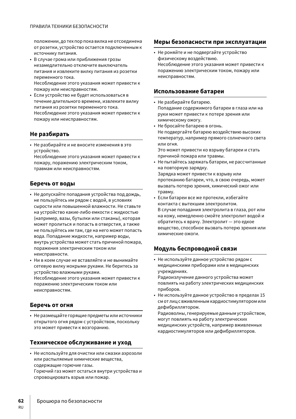положении, до тех пор пока вилка не отсоединена от розетки, устройство остается подключенным к источнику питания.

• В случае грома или приближения грозы незамедлительно отключите выключатель питания и извлеките вилку питания из розетки переменного тока. Несоблюдение этого указания может привести к

пожару или неисправностям.

• Если устройство не будет использоваться в течение длительного времени, извлеките вилку питания из розетки переменного тока. Несоблюдение этого указания может привести к пожару или неисправностям.

### **Не разбирать**

• Не разбирайте и не вносите изменения в это устройство.

Несоблюдение этого указания может привести к пожару, поражению электрическим током, травмам или неисправностям.

### **Беречь от воды**

- Не допускайте попадания устройства под дождь, не пользуйтесь им рядом с водой, в условиях сырости или повышенной влажности. Не ставьте на устройство какие-либо емкости с жидкостью (например, вазы, бутылки или стаканы), которая может пролиться и попасть в отверстия, а также не пользуйтесь им там, где на него может попасть вода. Попадание жидкости, например воды, внутрь устройства может стать причиной пожара, поражения электрическим током или неисправности.
- Ни в коем случае не вставляйте и не вынимайте сетевую вилку мокрыми руками. Не беритесь за устройство влажными руками.

Несоблюдение этого указания может привести к поражению электрическим током или неисправностям.

### **Беречь от огня**

• Не размещайте горящие предметы или источники открытого огня рядом с устройством, поскольку это может привести к возгоранию.

### **Техническое обслуживание и уход**

• Не используйте для очистки или смазки аэрозоли или распыляемые химические вещества, содержащие горючие газы. Горючий газ может остаться внутри устройства и спровоцировать взрыв или пожар.

### **Меры безопасности при эксплуатации**

• Не роняйте и не подвергайте устройство физическому воздействию. Несоблюдение этого указания может привести к поражению электрическим током, пожару или неисправностям.

### **Использование батареи**

- Не разбирайте батарею. Попадание содержимого батареи в глаза или на руки может привести к потере зрения или химическому ожогу.
- Не бросайте батарею в огонь. Не подвергайте батарею воздействию высоких температур, например прямого солнечного света или огня.

Это может привести ко взрыву батареи и стать причиной пожара или травмы.

- Не пытайтесь заряжать батареи, не рассчитанные на повторную зарядку. Зарядка может привести к взрыву или протеканию батареи, что, в свою очередь, может вызвать потерю зрения, химический ожог или
- травму. • Если батареи все же протекли, избегайте контакта с вытекшим электролитом. В случае попадания электролита в глаза, рот или на кожу, немедленно смойте электролит водой и обратитесь к врачу. Электролит — это едкое вещество, способное вызвать потерю зрения или химические ожоги.

### **Модуль беспроводной связи**

• Не используйте данное устройство рядом с медицинскими приборами или в медицинских учреждениях.

Радиоизлучение данного устройства может повлиять на работу электрических медицинских приборов.

• Не используйте данное устройство в пределах 15 см от лиц с вживленным кардиостимулятором или дефибриллятором.

Радиоволны, генерируемые данным устройством, могут повлиять на работу электрических медицинских устройств, например вживленных кардиостимуляторов или дефибрилляторов.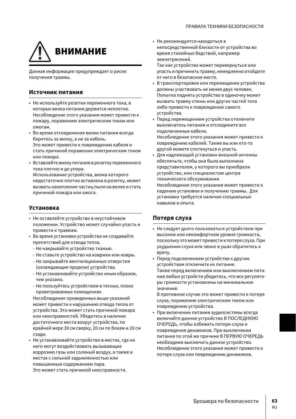

Данная информация предупреждает о риске получения травмы.

#### **Источник питания**

- Не используйте розетки переменного тока, в которых вилка питания держится неплотно. Несоблюдение этого указания может привести к пожару, поражению электрическим током или ожогам.
- Во время отсоединения вилки питания всегда беритесь за вилку, а не за кабель. Это может привести к повреждению кабеля и стать причиной поражения электрическим током или пожара.
- Вставляйте вилку питания в розетку переменного тока плотно и до упора. Использование устройства, вилка которого недостаточно плотно вставлена в розетку, может вызвать накопление частиц пыли на вилке и стать причиной пожара или ожога.

### **Установка**

- Не оставляйте устройство в неустойчивом положении. Устройство может случайно упасть и привести к травмам.
- Во время установки устройства не создавайте препятствий для отвода тепла.
	- Не накрывайте устройство тканью.
	- Не ставьте устройство на коврики или ковры.
	- Не закрывайте вентиляционные отверстия (охлаждающие прорези) устройства.
	- Не устанавливайте устройство иным образом, чем указано.
	- Не пользуйтесь устройством в тесных, плохо проветриваемых помещениях.

Несоблюдение приведенных выше указаний может привести к нарушению отвода тепла от устройства. Это может стать причиной пожара или неисправностей. Убедитесь в наличии достаточного места вокруг устройства, по крайней мере 30 см сверху, 20 см по бокам и 20 см сзади.

• Не устанавливайте устройство в местах, где на него могут воздействовать вызывающие коррозию газы или соленый воздух, а также в местах с сильной задымленностью или повышенным содержанием пара. Это может стать причиной неисправности.

• Не рекомендуется находиться в непосредственной близости от устройства во время стихийных бедствий, например землетрясений.

Так как устройство может перевернуться или упасть и причинить травму, немедленно отойдите от него в безопасное место.

- В транспортировке или перемещении устройства должны участвовать не менее двух человек. Попытка поднять устройство в одиночку может вызвать травму спины или других частей тела либо привести к повреждению самого устройства.
- Перед перемещением устройства отключите выключатель питания и отсоедините все подключенные кабели. Несоблюдение этого указания может привести к повреждению кабелей. Также вы или кто-то другой можете споткнуться и упасть.
- Для надлежащей установки внешней антенны обеспечьте, чтобы она была выполнена представителем, у которого вы приобрели устройство, или специалистом центра технического обслуживания.

Несоблюдение этого указания может привести к падению установки и получению травмы. Для установки требуется наличие специальных навыков и опыта.

### **Потеря слуха**

- Не следует долго пользоваться устройством при высоком или некомфортном уровне громкости, поскольку это может привести к потере слуха. При ухудшении слуха или звоне в ушах обратитесь к врачу.
- Перед подключением устройства к другим устройствам отключите их питание. Также перед включением или выключением питания любых устройств убедитесь, что все регуляторы громкости установлены на минимальное значение.

В противном случае это может привести к потере слуха, поражению электрическим током или повреждению устройства.

• При включении питания аудиосистемы всегда включайте данное устройство В ПОСЛЕДНЮЮ ОЧЕРЕДЬ, чтобы избежать потери слуха и повреждения динамиков. При выключении питания по этой же причине В ПЕРВУЮ ОЧЕРЕДЬ необходимо выключать данное устройство. Несоблюдение этого указания может привести к потере слуха или повреждению динамиков.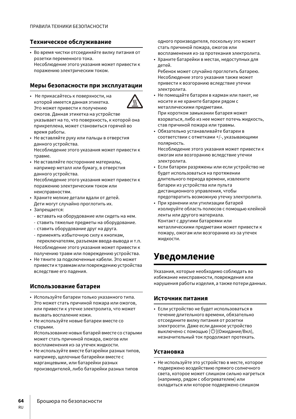### **Техническое обслуживание**

• Во время чистки отсоединяйте вилку питания от розетки переменного тока. Несоблюдение этого указания может привести к поражению электрическим током.

### **Меры безопасности при эксплуатации**

- Не прикасайтесь к поверхности, на которой имеется данная этикетка. Это может привести к получению ожогов. Данная этикетка на устройстве указывает на то, что поверхность, к которой она прикреплена, может становиться горячей во время работы.
- Не вставляйте руку или пальцы в отверстия данного устройства. Несоблюдение этого указания может привести к травме.
- Не вставляйте посторонние материалы, например металл или бумагу, в отверстия данного устройства.

Несоблюдение этого указания может привести к поражению электрическим током или неисправностям.

- Храните мелкие детали вдали от детей. Дети могут случайно проглотить их.
- Запрещается:
	- вставать на оборудование или сидеть на нем.
	- ставить тяжелые предметы на оборудование.
	- ставить оборудование друг на друга.
	- применять избыточную силу к кнопкам, переключателям, разъемам ввода-вывода и т.п. Несоблюдение этого указания может привести к получению травм или повреждению устройства.
- Не тяните за подключенные кабели. Это может привести к травмам или повреждению устройства вследствие его падения.

### **Использование батареи**

- Используйте батареи только указанного типа. Это может стать причиной пожара или ожогов, или привести к утечке электролита, что может вызвать воспаление кожи.
- Не используйте новые батареи вместе со старыми. Использование новых батарей вместе со старыми может стать причиной пожара, ожогов или воспламенения из-за утечек жидкости.
- Не используйте вместе батарейки разных типов, например, щелочные батарейки вместе с марганцевыми, или батарейки разных производителей, либо батарейки разных типов

одного производителя, поскольку это может стать причиной пожара, ожогов или воспламенения из-за протекания электролита.

• Храните батарейки в местах, недоступных для детей.

Ребенок может случайно проглотить батарею. Несоблюдение этого указания также может привести к возгоранию вследствие утечки электролита.

- Не помещайте батареи в карман или пакет, не носите и не храните батареи рядом с металлическими предметами. При коротком замыкании батарея может взорваться, либо из нее может потечь жидкость, став причиной пожара или травмы.
- Обязательно устанавливайте батареи в соответствии с отметками +/-, указывающими полярность.

Несоблюдение этого указания может привести к ожогам или возгоранию вследствие утечки электролита.

- Если батареи разряжены или если устройство не будет использоваться на протяжении длительного периода времени, извлеките батареи из устройства или пульта дистанционного управления, чтобы предотвратить возможную утечку электролита.
- При хранении или утилизации батарей изолируйте область полюсов с помощью клейкой ленты или другого материала. Контакт с другими батареями или металлическими предметами может привести к пожару, ожогам или возгоранию из-за утечек жидкости.

# **Уведомление**

Указания, которые необходимо соблюдать во избежание неисправности, повреждения или нарушения работы изделия, а также потери данных.

### **Источник питания**

• Если устройство не будет использоваться в течение длительного времени, обязательно отсоедините вилку питания от розетки электросети. Даже если данное устройство выключено с помощью [U](Ожидание/Вкл), незначительный ток продолжает протекать.

### **Установка**

• Не используйте это устройство в месте, которое подвержено воздействию прямого солнечного света, которое может слишком сильно нагреться (например, рядом с обогревателем) или охладиться или которое подвержено слишком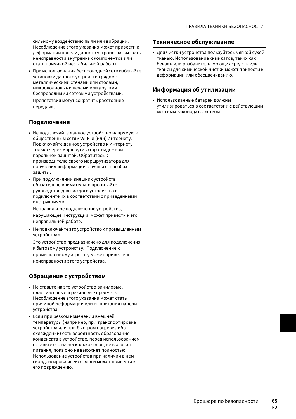сильному воздействию пыли или вибрации. Несоблюдение этого указания может привести к деформации панели данного устройства, вызвать неисправности внутренних компонентов или стать причиной нестабильной работы.

• При использовании беспроводной сети избегайте установки данного устройства рядом с металлическими стенами или столами, микроволновыми печами или другими беспроводными сетевыми устройствами.

Препятствия могут сократить расстояние передачи.

### **Подключения**

- Не подключайте данное устройство напрямую к общественным сетям Wi-Fi и (или) Интернету. Подключайте данное устройство к Интернету только через маршрутизатор с надежной парольной защитой. Обратитесь к производителю своего маршрутизатора для получения информации о лучших способах защиты.
- При подключении внешних устройств обязательно внимательно прочитайте руководство для каждого устройства и подключите их в соответствии с приведенными инструкциями.

Неправильное подключение устройства, нарушающее инструкции, может привести к его неправильной работе.

• Не подключайте это устройство к промышленным устройствам.

Это устройство предназначено для подключения к бытовому устройству. Подключение к промышленному агрегату может привести к неисправности этого устройства.

## **Обращение с устройством**

- Не ставьте на это устройство виниловые, пластмассовые и резиновые предметы. Несоблюдение этого указания может стать причиной деформации или выцветания панели устройства.
- Если при резком изменении внешней температуры (например, при транспортировке устройства или при быстром нагреве либо охлаждении) есть вероятность образования конденсата в устройстве, перед использованием оставьте его на несколько часов, не включая питания, пока оно не высохнет полностью. Использование устройства при наличии в нем сконденсировавшейся влаги может привести к его повреждению.

### **Техническое обслуживание**

• Для чистки устройства пользуйтесь мягкой сухой тканью. Использование химикатов, таких как бензин или разбавитель, моющих средств или тканей для химической чистки может привести к деформации или обесцвечиванию.

### **Информация об утилизации**

• Использованные батареи должны утилизироваться в соответствии с действующим местным законодательством.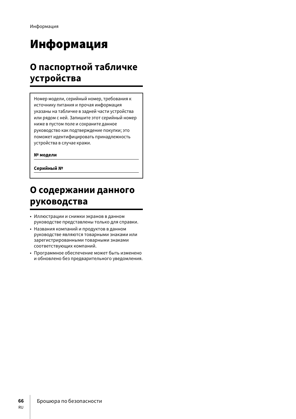# Информация

# **О паспортной табличке устройства**

Номер модели, серийный номер, требования к источнику питания и прочая информация указаны на табличке в задней части устройства или рядом с ней. Запишите этот серийный номер ниже в пустом поле и сохраните данное руководство как подтверждение покупки; это поможет идентифицировать принадлежность устройства в случае кражи.

**№ модели**

**Серийный №**

# **О содержании данного руководства**

- Иллюстрации и снимки экранов в данном руководстве представлены только для справки.
- Названия компаний и продуктов в данном руководстве являются товарными знаками или зарегистрированными товарными знаками соответствующих компаний.
- Программное обеспечение может быть изменено и обновлено без предварительного уведомления.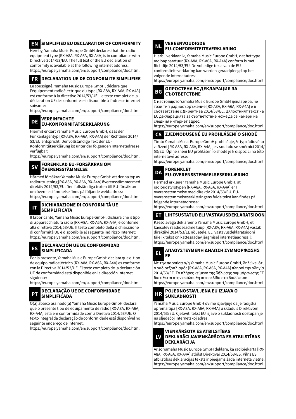## **EN\_SIMPLIFIED EU DECLARATION OF CONFORMITY**

Hereby, Yamaha Music Europe GmbH declares that the radio equipment type [RX-A8A, RX-A6A, RX-A4A] is in compliance with Directive 2014/53/EU. The full text of the EU declaration of

conformity is available at the following internet address: https://europe.yamaha.com/en/support/compliance/doc.html

### **FR** DECLARATION UE DE CONFORMITE SIMPLIFIEE

Le soussigné, Yamaha Music Europe GmbH, déclare que l'équipement radioélectrique du type [RX-A8A, RX-A6A, RX-A4A] est conforme à la directive 2014/53/UE. Le texte complet de la déclaration UE de conformité est disponible à l'adresse internet suivante:

https://europe.yamaha.com/en/support/compliance/doc.html

# **DE VEREINFACHTE EU-KONFORMITÄTSERKLÄRUNG**

Hiermit erklärt Yamaha Music Europe GmbH, dass der Funkanlagentyp [RX-A8A, RX-A6A, RX-A4A] der Richtlinie 2014/ 53/EU entspricht. Der vollständige Text der EU-

Konformitätserklärung ist unter der folgenden Internetadresse verfügbar:

https://europe.yamaha.com/en/support/compliance/doc.html

**SV FÖRENKLAD EU-FÖRSÄKRAN OM ÖVERENSSTÄMMELSE**

Härmed försäkrar Yamaha Music Europe GmbH att denna typ av radioutrustning [RX-A8A, RX-A6A, RX-A4A] överensstämmer med direktiv 2014/53/EU. Den fullständiga texten till EU-försäkran om överensstämmelse finns på följande webbadress: https://europe.yamaha.com/en/support/compliance/doc.html

**IT DICHIARAZIONE DI CONFORMITÀ UE SEMPLIFICATA**

Il fabbricante, Yamaha Music Europe GmbH, dichiara che il tipo di apparecchiatura radio [RX-A8A, RX-A6A, RX-A4A] è conforme alla direttiva 2014/53/UE. Il testo completo della dichiarazione di conformità UE è disponibile al seguente indirizzo Internet: https://europe.yamaha.com/en/support/compliance/doc.html

#### **ES DECLARACIÓN UE DE CONFORMIDAD SIMPLIFICADA**

Por la presente, Yamaha Music Europe GmbH declara que el tipo de equipo radioeléctrico [RX-A8A, RX-A6A, RX-A4A] es conforme con la Directiva 2014/53/UE. El texto completo de la declaración UE de conformidad está disponible en la dirección Internet siguiente:

https://europe.yamaha.com/en/support/compliance/doc.html

#### **PT DECLARAÇÃO UE DE CONFORMIDADE SIMPLIFICADA**

O(a) abaixo assinado(a) Yamaha Music Europe GmbH declara que o presente tipo de equipamento de rádio [RX-A8A, RX-A6A, RX-A4A] está em conformidade com a Diretiva 2014/53/UE. O texto integral da declaração de conformidade está disponível no seguinte endereço de Internet:

https://europe.yamaha.com/en/support/compliance/doc.html

# **NL VEREENVOUDIGDE EU-CONFORMITEITSVERKLARING**

Hierbij verklaar ik, Yamaha Music Europe GmbH, dat het type radioapparatuur [RX-A8A, RX-A6A, RX-A4A] conform is met Richtlijn 2014/53/EU. De volledige tekst van de EUconformiteitsverklaring kan worden geraadpleegd op het volgende internetadres:

https://europe.yamaha.com/en/support/compliance/doc.html

#### **BG ОПРОСТЕНА ЕС ДЕКЛАРАЦИЯ ЗА СЪОТВЕТСТВИЕ**

С настоящото Yamaha Music Europe GmbH декларира, че този тип радиосъоръжение [RX-A8A, RX-A6A, RX-A4A] е в съответствие с Директива 2014/53/ЕС. Цялостният текст на ЕС декларацията за съответствие може да се намери на следния интернет адрес:

https://europe.yamaha.com/en/support/compliance/doc.html

# **CS ZJEDNODUŠENÉ EU PROHLÁŠENÍ O SHODĚ**

Tímto Yamaha Music Europe GmbH prohlašuje, že typ rádiového zařízení [RX-A8A, RX-A6A, RX-A4A] je v souladu se směrnicí 2014/ 53/EU. Úplné znění EU prohlášení o shodě je k dispozici na této internetové adrese:

https://europe.yamaha.com/en/support/compliance/doc.html

# **DA FORENKLET EU-OVERENSSTEMMELSESERKLÆRING**

Hermed erklærer Yamaha Music Europe GmbH, at radioudstyrstypen [RX-A8A, RX-A6A, RX-A4A] er I overensstemmelse med direktiv 2014/53/EU. EUoverensstemmelseserklæringens fulde tekst kan findes på følgende internetadresse:

https://europe.yamaha.com/en/support/compliance/doc.html

### **ET LIHTSUSTATUD ELI VASTAVUSDEKLARATSIOON**

Käesolevaga deklareerib Yamaha Music Europe GmbH, et käesolev raadioseadme tüüp [RX-A8A, RX-A6A, RX-A4A] vastab direktiivi 2014/53/EL nõuetele. ELi vastavusdeklaratsiooni täielik tekst on kättesaadav järgmisel internetiaadressil: https://europe.yamaha.com/en/support/compliance/doc.html

### **EL ΑΠΛΟΥΣΤΕΥΜΕΝΗ ΔΗΛΩΣΗ ΣΥΜΜΟΡΦΩΣΗΣ ΕΕ**

Με την παρούσα ο/η Yamaha Music Europe GmbH, δηλώνει ότι ο ραδιοεξοπλισμός [RX-A8A, RX-A6A, RX-A4A] πληροί την οδηγία 2014/53/ΕΕ. Το πλήρες κείμενο της δήλωσης συμμόρφωσης ΕΕ διατίθεται στην ακόλουθη ιστοσελίδα στο διαδίκτυο: https://europe.yamaha.com/en/support/compliance/doc.html

**HR POJEDNOSTAVLJENA EU IZJAVA O SUKLADNOSTI**

Yamaha Music Europe GmbH ovime izjavljuje da je radijska oprema tipa [RX-A8A, RX-A6A, RX-A4A] u skladu s Direktivom 2014/53/EU. Cjeloviti tekst EU izjave o sukladnosti dostupan je na sljedećoj internetskoj adresi:

https://europe.yamaha.com/en/support/compliance/doc.html

#### **LV VIENKĀRŠOTA ES ATBILSTĪBAS DEKLARĀCIJAVIENKĀRŠOTA ES ATBILSTĪBAS DEKLARĀCIJA**

Ar šo Yamaha Music Europe GmbH deklarē, ka radioiekārta [RX-A8A, RX-A6A, RX-A4A] atbilst Direktīvai 2014/53/ES. Pilns ES atbilstības deklarācijas teksts ir pieejams šādā interneta vietnē: https://europe.yamaha.com/en/support/compliance/doc.html